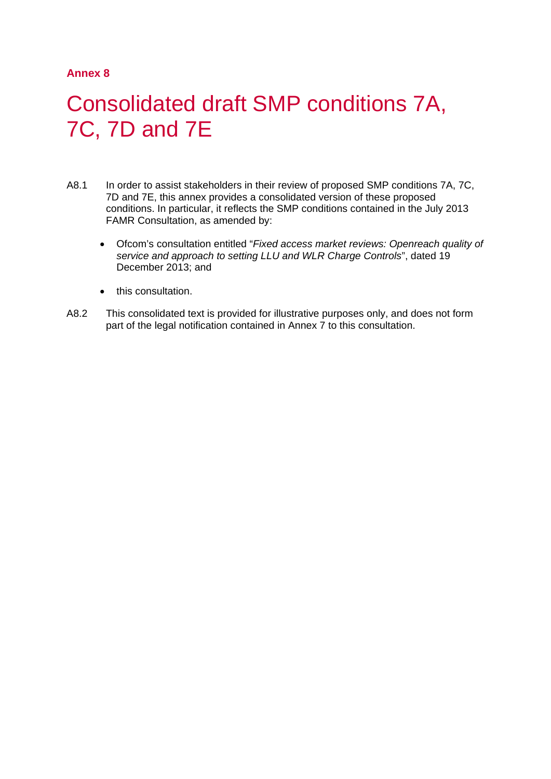# **Annex 8**

# 1 Consolidated draft SMP conditions 7A, 7C, 7D and 7E

- A8.1 In order to assist stakeholders in their review of proposed SMP conditions 7A, 7C, 7D and 7E, this annex provides a consolidated version of these proposed conditions. In particular, it reflects the SMP conditions contained in the July 2013 FAMR Consultation, as amended by:
	- Ofcom's consultation entitled "*Fixed access market reviews: Openreach quality of service and approach to setting LLU and WLR Charge Controls*", dated 19 December 2013; and
	- this consultation.
- A8.2 This consolidated text is provided for illustrative purposes only, and does not form part of the legal notification contained in Annex 7 to this consultation.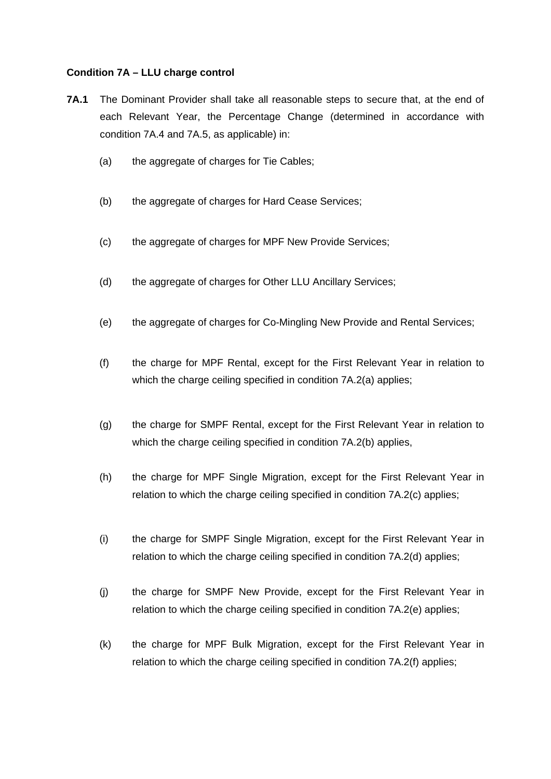#### **Condition 7A – LLU charge control**

- **7A.1** The Dominant Provider shall take all reasonable steps to secure that, at the end of each Relevant Year, the Percentage Change (determined in accordance with condition 7A.4 and 7A.5, as applicable) in:
	- (a) the aggregate of charges for Tie Cables;
	- (b) the aggregate of charges for Hard Cease Services;
	- (c) the aggregate of charges for MPF New Provide Services;
	- (d) the aggregate of charges for Other LLU Ancillary Services;
	- (e) the aggregate of charges for Co-Mingling New Provide and Rental Services;
	- (f) the charge for MPF Rental, except for the First Relevant Year in relation to which the charge ceiling specified in condition 7A.2(a) applies;
	- (g) the charge for SMPF Rental, except for the First Relevant Year in relation to which the charge ceiling specified in condition 7A.2(b) applies,
	- (h) the charge for MPF Single Migration, except for the First Relevant Year in relation to which the charge ceiling specified in condition 7A.2(c) applies;
	- (i) the charge for SMPF Single Migration, except for the First Relevant Year in relation to which the charge ceiling specified in condition 7A.2(d) applies;
	- (j) the charge for SMPF New Provide, except for the First Relevant Year in relation to which the charge ceiling specified in condition 7A.2(e) applies;
	- (k) the charge for MPF Bulk Migration, except for the First Relevant Year in relation to which the charge ceiling specified in condition 7A.2(f) applies;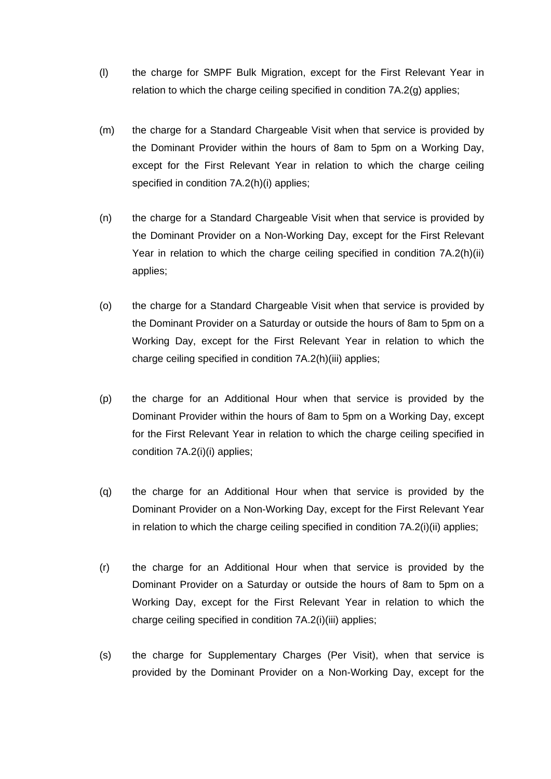- (l) the charge for SMPF Bulk Migration, except for the First Relevant Year in relation to which the charge ceiling specified in condition 7A.2(g) applies;
- (m) the charge for a Standard Chargeable Visit when that service is provided by the Dominant Provider within the hours of 8am to 5pm on a Working Day, except for the First Relevant Year in relation to which the charge ceiling specified in condition 7A.2(h)(i) applies;
- (n) the charge for a Standard Chargeable Visit when that service is provided by the Dominant Provider on a Non-Working Day, except for the First Relevant Year in relation to which the charge ceiling specified in condition 7A.2(h)(ii) applies;
- (o) the charge for a Standard Chargeable Visit when that service is provided by the Dominant Provider on a Saturday or outside the hours of 8am to 5pm on a Working Day, except for the First Relevant Year in relation to which the charge ceiling specified in condition 7A.2(h)(iii) applies;
- (p) the charge for an Additional Hour when that service is provided by the Dominant Provider within the hours of 8am to 5pm on a Working Day, except for the First Relevant Year in relation to which the charge ceiling specified in condition 7A.2(i)(i) applies;
- (q) the charge for an Additional Hour when that service is provided by the Dominant Provider on a Non-Working Day, except for the First Relevant Year in relation to which the charge ceiling specified in condition 7A.2(i)(ii) applies;
- (r) the charge for an Additional Hour when that service is provided by the Dominant Provider on a Saturday or outside the hours of 8am to 5pm on a Working Day, except for the First Relevant Year in relation to which the charge ceiling specified in condition 7A.2(i)(iii) applies;
- (s) the charge for Supplementary Charges (Per Visit), when that service is provided by the Dominant Provider on a Non-Working Day, except for the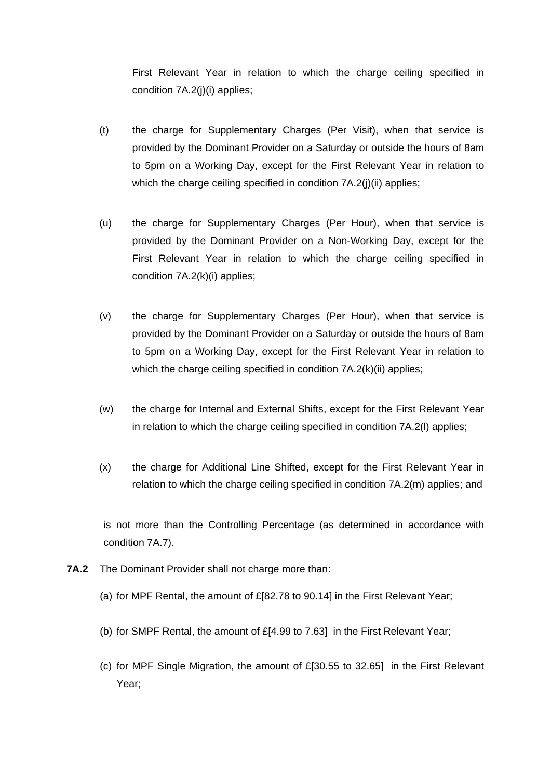First Relevant Year in relation to which the charge ceiling specified in condition 7A.2(j)(i) applies;

- (t) the charge for Supplementary Charges (Per Visit), when that service is provided by the Dominant Provider on a Saturday or outside the hours of 8am to 5pm on a Working Day, except for the First Relevant Year in relation to which the charge ceiling specified in condition 7A.2(j)(ii) applies;
- (u) the charge for Supplementary Charges (Per Hour), when that service is provided by the Dominant Provider on a Non-Working Day, except for the First Relevant Year in relation to which the charge ceiling specified in condition 7A.2(k)(i) applies;
- (v) the charge for Supplementary Charges (Per Hour), when that service is provided by the Dominant Provider on a Saturday or outside the hours of 8am to 5pm on a Working Day, except for the First Relevant Year in relation to which the charge ceiling specified in condition 7A.2(k)(ii) applies;
- (w) the charge for Internal and External Shifts, except for the First Relevant Year in relation to which the charge ceiling specified in condition 7A.2(l) applies;
- (x) the charge for Additional Line Shifted, except for the First Relevant Year in relation to which the charge ceiling specified in condition 7A.2(m) applies; and

is not more than the Controlling Percentage (as determined in accordance with condition 7A.7).

- **7A.2** The Dominant Provider shall not charge more than:
	- (a) for MPF Rental, the amount of £[82.78 to 90.14] in the First Relevant Year;
	- (b) for SMPF Rental, the amount of  $E[4.99$  to 7.63] in the First Relevant Year;
	- (c) for MPF Single Migration, the amount of £[30.55 to 32.65] in the First Relevant Year;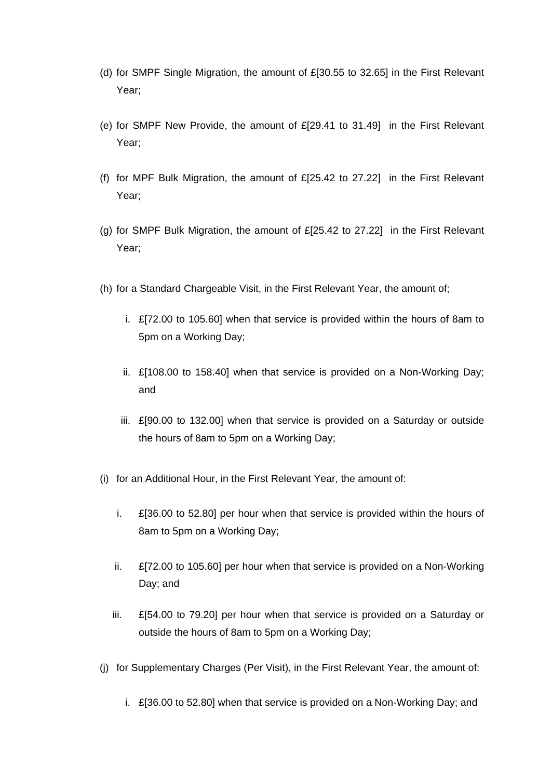- (d) for SMPF Single Migration, the amount of £[30.55 to 32.65] in the First Relevant Year;
- (e) for SMPF New Provide, the amount of £[29.41 to 31.49] in the First Relevant Year;
- (f) for MPF Bulk Migration, the amount of £[25.42 to 27.22] in the First Relevant Year;
- (g) for SMPF Bulk Migration, the amount of  $E[25.42$  to 27.22] in the First Relevant Year;
- (h) for a Standard Chargeable Visit, in the First Relevant Year, the amount of;
	- i. £[72.00 to 105.60] when that service is provided within the hours of 8am to 5pm on a Working Day;
	- ii. £[108.00 to 158.40] when that service is provided on a Non-Working Day; and
	- iii. £[90.00 to 132.00] when that service is provided on a Saturday or outside the hours of 8am to 5pm on a Working Day;
- (i) for an Additional Hour, in the First Relevant Year, the amount of:
	- i. £[36.00 to 52.80] per hour when that service is provided within the hours of 8am to 5pm on a Working Day;
	- ii.  $\mathbb{E}[72.00 \text{ to } 105.60]$  per hour when that service is provided on a Non-Working Day; and
	- iii. £[54.00 to 79.20] per hour when that service is provided on a Saturday or outside the hours of 8am to 5pm on a Working Day;
- (j) for Supplementary Charges (Per Visit), in the First Relevant Year, the amount of:
	- i. £[36.00 to 52.80] when that service is provided on a Non-Working Day; and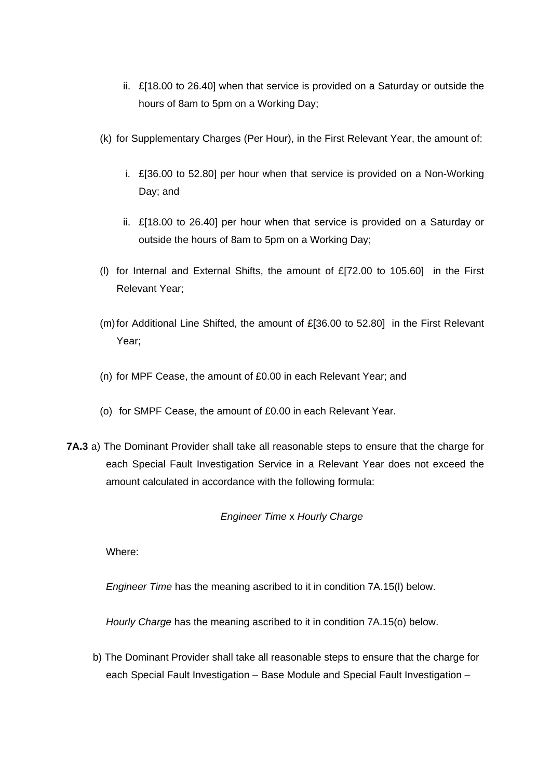- ii. £[18.00 to 26.40] when that service is provided on a Saturday or outside the hours of 8am to 5pm on a Working Day;
- (k) for Supplementary Charges (Per Hour), in the First Relevant Year, the amount of:
	- i. £[36.00 to 52.80] per hour when that service is provided on a Non-Working Day; and
	- ii. £[18.00 to 26.40] per hour when that service is provided on a Saturday or outside the hours of 8am to 5pm on a Working Day;
- (l) for Internal and External Shifts, the amount of £[72.00 to 105.60] in the First Relevant Year;
- (m)for Additional Line Shifted, the amount of £[36.00 to 52.80] in the First Relevant Year;
- (n) for MPF Cease, the amount of £0.00 in each Relevant Year; and
- (o) for SMPF Cease, the amount of £0.00 in each Relevant Year.
- **7A.3** a) The Dominant Provider shall take all reasonable steps to ensure that the charge for each Special Fault Investigation Service in a Relevant Year does not exceed the amount calculated in accordance with the following formula:

# *Engineer Time* x *Hourly Charge*

Where:

*Engineer Time* has the meaning ascribed to it in condition 7A.15(l) below.

*Hourly Charge* has the meaning ascribed to it in condition 7A.15(o) below.

b) The Dominant Provider shall take all reasonable steps to ensure that the charge for each Special Fault Investigation – Base Module and Special Fault Investigation –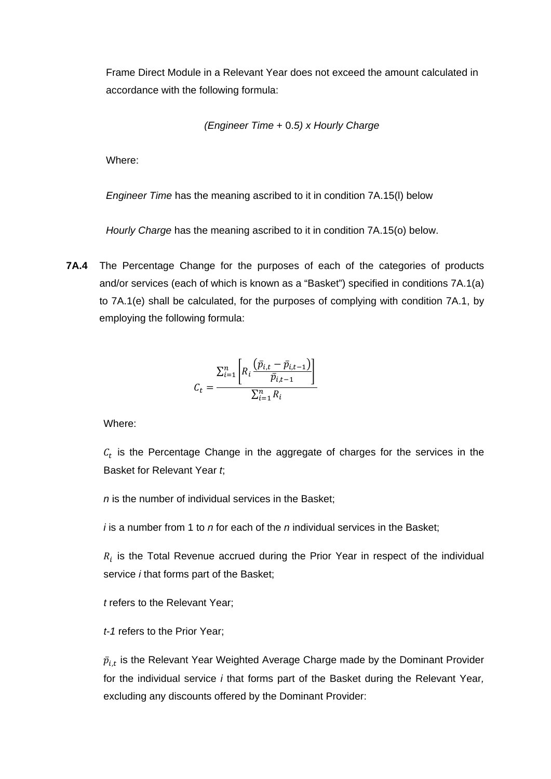Frame Direct Module in a Relevant Year does not exceed the amount calculated in accordance with the following formula:

*(Engineer Time* + 0.*5) x Hourly Charge*

Where:

*Engineer Time* has the meaning ascribed to it in condition 7A.15(l) below

*Hourly Charge* has the meaning ascribed to it in condition 7A.15(o) below.

**7A.4** The Percentage Change for the purposes of each of the categories of products and/or services (each of which is known as a "Basket") specified in conditions 7A.1(a) to 7A.1(e) shall be calculated, for the purposes of complying with condition 7A.1, by employing the following formula:

$$
C_t = \frac{\sum_{i=1}^{n} \left[ R_i \frac{(\bar{p}_{i,t} - \bar{p}_{i,t-1})}{\bar{p}_{i,t-1}} \right]}{\sum_{i=1}^{n} R_i}
$$

Where:

 $c<sub>t</sub>$  is the Percentage Change in the aggregate of charges for the services in the Basket for Relevant Year *t*;

*n* is the number of individual services in the Basket;

*i* is a number from 1 to *n* for each of the *n* individual services in the Basket;

 $R_i$  is the Total Revenue accrued during the Prior Year in respect of the individual service *i* that forms part of the Basket;

*t* refers to the Relevant Year;

*t-1* refers to the Prior Year;

 $\bar{p}_{i,t}$  is the Relevant Year Weighted Average Charge made by the Dominant Provider for the individual service *i* that forms part of the Basket during the Relevant Year*,*  excluding any discounts offered by the Dominant Provider: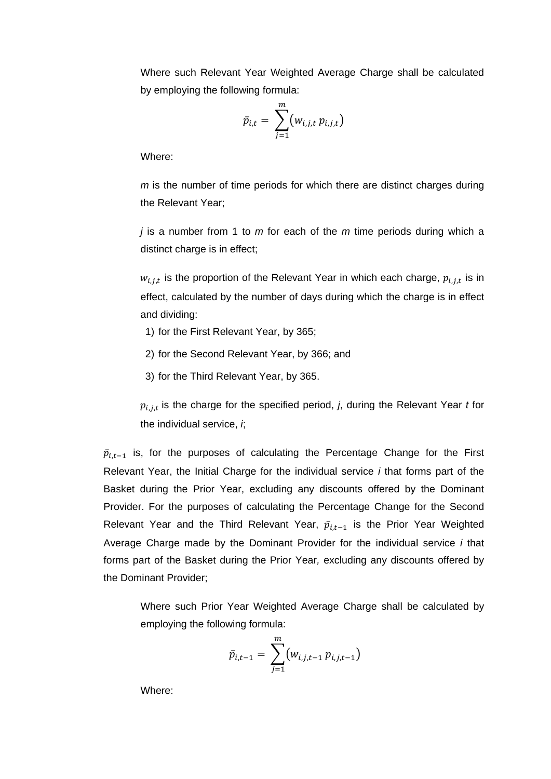Where such Relevant Year Weighted Average Charge shall be calculated by employing the following formula:

$$
\bar{p}_{i,t} = \sum_{j=1}^m (w_{i,j,t} p_{i,j,t})
$$

Where:

*m* is the number of time periods for which there are distinct charges during the Relevant Year;

*j* is a number from 1 to *m* for each of the *m* time periods during which a distinct charge is in effect;

 $w_{i,j,t}$  is the proportion of the Relevant Year in which each charge,  $p_{i,j,t}$  is in effect, calculated by the number of days during which the charge is in effect and dividing:

- 1) for the First Relevant Year, by 365;
- 2) for the Second Relevant Year, by 366; and
- 3) for the Third Relevant Year, by 365.

 $p_{i,j,t}$  is the charge for the specified period, *j*, during the Relevant Year *t* for the individual service, *i*;

 $\bar{p}_{i,t-1}$  is, for the purposes of calculating the Percentage Change for the First Relevant Year, the Initial Charge for the individual service *i* that forms part of the Basket during the Prior Year, excluding any discounts offered by the Dominant Provider. For the purposes of calculating the Percentage Change for the Second Relevant Year and the Third Relevant Year,  $\bar{p}_{i,t-1}$  is the Prior Year Weighted Average Charge made by the Dominant Provider for the individual service *i* that forms part of the Basket during the Prior Year*,* excluding any discounts offered by the Dominant Provider;

Where such Prior Year Weighted Average Charge shall be calculated by employing the following formula:

$$
\bar{p}_{i,t-1} = \sum_{j=1}^{m} (w_{i,j,t-1} p_{i,j,t-1})
$$

Where: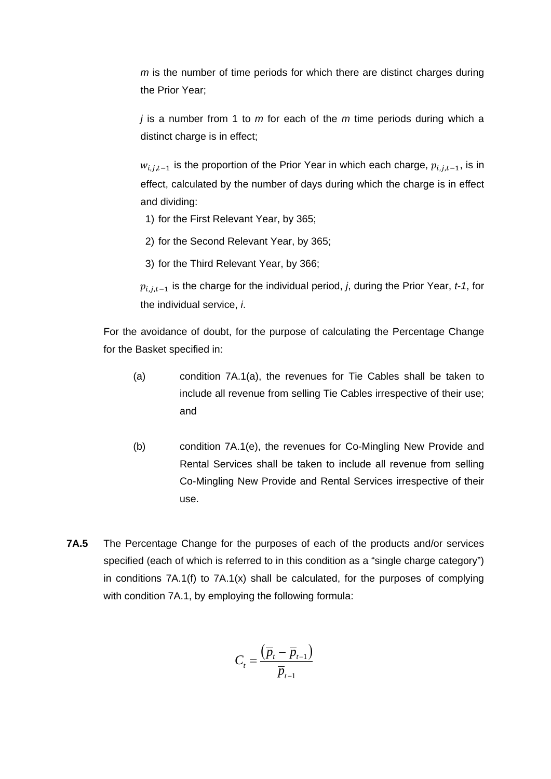*m* is the number of time periods for which there are distinct charges during the Prior Year;

*j* is a number from 1 to *m* for each of the *m* time periods during which a distinct charge is in effect;

 $w_{i,i,t-1}$  is the proportion of the Prior Year in which each charge,  $p_{i,j,t-1}$ , is in effect, calculated by the number of days during which the charge is in effect and dividing:

- 1) for the First Relevant Year, by 365;
- 2) for the Second Relevant Year, by 365;
- 3) for the Third Relevant Year, by 366;

 $p_{i,i,t-1}$  is the charge for the individual period, *j*, during the Prior Year, *t-1*, for the individual service, *i*.

For the avoidance of doubt, for the purpose of calculating the Percentage Change for the Basket specified in:

- (a) condition 7A.1(a), the revenues for Tie Cables shall be taken to include all revenue from selling Tie Cables irrespective of their use; and
- (b) condition 7A.1(e), the revenues for Co-Mingling New Provide and Rental Services shall be taken to include all revenue from selling Co-Mingling New Provide and Rental Services irrespective of their use.
- **7A.5** The Percentage Change for the purposes of each of the products and/or services specified (each of which is referred to in this condition as a "single charge category") in conditions  $7A.1(f)$  to  $7A.1(x)$  shall be calculated, for the purposes of complying with condition 7A.1, by employing the following formula:

$$
C_t = \frac{\left(\overline{p}_t - \overline{p}_{t-1}\right)}{\overline{p}_{t-1}}
$$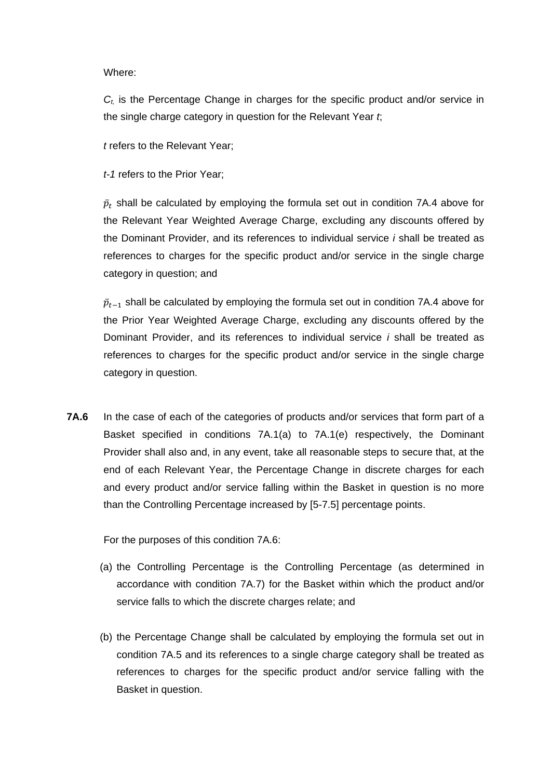Where:

*Ct,* is the Percentage Change in charges for the specific product and/or service in the single charge category in question for the Relevant Year *t*;

*t* refers to the Relevant Year;

*t-1* refers to the Prior Year;

 $\bar p_t$  shall be calculated by employing the formula set out in condition 7A.4 above for the Relevant Year Weighted Average Charge, excluding any discounts offered by the Dominant Provider, and its references to individual service *i* shall be treated as references to charges for the specific product and/or service in the single charge category in question; and

 $\bar p_{t-1}$  shall be calculated by employing the formula set out in condition 7A.4 above for the Prior Year Weighted Average Charge, excluding any discounts offered by the Dominant Provider, and its references to individual service *i* shall be treated as references to charges for the specific product and/or service in the single charge category in question.

**7A.6** In the case of each of the categories of products and/or services that form part of a Basket specified in conditions 7A.1(a) to 7A.1(e) respectively, the Dominant Provider shall also and, in any event, take all reasonable steps to secure that, at the end of each Relevant Year, the Percentage Change in discrete charges for each and every product and/or service falling within the Basket in question is no more than the Controlling Percentage increased by [5-7.5] percentage points.

For the purposes of this condition 7A.6:

- (a) the Controlling Percentage is the Controlling Percentage (as determined in accordance with condition 7A.7) for the Basket within which the product and/or service falls to which the discrete charges relate; and
- (b) the Percentage Change shall be calculated by employing the formula set out in condition 7A.5 and its references to a single charge category shall be treated as references to charges for the specific product and/or service falling with the Basket in question.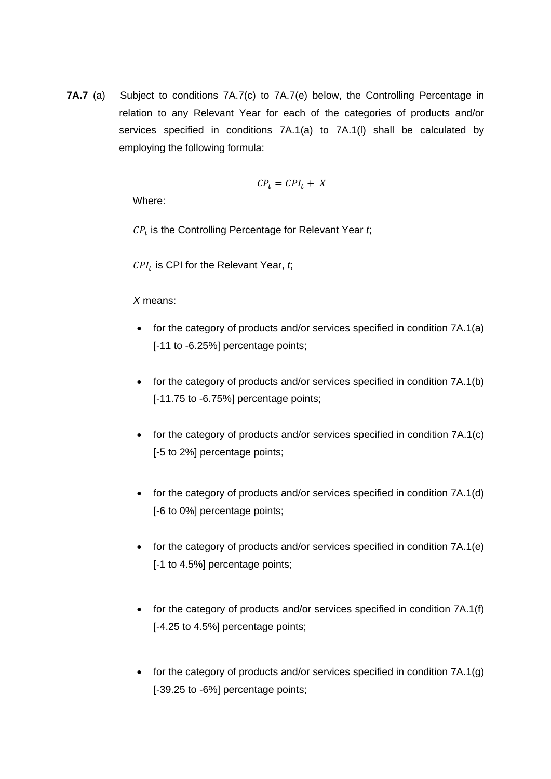**7A.7** (a) Subject to conditions 7A.7(c) to 7A.7(e) below, the Controlling Percentage in relation to any Relevant Year for each of the categories of products and/or services specified in conditions 7A.1(a) to 7A.1(l) shall be calculated by employing the following formula:

$$
\mathcal{C}P_t = \mathcal{C}PI_t + \ X
$$

Where:

 $CP<sub>t</sub>$  is the Controlling Percentage for Relevant Year  $t$ ;

 $CPI_t$  is CPI for the Relevant Year,  $t$ ;

*X* means:

- for the category of products and/or services specified in condition 7A.1(a) [-11 to -6.25%] percentage points;
- for the category of products and/or services specified in condition 7A.1(b) [-11.75 to -6.75%] percentage points;
- for the category of products and/or services specified in condition 7A.1(c) [-5 to 2%] percentage points;
- for the category of products and/or services specified in condition 7A.1(d) [-6 to 0%] percentage points;
- for the category of products and/or services specified in condition 7A.1(e) [-1 to 4.5%] percentage points;
- for the category of products and/or services specified in condition 7A.1(f) [-4.25 to 4.5%] percentage points;
- for the category of products and/or services specified in condition 7A.1(g) [-39.25 to -6%] percentage points;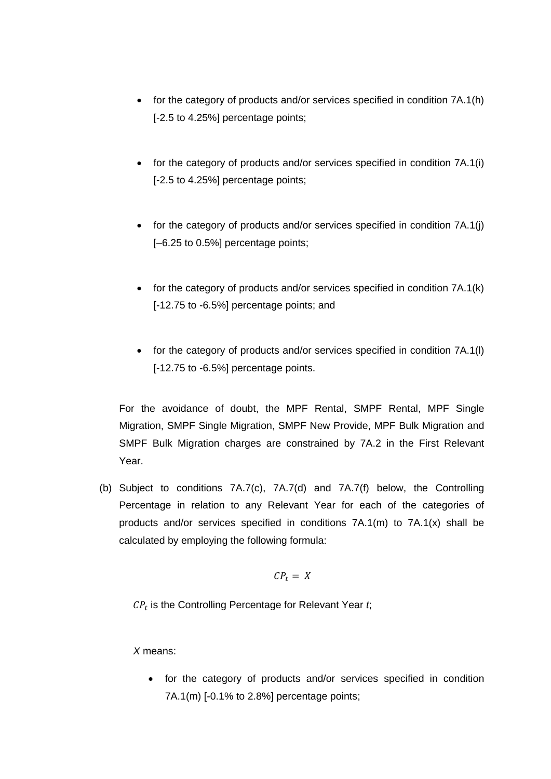- for the category of products and/or services specified in condition 7A.1(h) [-2.5 to 4.25%] percentage points;
- for the category of products and/or services specified in condition 7A.1(i) [-2.5 to 4.25%] percentage points;
- for the category of products and/or services specified in condition 7A.1(j) [–6.25 to 0.5%] percentage points;
- for the category of products and/or services specified in condition 7A.1(k) [-12.75 to -6.5%] percentage points; and
- for the category of products and/or services specified in condition 7A.1(l) [-12.75 to -6.5%] percentage points.

For the avoidance of doubt, the MPF Rental, SMPF Rental, MPF Single Migration, SMPF Single Migration, SMPF New Provide, MPF Bulk Migration and SMPF Bulk Migration charges are constrained by 7A.2 in the First Relevant Year.

(b) Subject to conditions 7A.7(c), 7A.7(d) and 7A.7(f) below, the Controlling Percentage in relation to any Relevant Year for each of the categories of products and/or services specified in conditions 7A.1(m) to 7A.1(x) shall be calculated by employing the following formula:

$$
CP_t = X
$$

 $CP<sub>t</sub>$  is the Controlling Percentage for Relevant Year  $t$ ;

*X* means:

• for the category of products and/or services specified in condition 7A.1(m) [-0.1% to 2.8%] percentage points;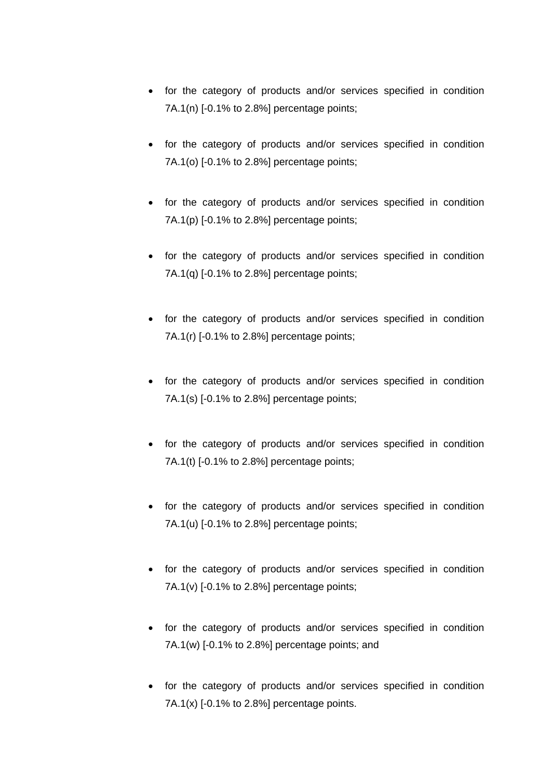- for the category of products and/or services specified in condition 7A.1(n) [-0.1% to 2.8%] percentage points;
- for the category of products and/or services specified in condition 7A.1(o) [-0.1% to 2.8%] percentage points;
- for the category of products and/or services specified in condition 7A.1(p) [-0.1% to 2.8%] percentage points;
- for the category of products and/or services specified in condition 7A.1(q) [-0.1% to 2.8%] percentage points;
- for the category of products and/or services specified in condition 7A.1(r) [-0.1% to 2.8%] percentage points;
- for the category of products and/or services specified in condition 7A.1(s) [-0.1% to 2.8%] percentage points;
- for the category of products and/or services specified in condition 7A.1(t) [-0.1% to 2.8%] percentage points;
- for the category of products and/or services specified in condition 7A.1(u) [-0.1% to 2.8%] percentage points;
- for the category of products and/or services specified in condition  $7A.1(v)$  [-0.1% to 2.8%] percentage points;
- for the category of products and/or services specified in condition 7A.1(w) [-0.1% to 2.8%] percentage points; and
- for the category of products and/or services specified in condition 7A.1(x) [-0.1% to 2.8%] percentage points.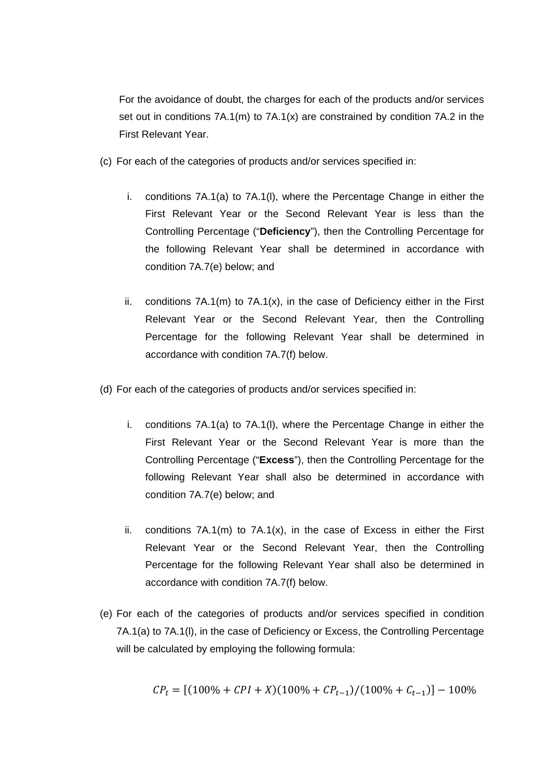For the avoidance of doubt, the charges for each of the products and/or services set out in conditions  $7A.1(m)$  to  $7A.1(x)$  are constrained by condition  $7A.2$  in the First Relevant Year.

- (c) For each of the categories of products and/or services specified in:
	- i. conditions 7A.1(a) to 7A.1(l), where the Percentage Change in either the First Relevant Year or the Second Relevant Year is less than the Controlling Percentage ("**Deficiency**"), then the Controlling Percentage for the following Relevant Year shall be determined in accordance with condition 7A.7(e) below; and
	- ii. conditions  $7A.1(m)$  to  $7A.1(x)$ , in the case of Deficiency either in the First Relevant Year or the Second Relevant Year, then the Controlling Percentage for the following Relevant Year shall be determined in accordance with condition 7A.7(f) below.
- (d) For each of the categories of products and/or services specified in:
	- i. conditions 7A.1(a) to 7A.1(l), where the Percentage Change in either the First Relevant Year or the Second Relevant Year is more than the Controlling Percentage ("**Excess**"), then the Controlling Percentage for the following Relevant Year shall also be determined in accordance with condition 7A.7(e) below; and
	- ii. conditions  $7A.1(m)$  to  $7A.1(x)$ , in the case of Excess in either the First Relevant Year or the Second Relevant Year, then the Controlling Percentage for the following Relevant Year shall also be determined in accordance with condition 7A.7(f) below.
- (e) For each of the categories of products and/or services specified in condition 7A.1(a) to 7A.1(l), in the case of Deficiency or Excess, the Controlling Percentage will be calculated by employing the following formula:

$$
CP_t = [(100\% + CPI + X)(100\% + CP_{t-1})/(100\% + C_{t-1})] - 100\%
$$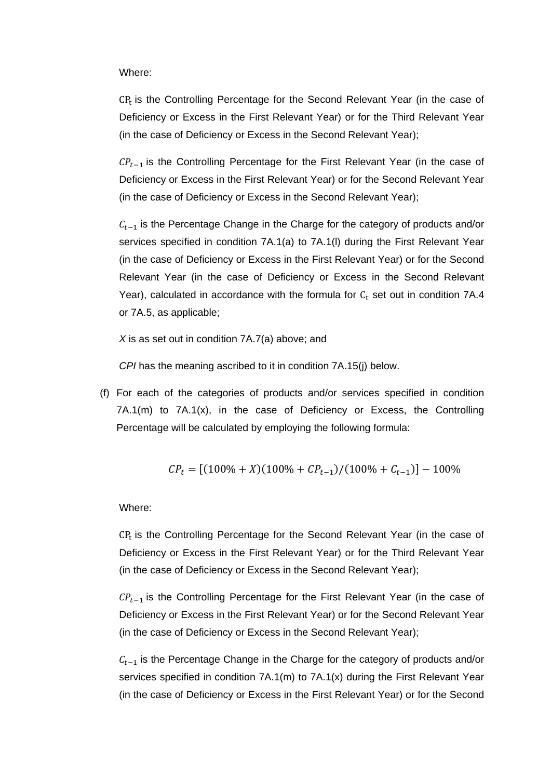Where:

 $CP<sub>r</sub>$  is the Controlling Percentage for the Second Relevant Year (in the case of Deficiency or Excess in the First Relevant Year) or for the Third Relevant Year (in the case of Deficiency or Excess in the Second Relevant Year);

 $\mathcal{CP}_{t-1}$  is the Controlling Percentage for the First Relevant Year (in the case of Deficiency or Excess in the First Relevant Year) or for the Second Relevant Year (in the case of Deficiency or Excess in the Second Relevant Year);

 $C_{t-1}$  is the Percentage Change in the Charge for the category of products and/or services specified in condition 7A.1(a) to 7A.1(l) during the First Relevant Year (in the case of Deficiency or Excess in the First Relevant Year) or for the Second Relevant Year (in the case of Deficiency or Excess in the Second Relevant Year), calculated in accordance with the formula for  $C_t$  set out in condition 7A.4 or 7A.5, as applicable;

*X* is as set out in condition 7A.7(a) above; and

*CPI* has the meaning ascribed to it in condition 7A.15(j) below.

(f) For each of the categories of products and/or services specified in condition 7A.1(m) to 7A.1(x), in the case of Deficiency or Excess, the Controlling Percentage will be calculated by employing the following formula:

$$
CP_t = [(100\% + X)(100\% + CP_{t-1})/(100\% + C_{t-1})] - 100\%
$$

Where:

 $CP<sub>r</sub>$  is the Controlling Percentage for the Second Relevant Year (in the case of Deficiency or Excess in the First Relevant Year) or for the Third Relevant Year (in the case of Deficiency or Excess in the Second Relevant Year);

 $\mathcal{CP}_{t-1}$  is the Controlling Percentage for the First Relevant Year (in the case of Deficiency or Excess in the First Relevant Year) or for the Second Relevant Year (in the case of Deficiency or Excess in the Second Relevant Year);

 $C_{t-1}$  is the Percentage Change in the Charge for the category of products and/or services specified in condition 7A.1(m) to 7A.1(x) during the First Relevant Year (in the case of Deficiency or Excess in the First Relevant Year) or for the Second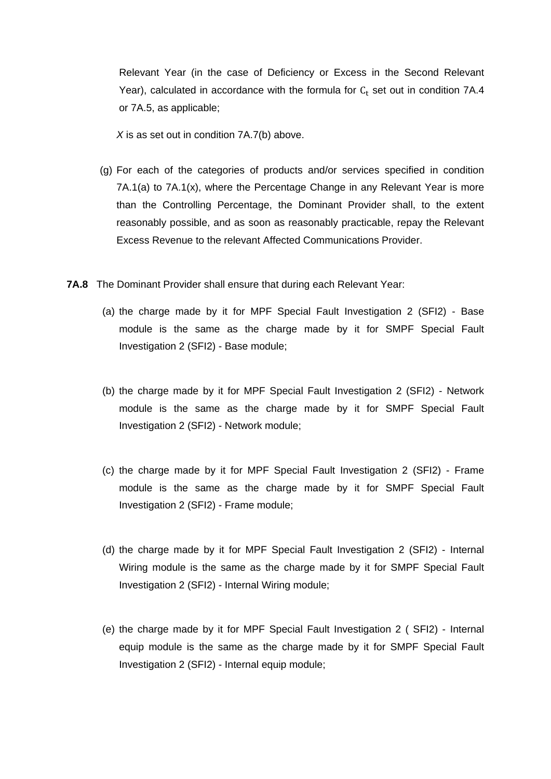Relevant Year (in the case of Deficiency or Excess in the Second Relevant Year), calculated in accordance with the formula for  $C_t$  set out in condition 7A.4 or 7A.5, as applicable;

*X* is as set out in condition 7A.7(b) above.

- (g) For each of the categories of products and/or services specified in condition 7A.1(a) to 7A.1(x), where the Percentage Change in any Relevant Year is more than the Controlling Percentage, the Dominant Provider shall, to the extent reasonably possible, and as soon as reasonably practicable, repay the Relevant Excess Revenue to the relevant Affected Communications Provider.
- **7A.8** The Dominant Provider shall ensure that during each Relevant Year:
	- (a) the charge made by it for MPF Special Fault Investigation 2 (SFI2) Base module is the same as the charge made by it for SMPF Special Fault Investigation 2 (SFI2) - Base module;
	- (b) the charge made by it for MPF Special Fault Investigation 2 (SFI2) Network module is the same as the charge made by it for SMPF Special Fault Investigation 2 (SFI2) - Network module;
	- (c) the charge made by it for MPF Special Fault Investigation 2 (SFI2) Frame module is the same as the charge made by it for SMPF Special Fault Investigation 2 (SFI2) - Frame module;
	- (d) the charge made by it for MPF Special Fault Investigation 2 (SFI2) Internal Wiring module is the same as the charge made by it for SMPF Special Fault Investigation 2 (SFI2) - Internal Wiring module;
	- (e) the charge made by it for MPF Special Fault Investigation 2 ( SFI2) Internal equip module is the same as the charge made by it for SMPF Special Fault Investigation 2 (SFI2) - Internal equip module;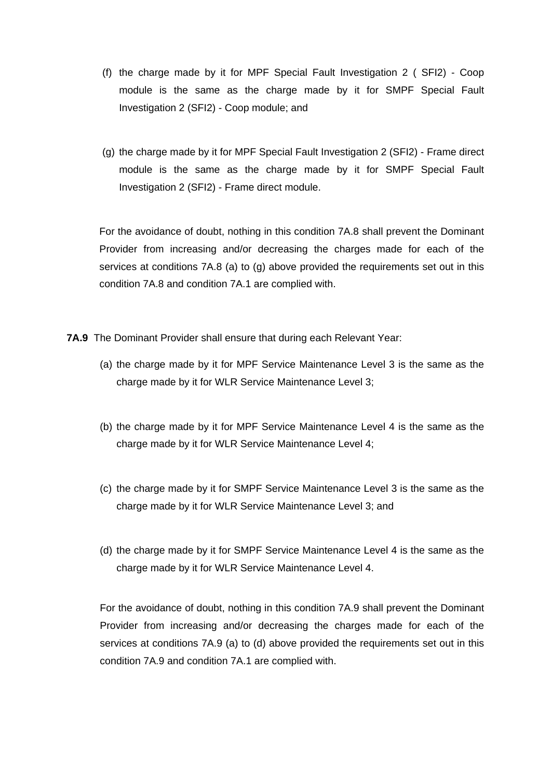- (f) the charge made by it for MPF Special Fault Investigation 2 ( SFI2) Coop module is the same as the charge made by it for SMPF Special Fault Investigation 2 (SFI2) - Coop module; and
- (g) the charge made by it for MPF Special Fault Investigation 2 (SFI2) Frame direct module is the same as the charge made by it for SMPF Special Fault Investigation 2 (SFI2) - Frame direct module.

For the avoidance of doubt, nothing in this condition 7A.8 shall prevent the Dominant Provider from increasing and/or decreasing the charges made for each of the services at conditions 7A.8 (a) to (g) above provided the requirements set out in this condition 7A.8 and condition 7A.1 are complied with.

- **7A.9** The Dominant Provider shall ensure that during each Relevant Year:
	- (a) the charge made by it for MPF Service Maintenance Level 3 is the same as the charge made by it for WLR Service Maintenance Level 3;
	- (b) the charge made by it for MPF Service Maintenance Level 4 is the same as the charge made by it for WLR Service Maintenance Level 4;
	- (c) the charge made by it for SMPF Service Maintenance Level 3 is the same as the charge made by it for WLR Service Maintenance Level 3; and
	- (d) the charge made by it for SMPF Service Maintenance Level 4 is the same as the charge made by it for WLR Service Maintenance Level 4.

For the avoidance of doubt, nothing in this condition 7A.9 shall prevent the Dominant Provider from increasing and/or decreasing the charges made for each of the services at conditions 7A.9 (a) to (d) above provided the requirements set out in this condition 7A.9 and condition 7A.1 are complied with.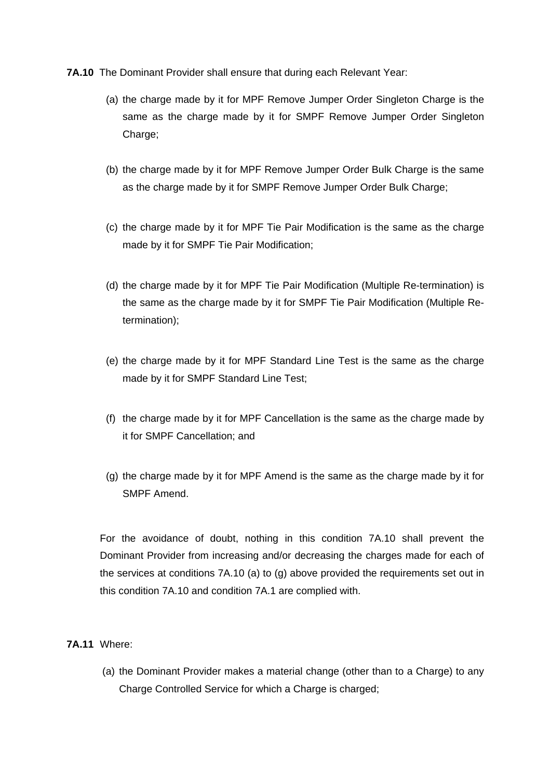- **7A.10** The Dominant Provider shall ensure that during each Relevant Year:
	- (a) the charge made by it for MPF Remove Jumper Order Singleton Charge is the same as the charge made by it for SMPF Remove Jumper Order Singleton Charge;
	- (b) the charge made by it for MPF Remove Jumper Order Bulk Charge is the same as the charge made by it for SMPF Remove Jumper Order Bulk Charge;
	- (c) the charge made by it for MPF Tie Pair Modification is the same as the charge made by it for SMPF Tie Pair Modification;
	- (d) the charge made by it for MPF Tie Pair Modification (Multiple Re-termination) is the same as the charge made by it for SMPF Tie Pair Modification (Multiple Retermination);
	- (e) the charge made by it for MPF Standard Line Test is the same as the charge made by it for SMPF Standard Line Test;
	- (f) the charge made by it for MPF Cancellation is the same as the charge made by it for SMPF Cancellation; and
	- (g) the charge made by it for MPF Amend is the same as the charge made by it for SMPF Amend.

For the avoidance of doubt, nothing in this condition 7A.10 shall prevent the Dominant Provider from increasing and/or decreasing the charges made for each of the services at conditions 7A.10 (a) to (g) above provided the requirements set out in this condition 7A.10 and condition 7A.1 are complied with.

## **7A.11** Where:

(a) the Dominant Provider makes a material change (other than to a Charge) to any Charge Controlled Service for which a Charge is charged;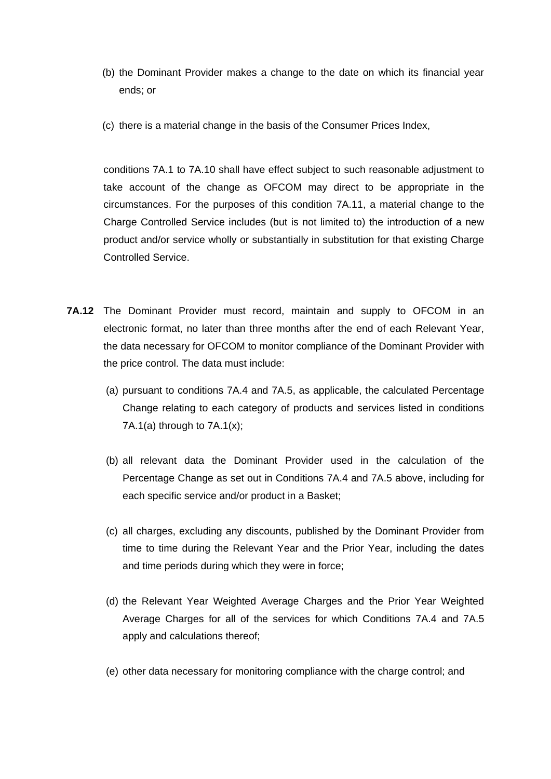- (b) the Dominant Provider makes a change to the date on which its financial year ends; or
- (c) there is a material change in the basis of the Consumer Prices Index,

conditions 7A.1 to 7A.10 shall have effect subject to such reasonable adjustment to take account of the change as OFCOM may direct to be appropriate in the circumstances. For the purposes of this condition 7A.11, a material change to the Charge Controlled Service includes (but is not limited to) the introduction of a new product and/or service wholly or substantially in substitution for that existing Charge Controlled Service.

- **7A.12** The Dominant Provider must record, maintain and supply to OFCOM in an electronic format, no later than three months after the end of each Relevant Year, the data necessary for OFCOM to monitor compliance of the Dominant Provider with the price control. The data must include:
	- (a) pursuant to conditions 7A.4 and 7A.5, as applicable, the calculated Percentage Change relating to each category of products and services listed in conditions 7A.1(a) through to  $7A.1(x)$ ;
	- (b) all relevant data the Dominant Provider used in the calculation of the Percentage Change as set out in Conditions 7A.4 and 7A.5 above, including for each specific service and/or product in a Basket;
	- (c) all charges, excluding any discounts, published by the Dominant Provider from time to time during the Relevant Year and the Prior Year, including the dates and time periods during which they were in force;
	- (d) the Relevant Year Weighted Average Charges and the Prior Year Weighted Average Charges for all of the services for which Conditions 7A.4 and 7A.5 apply and calculations thereof;
	- (e) other data necessary for monitoring compliance with the charge control; and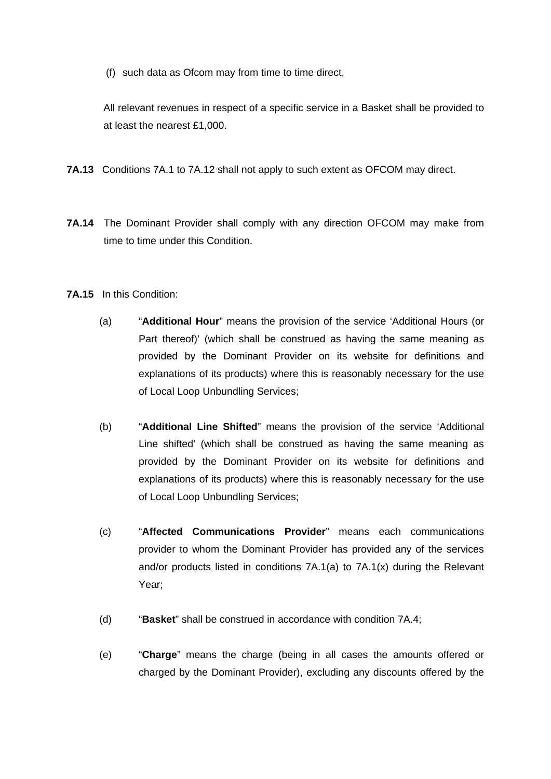(f) such data as Ofcom may from time to time direct,

All relevant revenues in respect of a specific service in a Basket shall be provided to at least the nearest £1,000.

- **7A.13** Conditions 7A.1 to 7A.12 shall not apply to such extent as OFCOM may direct.
- **7A.14** The Dominant Provider shall comply with any direction OFCOM may make from time to time under this Condition.
- **7A.15** In this Condition:
	- (a) "**Additional Hour**" means the provision of the service 'Additional Hours (or Part thereof)' (which shall be construed as having the same meaning as provided by the Dominant Provider on its website for definitions and explanations of its products) where this is reasonably necessary for the use of Local Loop Unbundling Services;
	- (b) "**Additional Line Shifted**" means the provision of the service 'Additional Line shifted' (which shall be construed as having the same meaning as provided by the Dominant Provider on its website for definitions and explanations of its products) where this is reasonably necessary for the use of Local Loop Unbundling Services;
	- (c) "**Affected Communications Provider**" means each communications provider to whom the Dominant Provider has provided any of the services and/or products listed in conditions 7A.1(a) to 7A.1(x) during the Relevant Year;
	- (d) "**Basket**" shall be construed in accordance with condition 7A.4;
	- (e) "**Charge**" means the charge (being in all cases the amounts offered or charged by the Dominant Provider), excluding any discounts offered by the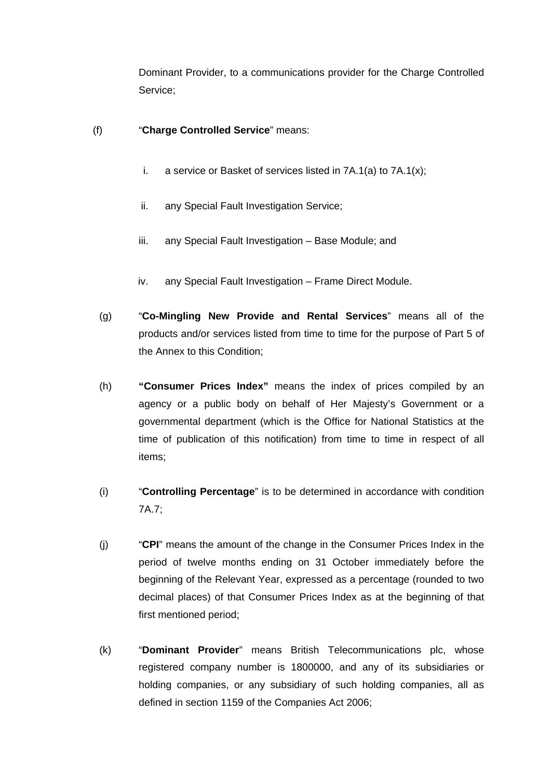Dominant Provider, to a communications provider for the Charge Controlled Service;

## (f) "**Charge Controlled Service**" means:

- i. a service or Basket of services listed in 7A.1(a) to 7A.1(x);
- ii. any Special Fault Investigation Service;
- iii. any Special Fault Investigation Base Module; and
- iv. any Special Fault Investigation Frame Direct Module.
- (g) "**Co-Mingling New Provide and Rental Services**" means all of the products and/or services listed from time to time for the purpose of Part 5 of the Annex to this Condition;
- (h) **"Consumer Prices Index"** means the index of prices compiled by an agency or a public body on behalf of Her Majesty's Government or a governmental department (which is the Office for National Statistics at the time of publication of this notification) from time to time in respect of all items;
- (i) "**Controlling Percentage**" is to be determined in accordance with condition 7A.7;
- (j) "**CPI**" means the amount of the change in the Consumer Prices Index in the period of twelve months ending on 31 October immediately before the beginning of the Relevant Year, expressed as a percentage (rounded to two decimal places) of that Consumer Prices Index as at the beginning of that first mentioned period;
- (k) "**Dominant Provider**" means British Telecommunications plc, whose registered company number is 1800000, and any of its subsidiaries or holding companies, or any subsidiary of such holding companies, all as defined in section 1159 of the Companies Act 2006;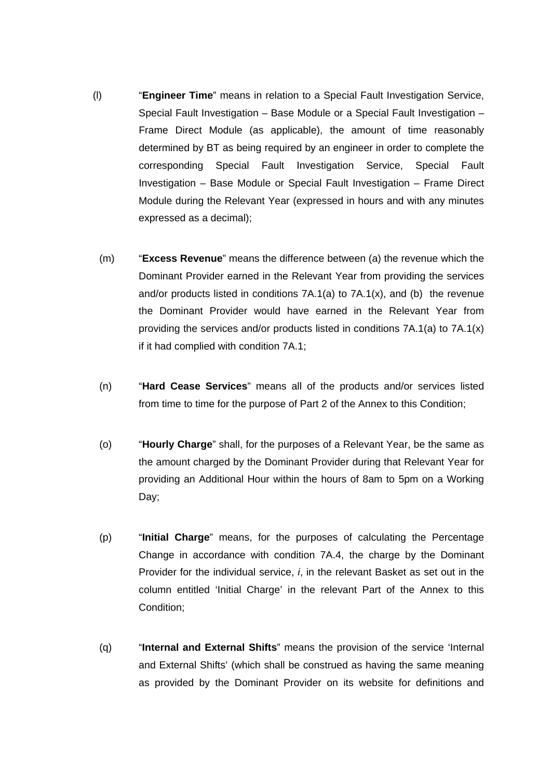- (l) "**Engineer Time**" means in relation to a Special Fault Investigation Service, Special Fault Investigation – Base Module or a Special Fault Investigation – Frame Direct Module (as applicable), the amount of time reasonably determined by BT as being required by an engineer in order to complete the corresponding Special Fault Investigation Service, Special Fault Investigation – Base Module or Special Fault Investigation – Frame Direct Module during the Relevant Year (expressed in hours and with any minutes expressed as a decimal);
	- (m) "**Excess Revenue**" means the difference between (a) the revenue which the Dominant Provider earned in the Relevant Year from providing the services and/or products listed in conditions 7A.1(a) to 7A.1(x), and (b) the revenue the Dominant Provider would have earned in the Relevant Year from providing the services and/or products listed in conditions 7A.1(a) to 7A.1(x) if it had complied with condition 7A.1;
	- (n) "**Hard Cease Services**" means all of the products and/or services listed from time to time for the purpose of Part 2 of the Annex to this Condition;
	- (o) "**Hourly Charge**" shall, for the purposes of a Relevant Year, be the same as the amount charged by the Dominant Provider during that Relevant Year for providing an Additional Hour within the hours of 8am to 5pm on a Working Day;
	- (p) "**Initial Charge**" means, for the purposes of calculating the Percentage Change in accordance with condition 7A.4, the charge by the Dominant Provider for the individual service, *i*, in the relevant Basket as set out in the column entitled 'Initial Charge' in the relevant Part of the Annex to this Condition;
	- (q) "**Internal and External Shifts**" means the provision of the service 'Internal and External Shifts' (which shall be construed as having the same meaning as provided by the Dominant Provider on its website for definitions and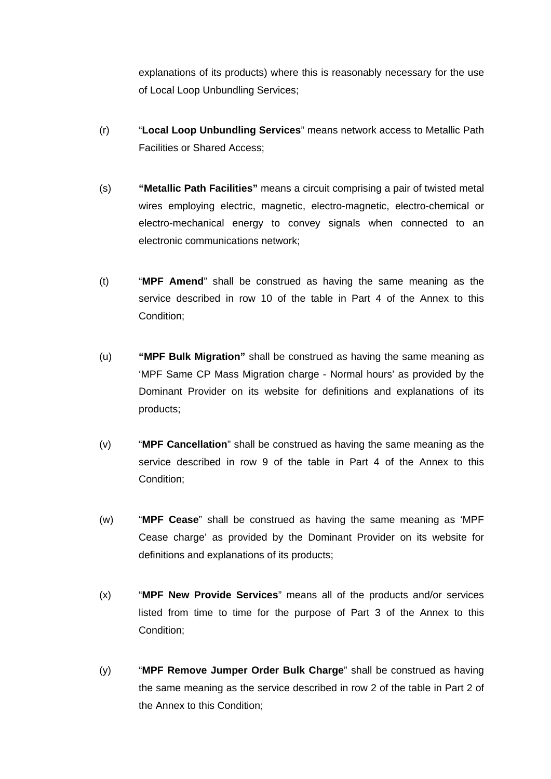explanations of its products) where this is reasonably necessary for the use of Local Loop Unbundling Services;

- (r) "**Local Loop Unbundling Services**" means network access to Metallic Path Facilities or Shared Access;
- (s) **"Metallic Path Facilities"** means a circuit comprising a pair of twisted metal wires employing electric, magnetic, electro-magnetic, electro-chemical or electro-mechanical energy to convey signals when connected to an electronic communications network;
- (t) "**MPF Amend**" shall be construed as having the same meaning as the service described in row 10 of the table in Part 4 of the Annex to this Condition;
- (u) **"MPF Bulk Migration"** shall be construed as having the same meaning as 'MPF Same CP Mass Migration charge - Normal hours' as provided by the Dominant Provider on its website for definitions and explanations of its products;
- (v) "**MPF Cancellation**" shall be construed as having the same meaning as the service described in row 9 of the table in Part 4 of the Annex to this Condition;
- (w) "**MPF Cease**" shall be construed as having the same meaning as 'MPF Cease charge' as provided by the Dominant Provider on its website for definitions and explanations of its products;
- (x) "**MPF New Provide Services**" means all of the products and/or services listed from time to time for the purpose of Part 3 of the Annex to this Condition;
- (y) "**MPF Remove Jumper Order Bulk Charge**" shall be construed as having the same meaning as the service described in row 2 of the table in Part 2 of the Annex to this Condition;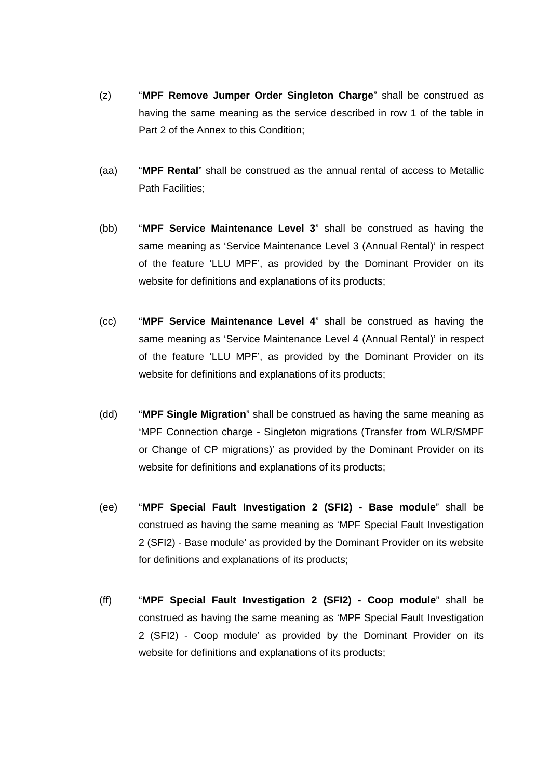- (z) "**MPF Remove Jumper Order Singleton Charge**" shall be construed as having the same meaning as the service described in row 1 of the table in Part 2 of the Annex to this Condition;
- (aa) "**MPF Rental**" shall be construed as the annual rental of access to Metallic Path Facilities;
- (bb) "**MPF Service Maintenance Level 3**" shall be construed as having the same meaning as 'Service Maintenance Level 3 (Annual Rental)' in respect of the feature 'LLU MPF', as provided by the Dominant Provider on its website for definitions and explanations of its products;
- (cc) "**MPF Service Maintenance Level 4**" shall be construed as having the same meaning as 'Service Maintenance Level 4 (Annual Rental)' in respect of the feature 'LLU MPF', as provided by the Dominant Provider on its website for definitions and explanations of its products;
- (dd) "**MPF Single Migration**" shall be construed as having the same meaning as 'MPF Connection charge - Singleton migrations (Transfer from WLR/SMPF or Change of CP migrations)' as provided by the Dominant Provider on its website for definitions and explanations of its products;
- (ee) "**MPF Special Fault Investigation 2 (SFI2) - Base module**" shall be construed as having the same meaning as 'MPF Special Fault Investigation 2 (SFI2) - Base module' as provided by the Dominant Provider on its website for definitions and explanations of its products;
- (ff) "**MPF Special Fault Investigation 2 (SFI2) - Coop module**" shall be construed as having the same meaning as 'MPF Special Fault Investigation 2 (SFI2) - Coop module' as provided by the Dominant Provider on its website for definitions and explanations of its products;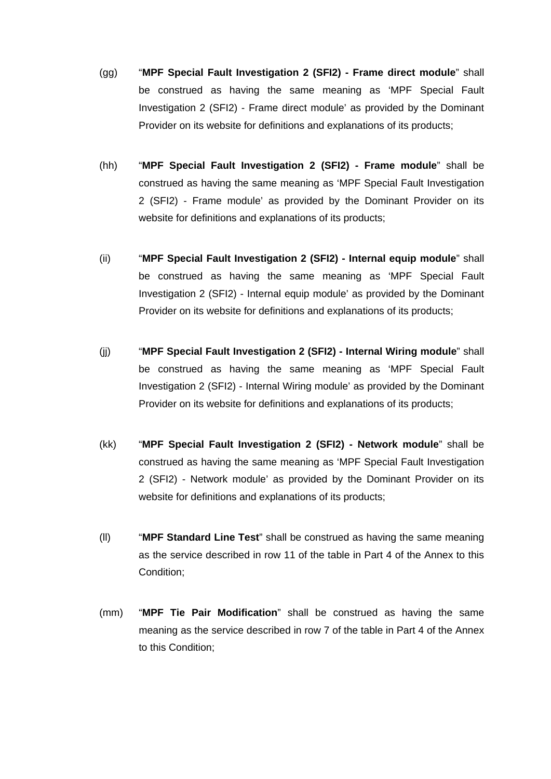- (gg) "**MPF Special Fault Investigation 2 (SFI2) - Frame direct module**" shall be construed as having the same meaning as 'MPF Special Fault Investigation 2 (SFI2) - Frame direct module' as provided by the Dominant Provider on its website for definitions and explanations of its products;
- (hh) "**MPF Special Fault Investigation 2 (SFI2) - Frame module**" shall be construed as having the same meaning as 'MPF Special Fault Investigation 2 (SFI2) - Frame module' as provided by the Dominant Provider on its website for definitions and explanations of its products;
- (ii) "**MPF Special Fault Investigation 2 (SFI2) - Internal equip module**" shall be construed as having the same meaning as 'MPF Special Fault Investigation 2 (SFI2) - Internal equip module' as provided by the Dominant Provider on its website for definitions and explanations of its products;
- (jj) "**MPF Special Fault Investigation 2 (SFI2) - Internal Wiring module**" shall be construed as having the same meaning as 'MPF Special Fault Investigation 2 (SFI2) - Internal Wiring module' as provided by the Dominant Provider on its website for definitions and explanations of its products;
- (kk) "**MPF Special Fault Investigation 2 (SFI2) - Network module**" shall be construed as having the same meaning as 'MPF Special Fault Investigation 2 (SFI2) - Network module' as provided by the Dominant Provider on its website for definitions and explanations of its products;
- (ll) "**MPF Standard Line Test**" shall be construed as having the same meaning as the service described in row 11 of the table in Part 4 of the Annex to this Condition;
- (mm) "**MPF Tie Pair Modification**" shall be construed as having the same meaning as the service described in row 7 of the table in Part 4 of the Annex to this Condition;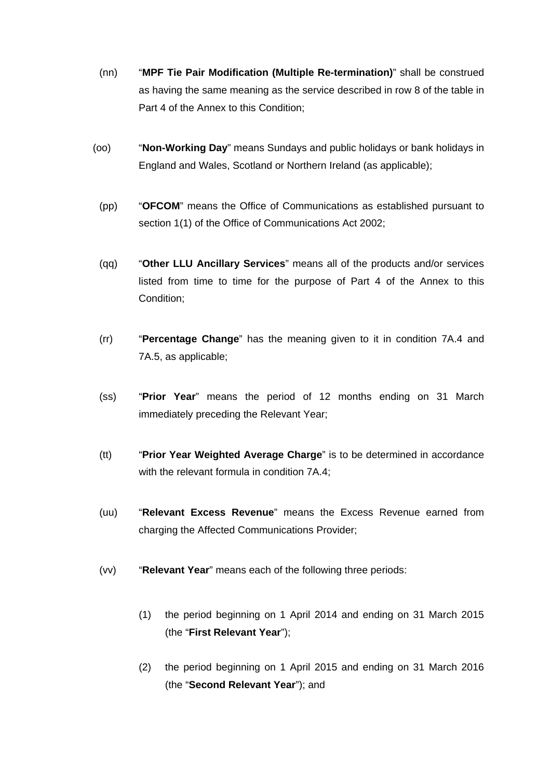- (nn) "**MPF Tie Pair Modification (Multiple Re-termination)**" shall be construed as having the same meaning as the service described in row 8 of the table in Part 4 of the Annex to this Condition;
- (oo) "**Non-Working Day**" means Sundays and public holidays or bank holidays in England and Wales, Scotland or Northern Ireland (as applicable);
	- (pp) "**OFCOM**" means the Office of Communications as established pursuant to section 1(1) of the Office of Communications Act 2002;
	- (qq) "**Other LLU Ancillary Services**" means all of the products and/or services listed from time to time for the purpose of Part 4 of the Annex to this Condition;
	- (rr) "**Percentage Change**" has the meaning given to it in condition 7A.4 and 7A.5, as applicable;
	- (ss) "**Prior Year**" means the period of 12 months ending on 31 March immediately preceding the Relevant Year;
	- (tt) "**Prior Year Weighted Average Charge**" is to be determined in accordance with the relevant formula in condition 7A.4:
	- (uu) "**Relevant Excess Revenue**" means the Excess Revenue earned from charging the Affected Communications Provider;
	- (vv) "**Relevant Year**" means each of the following three periods:
		- (1) the period beginning on 1 April 2014 and ending on 31 March 2015 (the "**First Relevant Year**");
		- (2) the period beginning on 1 April 2015 and ending on 31 March 2016 (the "**Second Relevant Year**"); and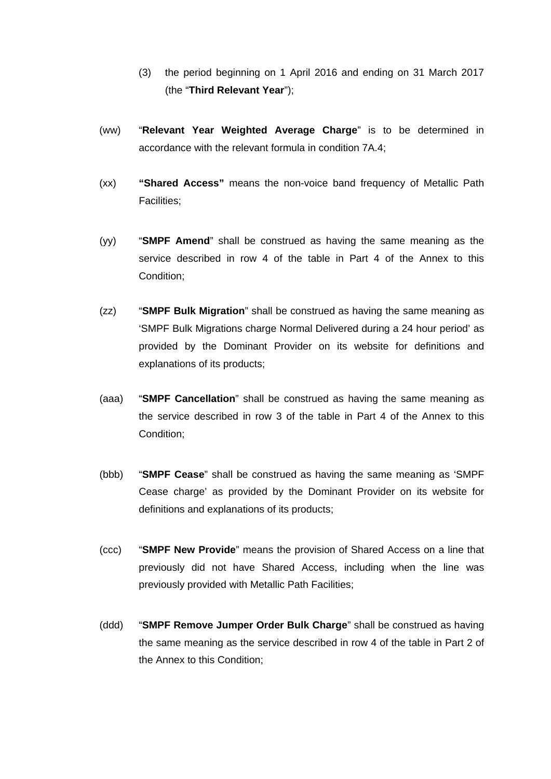- (3) the period beginning on 1 April 2016 and ending on 31 March 2017 (the "**Third Relevant Year**");
- (ww) "**Relevant Year Weighted Average Charge**" is to be determined in accordance with the relevant formula in condition 7A.4;
- (xx) **"Shared Access"** means the non-voice band frequency of Metallic Path Facilities;
- (yy) "**SMPF Amend**" shall be construed as having the same meaning as the service described in row 4 of the table in Part 4 of the Annex to this Condition;
- (zz) "**SMPF Bulk Migration**" shall be construed as having the same meaning as 'SMPF Bulk Migrations charge Normal Delivered during a 24 hour period' as provided by the Dominant Provider on its website for definitions and explanations of its products;
- (aaa) "**SMPF Cancellation**" shall be construed as having the same meaning as the service described in row 3 of the table in Part 4 of the Annex to this Condition;
- (bbb) "**SMPF Cease**" shall be construed as having the same meaning as 'SMPF Cease charge' as provided by the Dominant Provider on its website for definitions and explanations of its products;
- (ccc) "**SMPF New Provide**" means the provision of Shared Access on a line that previously did not have Shared Access, including when the line was previously provided with Metallic Path Facilities;
- (ddd) "**SMPF Remove Jumper Order Bulk Charge**" shall be construed as having the same meaning as the service described in row 4 of the table in Part 2 of the Annex to this Condition;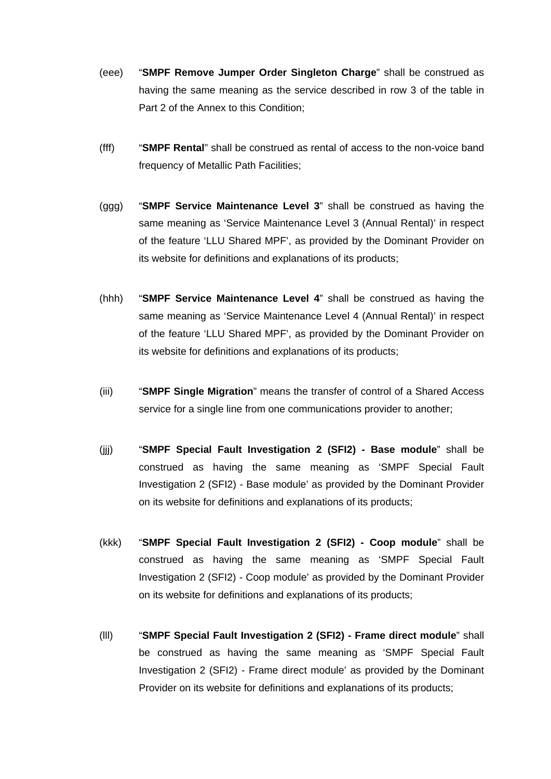- (eee) "**SMPF Remove Jumper Order Singleton Charge**" shall be construed as having the same meaning as the service described in row 3 of the table in Part 2 of the Annex to this Condition;
- (fff) "**SMPF Rental**" shall be construed as rental of access to the non-voice band frequency of Metallic Path Facilities;
- (ggg) "**SMPF Service Maintenance Level 3**" shall be construed as having the same meaning as 'Service Maintenance Level 3 (Annual Rental)' in respect of the feature 'LLU Shared MPF', as provided by the Dominant Provider on its website for definitions and explanations of its products;
- (hhh) "**SMPF Service Maintenance Level 4**" shall be construed as having the same meaning as 'Service Maintenance Level 4 (Annual Rental)' in respect of the feature 'LLU Shared MPF', as provided by the Dominant Provider on its website for definitions and explanations of its products;
- (iii) "**SMPF Single Migration**" means the transfer of control of a Shared Access service for a single line from one communications provider to another;
- (jjj) "**SMPF Special Fault Investigation 2 (SFI2) - Base module**" shall be construed as having the same meaning as 'SMPF Special Fault Investigation 2 (SFI2) - Base module' as provided by the Dominant Provider on its website for definitions and explanations of its products;
- (kkk) "**SMPF Special Fault Investigation 2 (SFI2) - Coop module**" shall be construed as having the same meaning as 'SMPF Special Fault Investigation 2 (SFI2) - Coop module' as provided by the Dominant Provider on its website for definitions and explanations of its products;
- (lll) "**SMPF Special Fault Investigation 2 (SFI2) - Frame direct module**" shall be construed as having the same meaning as 'SMPF Special Fault Investigation 2 (SFI2) - Frame direct module' as provided by the Dominant Provider on its website for definitions and explanations of its products;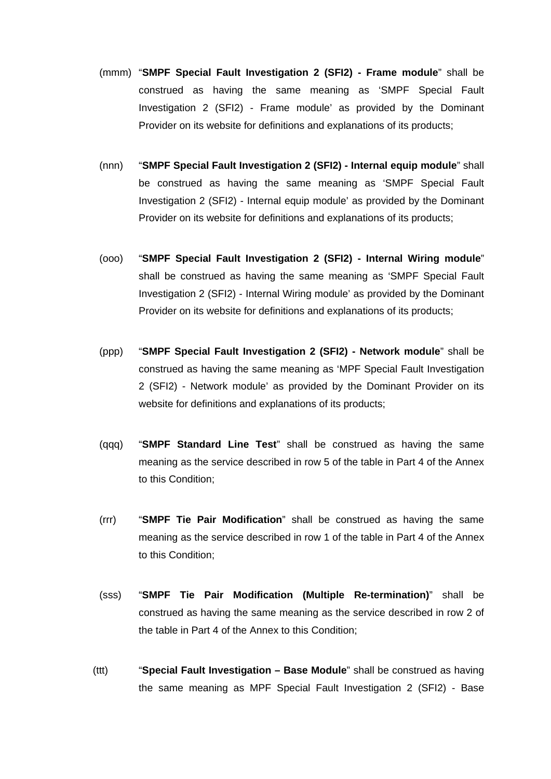- (mmm) "**SMPF Special Fault Investigation 2 (SFI2) - Frame module**" shall be construed as having the same meaning as 'SMPF Special Fault Investigation 2 (SFI2) - Frame module' as provided by the Dominant Provider on its website for definitions and explanations of its products;
- (nnn) "**SMPF Special Fault Investigation 2 (SFI2) - Internal equip module**" shall be construed as having the same meaning as 'SMPF Special Fault Investigation 2 (SFI2) - Internal equip module' as provided by the Dominant Provider on its website for definitions and explanations of its products;
- (ooo) "**SMPF Special Fault Investigation 2 (SFI2) - Internal Wiring module**" shall be construed as having the same meaning as 'SMPF Special Fault Investigation 2 (SFI2) - Internal Wiring module' as provided by the Dominant Provider on its website for definitions and explanations of its products;
- (ppp) "**SMPF Special Fault Investigation 2 (SFI2) - Network module**" shall be construed as having the same meaning as 'MPF Special Fault Investigation 2 (SFI2) - Network module' as provided by the Dominant Provider on its website for definitions and explanations of its products;
- (qqq) "**SMPF Standard Line Test**" shall be construed as having the same meaning as the service described in row 5 of the table in Part 4 of the Annex to this Condition;
- (rrr) "**SMPF Tie Pair Modification**" shall be construed as having the same meaning as the service described in row 1 of the table in Part 4 of the Annex to this Condition;
- (sss) "**SMPF Tie Pair Modification (Multiple Re-termination)**" shall be construed as having the same meaning as the service described in row 2 of the table in Part 4 of the Annex to this Condition;
- (ttt) "**Special Fault Investigation – Base Module**" shall be construed as having the same meaning as MPF Special Fault Investigation 2 (SFI2) - Base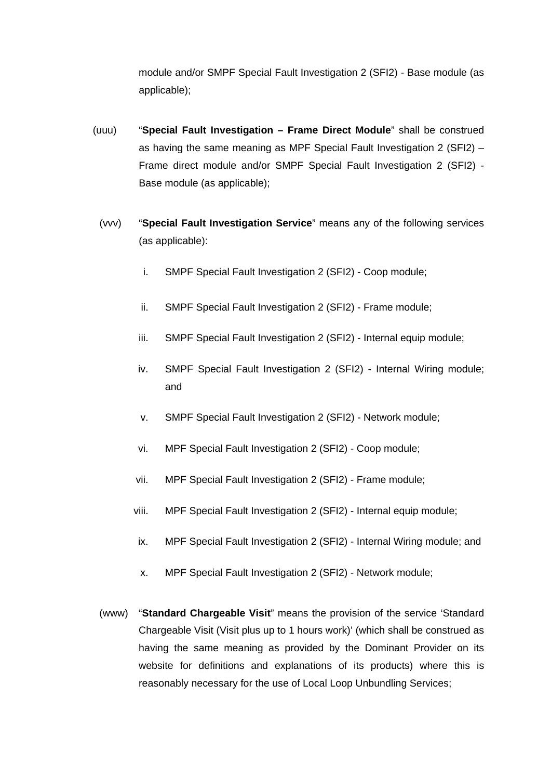module and/or SMPF Special Fault Investigation 2 (SFI2) - Base module (as applicable);

- (uuu) "**Special Fault Investigation – Frame Direct Module**" shall be construed as having the same meaning as MPF Special Fault Investigation 2 (SFI2) – Frame direct module and/or SMPF Special Fault Investigation 2 (SFI2) - Base module (as applicable);
	- (vvv) "**Special Fault Investigation Service**" means any of the following services (as applicable):
		- i. SMPF Special Fault Investigation 2 (SFI2) Coop module;
		- ii. SMPF Special Fault Investigation 2 (SFI2) Frame module;
		- iii. SMPF Special Fault Investigation 2 (SFI2) Internal equip module;
		- iv. SMPF Special Fault Investigation 2 (SFI2) Internal Wiring module; and
		- v. SMPF Special Fault Investigation 2 (SFI2) Network module;
		- vi. MPF Special Fault Investigation 2 (SFI2) Coop module;
		- vii. MPF Special Fault Investigation 2 (SFI2) Frame module;
		- viii. MPF Special Fault Investigation 2 (SFI2) Internal equip module;
		- ix. MPF Special Fault Investigation 2 (SFI2) Internal Wiring module; and
		- x. MPF Special Fault Investigation 2 (SFI2) Network module;
	- (www) "**Standard Chargeable Visit**" means the provision of the service 'Standard Chargeable Visit (Visit plus up to 1 hours work)' (which shall be construed as having the same meaning as provided by the Dominant Provider on its website for definitions and explanations of its products) where this is reasonably necessary for the use of Local Loop Unbundling Services;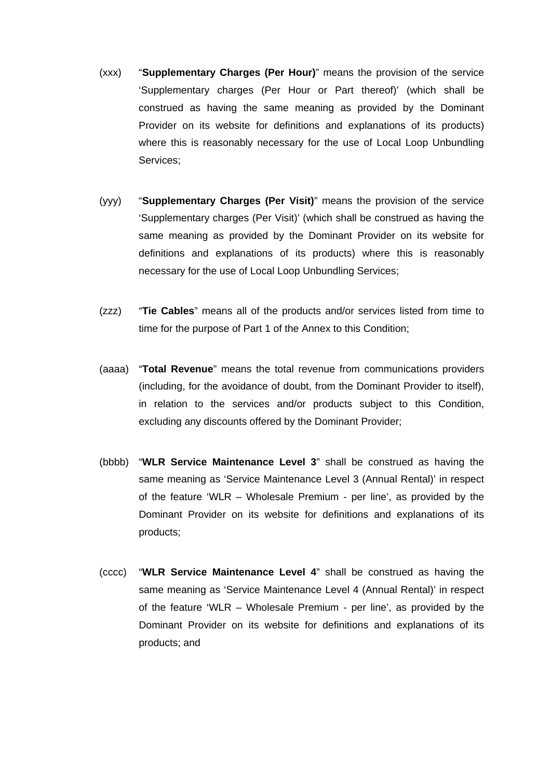- (xxx) "**Supplementary Charges (Per Hour)**" means the provision of the service 'Supplementary charges (Per Hour or Part thereof)' (which shall be construed as having the same meaning as provided by the Dominant Provider on its website for definitions and explanations of its products) where this is reasonably necessary for the use of Local Loop Unbundling Services;
- (yyy) "**Supplementary Charges (Per Visit)**" means the provision of the service 'Supplementary charges (Per Visit)' (which shall be construed as having the same meaning as provided by the Dominant Provider on its website for definitions and explanations of its products) where this is reasonably necessary for the use of Local Loop Unbundling Services;
- (zzz) "**Tie Cables**" means all of the products and/or services listed from time to time for the purpose of Part 1 of the Annex to this Condition;
- (aaaa) "**Total Revenue**" means the total revenue from communications providers (including, for the avoidance of doubt, from the Dominant Provider to itself), in relation to the services and/or products subject to this Condition, excluding any discounts offered by the Dominant Provider;
- (bbbb) "**WLR Service Maintenance Level 3**" shall be construed as having the same meaning as 'Service Maintenance Level 3 (Annual Rental)' in respect of the feature 'WLR – Wholesale Premium - per line', as provided by the Dominant Provider on its website for definitions and explanations of its products;
- (cccc) "**WLR Service Maintenance Level 4**" shall be construed as having the same meaning as 'Service Maintenance Level 4 (Annual Rental)' in respect of the feature 'WLR – Wholesale Premium - per line', as provided by the Dominant Provider on its website for definitions and explanations of its products; and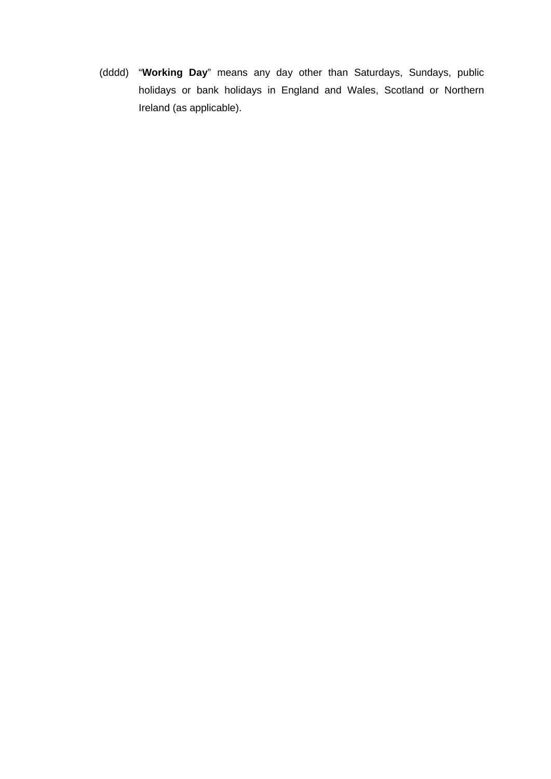(dddd) "**Working Day**" means any day other than Saturdays, Sundays, public holidays or bank holidays in England and Wales, Scotland or Northern Ireland (as applicable).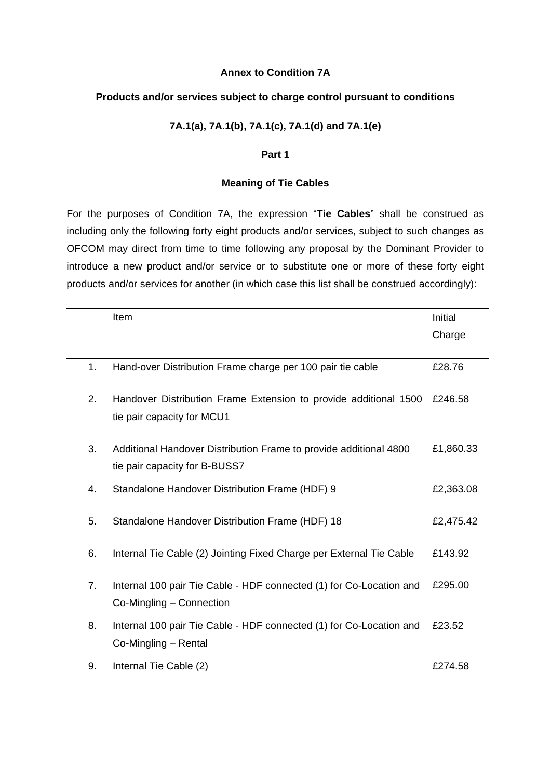#### **Annex to Condition 7A**

#### **Products and/or services subject to charge control pursuant to conditions**

### **7A.1(a), 7A.1(b), 7A.1(c), 7A.1(d) and 7A.1(e)**

#### **Part 1**

#### **Meaning of Tie Cables**

For the purposes of Condition 7A, the expression "**Tie Cables**" shall be construed as including only the following forty eight products and/or services, subject to such changes as OFCOM may direct from time to time following any proposal by the Dominant Provider to introduce a new product and/or service or to substitute one or more of these forty eight products and/or services for another (in which case this list shall be construed accordingly):

|    | Item                                                                                               | Initial   |
|----|----------------------------------------------------------------------------------------------------|-----------|
|    |                                                                                                    | Charge    |
| 1. | Hand-over Distribution Frame charge per 100 pair tie cable                                         | £28.76    |
| 2. | Handover Distribution Frame Extension to provide additional 1500<br>tie pair capacity for MCU1     | £246.58   |
| 3. | Additional Handover Distribution Frame to provide additional 4800<br>tie pair capacity for B-BUSS7 | £1,860.33 |
| 4. | Standalone Handover Distribution Frame (HDF) 9                                                     | £2,363.08 |
| 5. | Standalone Handover Distribution Frame (HDF) 18                                                    | £2,475.42 |
| 6. | Internal Tie Cable (2) Jointing Fixed Charge per External Tie Cable                                | £143.92   |
| 7. | Internal 100 pair Tie Cable - HDF connected (1) for Co-Location and<br>Co-Mingling - Connection    | £295.00   |
| 8. | Internal 100 pair Tie Cable - HDF connected (1) for Co-Location and<br>Co-Mingling - Rental        | £23.52    |
| 9. | Internal Tie Cable (2)                                                                             | £274.58   |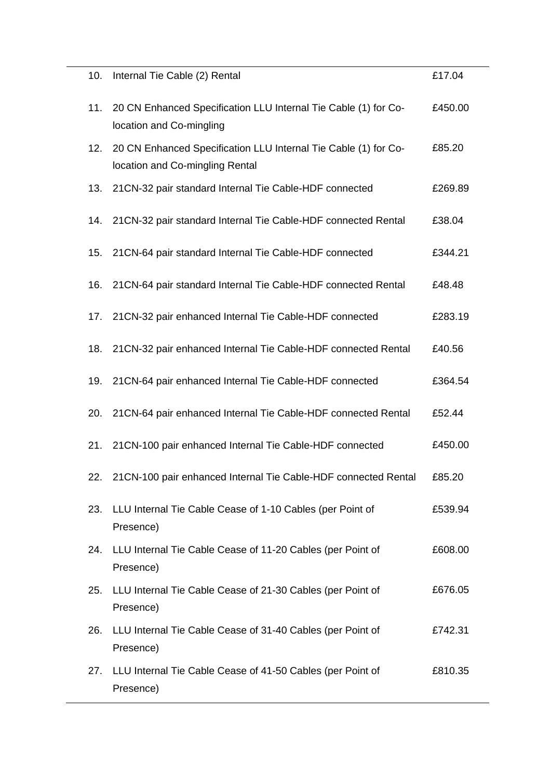| 10. | Internal Tie Cable (2) Rental                                                                      | £17.04  |
|-----|----------------------------------------------------------------------------------------------------|---------|
| 11. | 20 CN Enhanced Specification LLU Internal Tie Cable (1) for Co-<br>location and Co-mingling        | £450.00 |
| 12. | 20 CN Enhanced Specification LLU Internal Tie Cable (1) for Co-<br>location and Co-mingling Rental | £85.20  |
| 13. | 21CN-32 pair standard Internal Tie Cable-HDF connected                                             | £269.89 |
| 14. | 21CN-32 pair standard Internal Tie Cable-HDF connected Rental                                      | £38.04  |
| 15. | 21CN-64 pair standard Internal Tie Cable-HDF connected                                             | £344.21 |
| 16. | 21CN-64 pair standard Internal Tie Cable-HDF connected Rental                                      | £48.48  |
| 17. | 21CN-32 pair enhanced Internal Tie Cable-HDF connected                                             | £283.19 |
| 18. | 21CN-32 pair enhanced Internal Tie Cable-HDF connected Rental                                      | £40.56  |
| 19. | 21CN-64 pair enhanced Internal Tie Cable-HDF connected                                             | £364.54 |
| 20. | 21CN-64 pair enhanced Internal Tie Cable-HDF connected Rental                                      | £52.44  |
| 21. | 21CN-100 pair enhanced Internal Tie Cable-HDF connected                                            | £450.00 |
| 22. | 21CN-100 pair enhanced Internal Tie Cable-HDF connected Rental                                     | £85.20  |
| 23. | LLU Internal Tie Cable Cease of 1-10 Cables (per Point of<br>Presence)                             | £539.94 |
| 24. | LLU Internal Tie Cable Cease of 11-20 Cables (per Point of<br>Presence)                            | £608.00 |
| 25. | LLU Internal Tie Cable Cease of 21-30 Cables (per Point of<br>Presence)                            | £676.05 |
| 26. | LLU Internal Tie Cable Cease of 31-40 Cables (per Point of<br>Presence)                            | £742.31 |
| 27. | LLU Internal Tie Cable Cease of 41-50 Cables (per Point of<br>Presence)                            | £810.35 |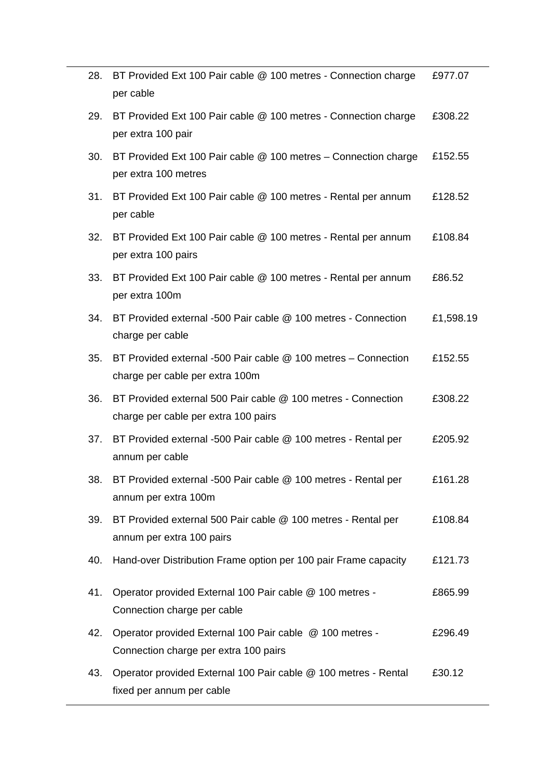| 28. | BT Provided Ext 100 Pair cable @ 100 metres - Connection charge<br>per cable                          | £977.07   |
|-----|-------------------------------------------------------------------------------------------------------|-----------|
| 29. | BT Provided Ext 100 Pair cable @ 100 metres - Connection charge<br>per extra 100 pair                 | £308.22   |
| 30. | BT Provided Ext 100 Pair cable @ 100 metres - Connection charge<br>per extra 100 metres               | £152.55   |
| 31. | BT Provided Ext 100 Pair cable @ 100 metres - Rental per annum<br>per cable                           | £128.52   |
| 32. | BT Provided Ext 100 Pair cable @ 100 metres - Rental per annum<br>per extra 100 pairs                 | £108.84   |
| 33. | BT Provided Ext 100 Pair cable @ 100 metres - Rental per annum<br>per extra 100m                      | £86.52    |
| 34. | BT Provided external -500 Pair cable @ 100 metres - Connection<br>charge per cable                    | £1,598.19 |
| 35. | BT Provided external -500 Pair cable @ 100 metres - Connection<br>charge per cable per extra 100m     | £152.55   |
| 36. | BT Provided external 500 Pair cable @ 100 metres - Connection<br>charge per cable per extra 100 pairs | £308.22   |
| 37. | BT Provided external -500 Pair cable @ 100 metres - Rental per<br>annum per cable                     | £205.92   |
| 38. | BT Provided external -500 Pair cable @ 100 metres - Rental per<br>annum per extra 100m                | £161.28   |
| 39. | BT Provided external 500 Pair cable @ 100 metres - Rental per<br>annum per extra 100 pairs            | £108.84   |
| 40. | Hand-over Distribution Frame option per 100 pair Frame capacity                                       | £121.73   |
| 41. | Operator provided External 100 Pair cable @ 100 metres -<br>Connection charge per cable               | £865.99   |
| 42. | Operator provided External 100 Pair cable @ 100 metres -<br>Connection charge per extra 100 pairs     | £296.49   |
| 43. | Operator provided External 100 Pair cable @ 100 metres - Rental<br>fixed per annum per cable          | £30.12    |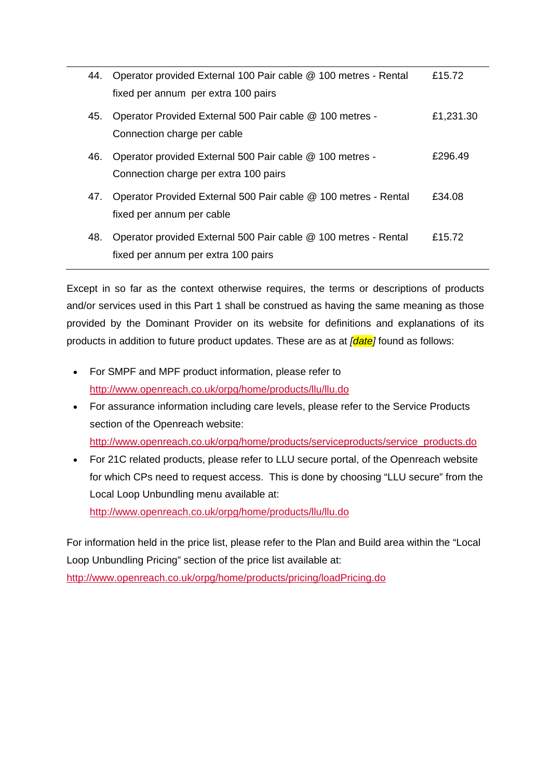| 44. | Operator provided External 100 Pair cable @ 100 metres - Rental | £15.72    |
|-----|-----------------------------------------------------------------|-----------|
|     | fixed per annum per extra 100 pairs                             |           |
| 45. | Operator Provided External 500 Pair cable @ 100 metres -        | £1,231.30 |
|     | Connection charge per cable                                     |           |
| 46. | Operator provided External 500 Pair cable @ 100 metres -        | £296.49   |
|     | Connection charge per extra 100 pairs                           |           |
| 47. | Operator Provided External 500 Pair cable @ 100 metres - Rental | £34.08    |
|     | fixed per annum per cable                                       |           |
| 48. | Operator provided External 500 Pair cable @ 100 metres - Rental | £15.72    |
|     | fixed per annum per extra 100 pairs                             |           |

Except in so far as the context otherwise requires, the terms or descriptions of products and/or services used in this Part 1 shall be construed as having the same meaning as those provided by the Dominant Provider on its website for definitions and explanations of its products in addition to future product updates. These are as at *[date]* found as follows:

- For SMPF and MPF product information, please refer to <http://www.openreach.co.uk/orpg/home/products/llu/llu.do>
- For assurance information including care levels, please refer to the Service Products section of the Openreach website: [http://www.openreach.co.uk/orpg/home/products/serviceproducts/service\\_products.do](http://www.openreach.co.uk/orpg/home/products/serviceproducts/service_products.do)
- For 21C related products, please refer to LLU secure portal, of the Openreach website for which CPs need to request access. This is done by choosing "LLU secure" from the Local Loop Unbundling menu available at: <http://www.openreach.co.uk/orpg/home/products/llu/llu.do>

For information held in the price list, please refer to the Plan and Build area within the "Local Loop Unbundling Pricing" section of the price list available at:

<http://www.openreach.co.uk/orpg/home/products/pricing/loadPricing.do>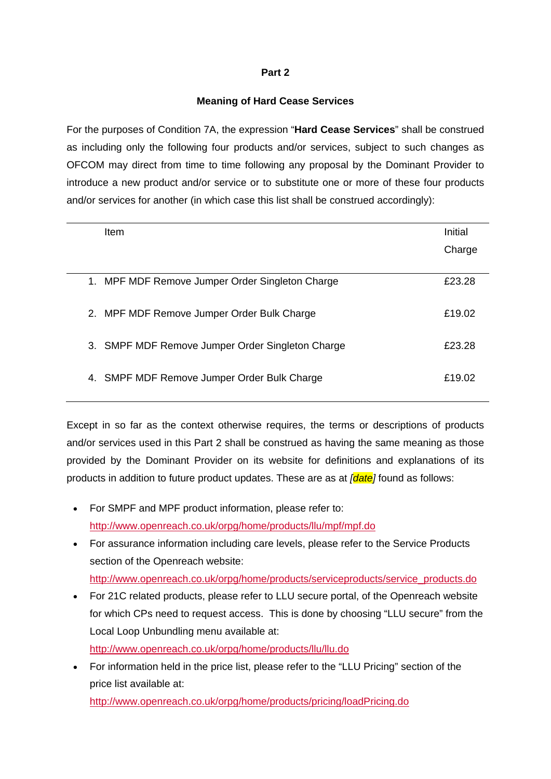## **Meaning of Hard Cease Services**

For the purposes of Condition 7A, the expression "**Hard Cease Services**" shall be construed as including only the following four products and/or services, subject to such changes as OFCOM may direct from time to time following any proposal by the Dominant Provider to introduce a new product and/or service or to substitute one or more of these four products and/or services for another (in which case this list shall be construed accordingly):

| Item                                             | Initial |
|--------------------------------------------------|---------|
|                                                  | Charge  |
|                                                  |         |
| 1. MPF MDF Remove Jumper Order Singleton Charge  | £23.28  |
| 2. MPF MDF Remove Jumper Order Bulk Charge       | £19.02  |
|                                                  |         |
| 3. SMPF MDF Remove Jumper Order Singleton Charge | £23.28  |
| 4. SMPF MDF Remove Jumper Order Bulk Charge      | £19.02  |
|                                                  |         |

Except in so far as the context otherwise requires, the terms or descriptions of products and/or services used in this Part 2 shall be construed as having the same meaning as those provided by the Dominant Provider on its website for definitions and explanations of its products in addition to future product updates. These are as at *[date]* found as follows:

- For SMPF and MPF product information, please refer to: <http://www.openreach.co.uk/orpg/home/products/llu/mpf/mpf.do>
- For assurance information including care levels, please refer to the Service Products section of the Openreach website:

[http://www.openreach.co.uk/orpg/home/products/serviceproducts/service\\_products.do](http://www.openreach.co.uk/orpg/home/products/serviceproducts/service_products.do) 

• For 21C related products, please refer to LLU secure portal, of the Openreach website for which CPs need to request access. This is done by choosing "LLU secure" from the Local Loop Unbundling menu available at: <http://www.openreach.co.uk/orpg/home/products/llu/llu.do>

• For information held in the price list, please refer to the "LLU Pricing" section of the price list available at: <http://www.openreach.co.uk/orpg/home/products/pricing/loadPricing.do>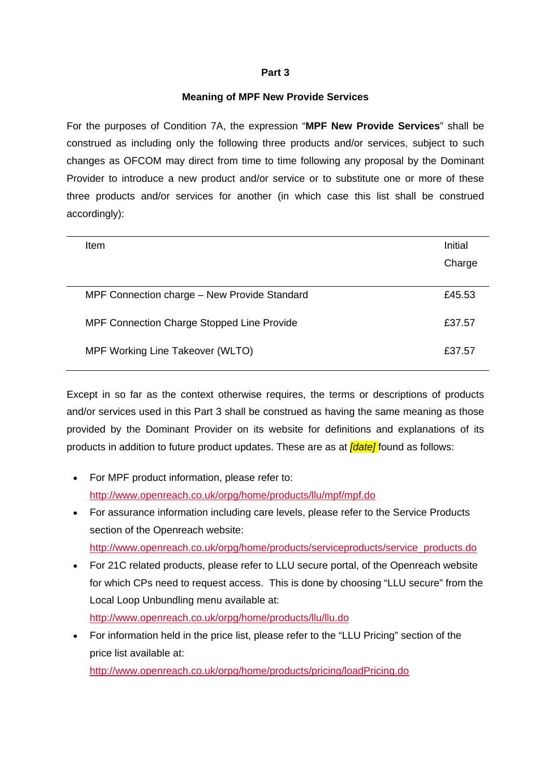## **Meaning of MPF New Provide Services**

For the purposes of Condition 7A, the expression "**MPF New Provide Services**" shall be construed as including only the following three products and/or services, subject to such changes as OFCOM may direct from time to time following any proposal by the Dominant Provider to introduce a new product and/or service or to substitute one or more of these three products and/or services for another (in which case this list shall be construed accordingly):

| <b>Item</b>                                       | Initial |
|---------------------------------------------------|---------|
|                                                   | Charge  |
|                                                   |         |
| MPF Connection charge - New Provide Standard      | £45.53  |
| <b>MPF Connection Charge Stopped Line Provide</b> | £37.57  |
| MPF Working Line Takeover (WLTO)                  | £37.57  |
|                                                   |         |

Except in so far as the context otherwise requires, the terms or descriptions of products and/or services used in this Part 3 shall be construed as having the same meaning as those provided by the Dominant Provider on its website for definitions and explanations of its products in addition to future product updates. These are as at *[date]* found as follows:

- For MPF product information, please refer to: <http://www.openreach.co.uk/orpg/home/products/llu/mpf/mpf.do>
- For assurance information including care levels, please refer to the Service Products section of the Openreach website: [http://www.openreach.co.uk/orpg/home/products/serviceproducts/service\\_products.do](http://www.openreach.co.uk/orpg/home/products/serviceproducts/service_products.do)
- For 21C related products, please refer to LLU secure portal, of the Openreach website for which CPs need to request access. This is done by choosing "LLU secure" from the Local Loop Unbundling menu available at: <http://www.openreach.co.uk/orpg/home/products/llu/llu.do>
- For information held in the price list, please refer to the "LLU Pricing" section of the price list available at:

<http://www.openreach.co.uk/orpg/home/products/pricing/loadPricing.do>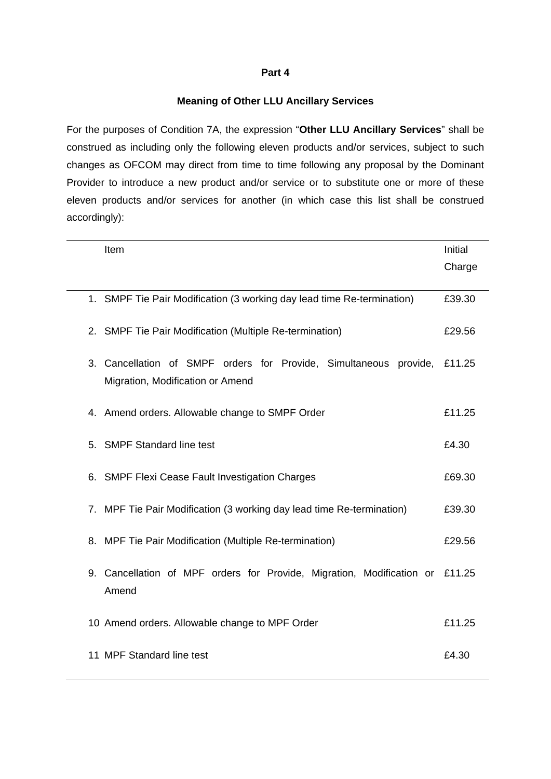### **Meaning of Other LLU Ancillary Services**

For the purposes of Condition 7A, the expression "**Other LLU Ancillary Services**" shall be construed as including only the following eleven products and/or services, subject to such changes as OFCOM may direct from time to time following any proposal by the Dominant Provider to introduce a new product and/or service or to substitute one or more of these eleven products and/or services for another (in which case this list shall be construed accordingly):

| Item                                                                                                  | Initial |
|-------------------------------------------------------------------------------------------------------|---------|
|                                                                                                       | Charge  |
| 1. SMPF Tie Pair Modification (3 working day lead time Re-termination)                                | £39.30  |
| 2. SMPF Tie Pair Modification (Multiple Re-termination)                                               | £29.56  |
| 3. Cancellation of SMPF orders for Provide, Simultaneous provide,<br>Migration, Modification or Amend | £11.25  |
| 4. Amend orders. Allowable change to SMPF Order                                                       | £11.25  |
| 5. SMPF Standard line test                                                                            | £4.30   |
| 6. SMPF Flexi Cease Fault Investigation Charges                                                       | £69.30  |
| 7. MPF Tie Pair Modification (3 working day lead time Re-termination)                                 | £39.30  |
| 8. MPF Tie Pair Modification (Multiple Re-termination)                                                | £29.56  |
| 9. Cancellation of MPF orders for Provide, Migration, Modification or<br>Amend                        | £11.25  |
| 10 Amend orders. Allowable change to MPF Order                                                        | £11.25  |
| 11 MPF Standard line test                                                                             | £4.30   |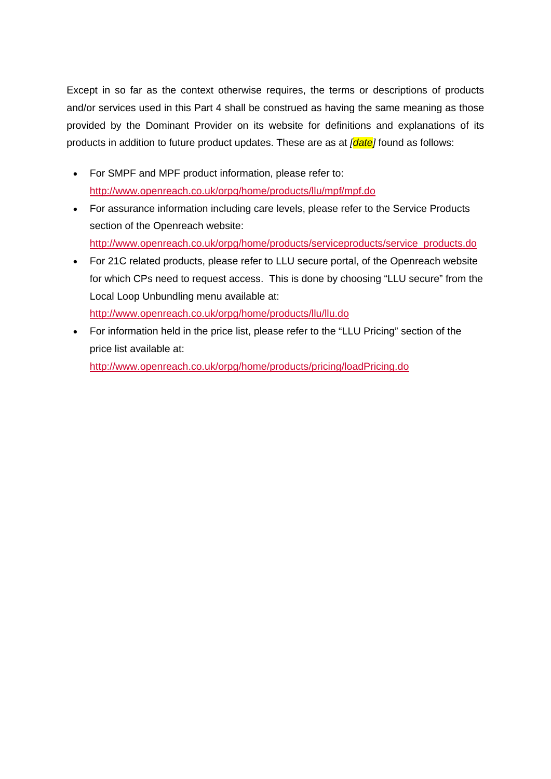Except in so far as the context otherwise requires, the terms or descriptions of products and/or services used in this Part 4 shall be construed as having the same meaning as those provided by the Dominant Provider on its website for definitions and explanations of its products in addition to future product updates. These are as at *[date]* found as follows:

- For SMPF and MPF product information, please refer to: <http://www.openreach.co.uk/orpg/home/products/llu/mpf/mpf.do>
- For assurance information including care levels, please refer to the Service Products section of the Openreach website: [http://www.openreach.co.uk/orpg/home/products/serviceproducts/service\\_products.do](http://www.openreach.co.uk/orpg/home/products/serviceproducts/service_products.do)
- For 21C related products, please refer to LLU secure portal, of the Openreach website for which CPs need to request access. This is done by choosing "LLU secure" from the Local Loop Unbundling menu available at: <http://www.openreach.co.uk/orpg/home/products/llu/llu.do>
- For information held in the price list, please refer to the "LLU Pricing" section of the price list available at: <http://www.openreach.co.uk/orpg/home/products/pricing/loadPricing.do>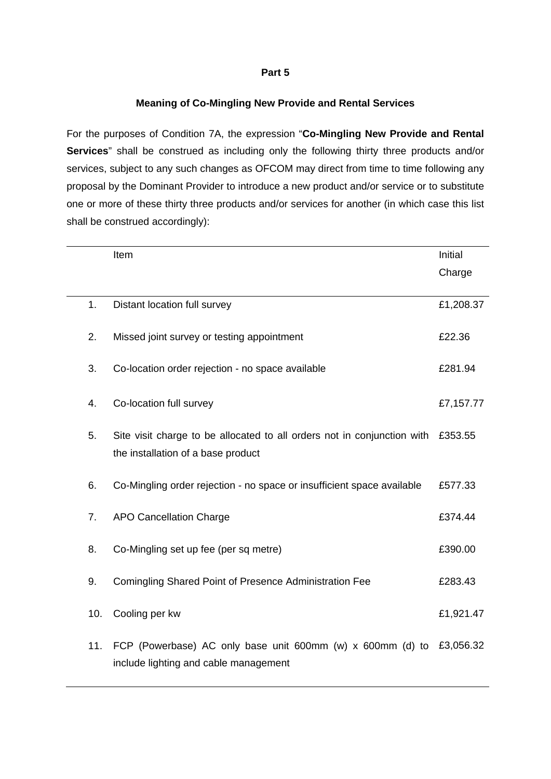# **Meaning of Co-Mingling New Provide and Rental Services**

For the purposes of Condition 7A, the expression "**Co-Mingling New Provide and Rental Services**" shall be construed as including only the following thirty three products and/or services, subject to any such changes as OFCOM may direct from time to time following any proposal by the Dominant Provider to introduce a new product and/or service or to substitute one or more of these thirty three products and/or services for another (in which case this list shall be construed accordingly):

|     | Item                                                                                                          | Initial   |
|-----|---------------------------------------------------------------------------------------------------------------|-----------|
|     |                                                                                                               | Charge    |
| 1.  | Distant location full survey                                                                                  | £1,208.37 |
| 2.  | Missed joint survey or testing appointment                                                                    | £22.36    |
| 3.  | Co-location order rejection - no space available                                                              | £281.94   |
| 4.  | Co-location full survey                                                                                       | £7,157.77 |
| 5.  | Site visit charge to be allocated to all orders not in conjunction with<br>the installation of a base product | £353.55   |
| 6.  | Co-Mingling order rejection - no space or insufficient space available                                        | £577.33   |
| 7.  | <b>APO Cancellation Charge</b>                                                                                | £374.44   |
| 8.  | Co-Mingling set up fee (per sq metre)                                                                         | £390.00   |
| 9.  | Comingling Shared Point of Presence Administration Fee                                                        | £283.43   |
| 10. | Cooling per kw                                                                                                | £1,921.47 |
| 11. | FCP (Powerbase) AC only base unit 600mm (w) x 600mm (d) to<br>include lighting and cable management           | £3,056.32 |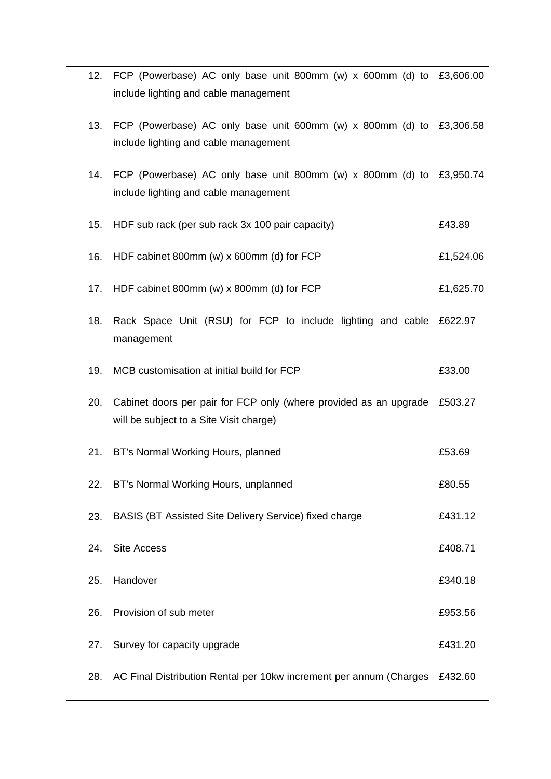|     | 12. FCP (Powerbase) AC only base unit 800mm (w) x 600mm (d) to £3,606.00<br>include lighting and cable management    |           |
|-----|----------------------------------------------------------------------------------------------------------------------|-----------|
| 13. | FCP (Powerbase) AC only base unit 600mm (w) x 800mm (d) to £3,306.58<br>include lighting and cable management        |           |
|     | 14. FCP (Powerbase) AC only base unit 800mm (w) x 800mm (d) to £3,950.74<br>include lighting and cable management    |           |
| 15. | HDF sub rack (per sub rack 3x 100 pair capacity)                                                                     | £43.89    |
| 16. | HDF cabinet 800mm (w) x 600mm (d) for FCP                                                                            | £1,524.06 |
| 17. | HDF cabinet 800mm (w) x 800mm (d) for FCP                                                                            | £1,625.70 |
| 18. | Rack Space Unit (RSU) for FCP to include lighting and cable £622.97<br>management                                    |           |
| 19. | MCB customisation at initial build for FCP                                                                           | £33.00    |
| 20. | Cabinet doors per pair for FCP only (where provided as an upgrade £503.27<br>will be subject to a Site Visit charge) |           |
| 21. | BT's Normal Working Hours, planned                                                                                   | £53.69    |
|     | 22. BT's Normal Working Hours, unplanned                                                                             | £80.55    |
| 23. | BASIS (BT Assisted Site Delivery Service) fixed charge                                                               | £431.12   |
| 24. | <b>Site Access</b>                                                                                                   | £408.71   |
| 25. | Handover                                                                                                             | £340.18   |
| 26. | Provision of sub meter                                                                                               | £953.56   |
| 27. | Survey for capacity upgrade                                                                                          | £431.20   |
| 28. | AC Final Distribution Rental per 10kw increment per annum (Charges                                                   | £432.60   |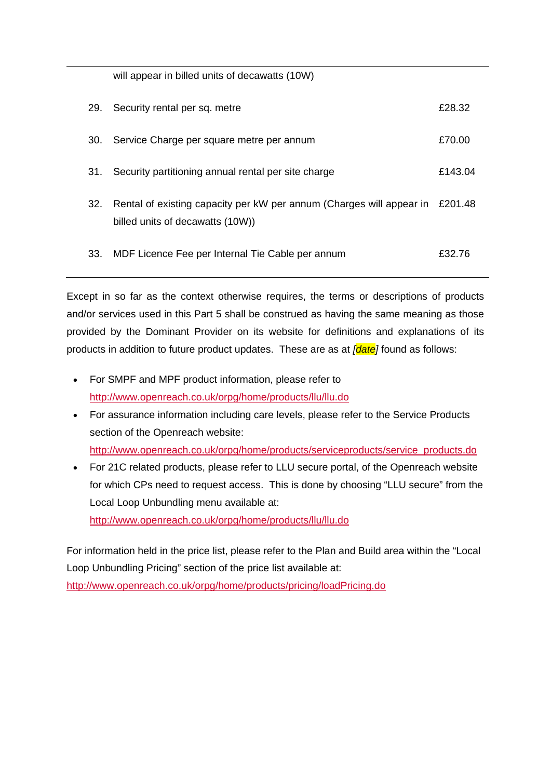will appear in billed units of decawatts (10W)

| 29.  | Security rental per sq. metre                                                                                    | £28.32  |
|------|------------------------------------------------------------------------------------------------------------------|---------|
| .30. | Service Charge per square metre per annum                                                                        | £70.00  |
| 31.  | Security partitioning annual rental per site charge                                                              | £143.04 |
| 32.  | Rental of existing capacity per kW per annum (Charges will appear in £201.48<br>billed units of decawatts (10W)) |         |
| 33.  | MDF Licence Fee per Internal Tie Cable per annum                                                                 | £32.76  |

Except in so far as the context otherwise requires, the terms or descriptions of products and/or services used in this Part 5 shall be construed as having the same meaning as those provided by the Dominant Provider on its website for definitions and explanations of its products in addition to future product updates. These are as at *[date]* found as follows:

- For SMPF and MPF product information, please refer to <http://www.openreach.co.uk/orpg/home/products/llu/llu.do>
- For assurance information including care levels, please refer to the Service Products section of the Openreach website:

[http://www.openreach.co.uk/orpg/home/products/serviceproducts/service\\_products.do](http://www.openreach.co.uk/orpg/home/products/serviceproducts/service_products.do)

• For 21C related products, please refer to LLU secure portal, of the Openreach website for which CPs need to request access. This is done by choosing "LLU secure" from the Local Loop Unbundling menu available at: <http://www.openreach.co.uk/orpg/home/products/llu/llu.do>

For information held in the price list, please refer to the Plan and Build area within the "Local Loop Unbundling Pricing" section of the price list available at:

<http://www.openreach.co.uk/orpg/home/products/pricing/loadPricing.do>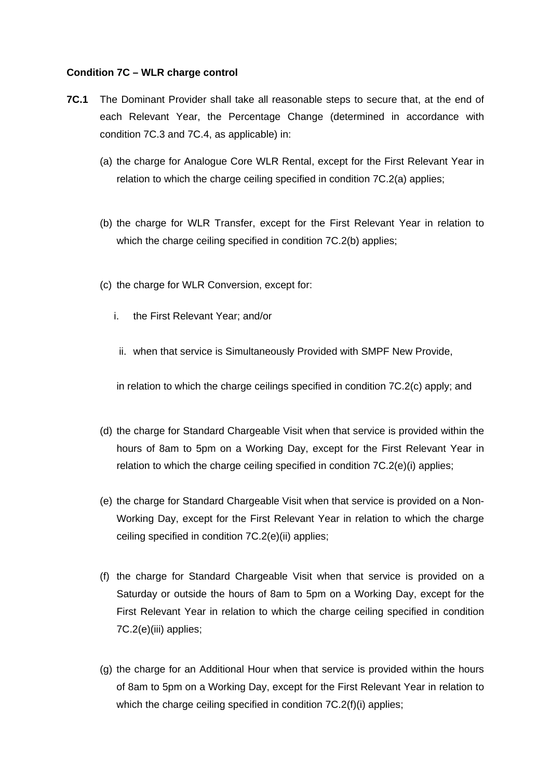### **Condition 7C – WLR charge control**

- **7C.1** The Dominant Provider shall take all reasonable steps to secure that, at the end of each Relevant Year, the Percentage Change (determined in accordance with condition 7C.3 and 7C.4, as applicable) in:
	- (a) the charge for Analogue Core WLR Rental, except for the First Relevant Year in relation to which the charge ceiling specified in condition 7C.2(a) applies;
	- (b) the charge for WLR Transfer, except for the First Relevant Year in relation to which the charge ceiling specified in condition 7C.2(b) applies;
	- (c) the charge for WLR Conversion, except for:
		- i. the First Relevant Year; and/or
			- ii. when that service is Simultaneously Provided with SMPF New Provide,

in relation to which the charge ceilings specified in condition 7C.2(c) apply; and

- (d) the charge for Standard Chargeable Visit when that service is provided within the hours of 8am to 5pm on a Working Day, except for the First Relevant Year in relation to which the charge ceiling specified in condition 7C.2(e)(i) applies;
- (e) the charge for Standard Chargeable Visit when that service is provided on a Non-Working Day, except for the First Relevant Year in relation to which the charge ceiling specified in condition 7C.2(e)(ii) applies;
- (f) the charge for Standard Chargeable Visit when that service is provided on a Saturday or outside the hours of 8am to 5pm on a Working Day, except for the First Relevant Year in relation to which the charge ceiling specified in condition 7C.2(e)(iii) applies;
- (g) the charge for an Additional Hour when that service is provided within the hours of 8am to 5pm on a Working Day, except for the First Relevant Year in relation to which the charge ceiling specified in condition 7C.2(f)(i) applies;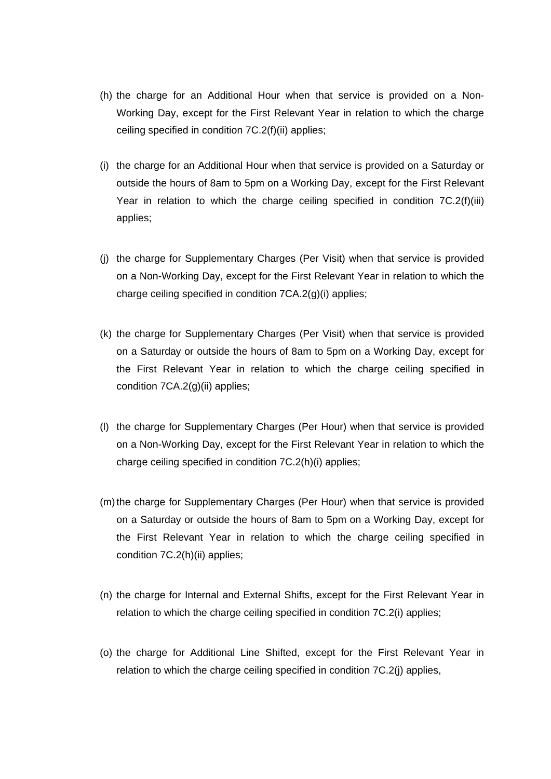- (h) the charge for an Additional Hour when that service is provided on a Non-Working Day, except for the First Relevant Year in relation to which the charge ceiling specified in condition 7C.2(f)(ii) applies;
- (i) the charge for an Additional Hour when that service is provided on a Saturday or outside the hours of 8am to 5pm on a Working Day, except for the First Relevant Year in relation to which the charge ceiling specified in condition 7C.2(f)(iii) applies;
- (j) the charge for Supplementary Charges (Per Visit) when that service is provided on a Non-Working Day, except for the First Relevant Year in relation to which the charge ceiling specified in condition 7CA.2(g)(i) applies;
- (k) the charge for Supplementary Charges (Per Visit) when that service is provided on a Saturday or outside the hours of 8am to 5pm on a Working Day, except for the First Relevant Year in relation to which the charge ceiling specified in condition 7CA.2(g)(ii) applies;
- (l) the charge for Supplementary Charges (Per Hour) when that service is provided on a Non-Working Day, except for the First Relevant Year in relation to which the charge ceiling specified in condition 7C.2(h)(i) applies;
- (m) the charge for Supplementary Charges (Per Hour) when that service is provided on a Saturday or outside the hours of 8am to 5pm on a Working Day, except for the First Relevant Year in relation to which the charge ceiling specified in condition 7C.2(h)(ii) applies;
- (n) the charge for Internal and External Shifts, except for the First Relevant Year in relation to which the charge ceiling specified in condition 7C.2(i) applies;
- (o) the charge for Additional Line Shifted, except for the First Relevant Year in relation to which the charge ceiling specified in condition 7C.2(j) applies,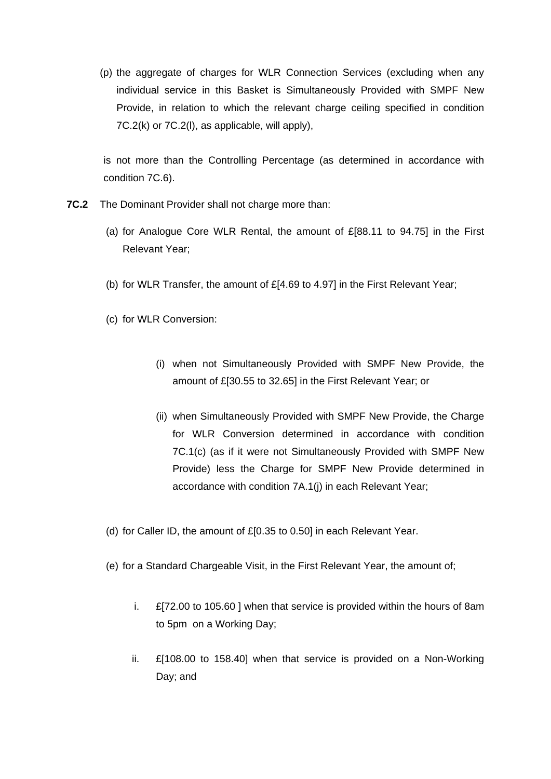(p) the aggregate of charges for WLR Connection Services (excluding when any individual service in this Basket is Simultaneously Provided with SMPF New Provide, in relation to which the relevant charge ceiling specified in condition 7C.2(k) or 7C.2(l), as applicable, will apply),

is not more than the Controlling Percentage (as determined in accordance with condition 7C.6).

- **7C.2** The Dominant Provider shall not charge more than:
	- (a) for Analogue Core WLR Rental, the amount of £[88.11 to 94.75] in the First Relevant Year;
	- (b) for WLR Transfer, the amount of £[4.69 to 4.97] in the First Relevant Year;
	- (c) for WLR Conversion:
		- (i) when not Simultaneously Provided with SMPF New Provide, the amount of £[30.55 to 32.65] in the First Relevant Year; or
		- (ii) when Simultaneously Provided with SMPF New Provide, the Charge for WLR Conversion determined in accordance with condition 7C.1(c) (as if it were not Simultaneously Provided with SMPF New Provide) less the Charge for SMPF New Provide determined in accordance with condition 7A.1(j) in each Relevant Year;
	- (d) for Caller ID, the amount of £[0.35 to 0.50] in each Relevant Year.
	- (e) for a Standard Chargeable Visit, in the First Relevant Year, the amount of;
		- i. £[72.00 to 105.60 ] when that service is provided within the hours of 8am to 5pm on a Working Day;
		- ii.  $\mathbb{E}[108.00]$  to 158.40] when that service is provided on a Non-Working Day; and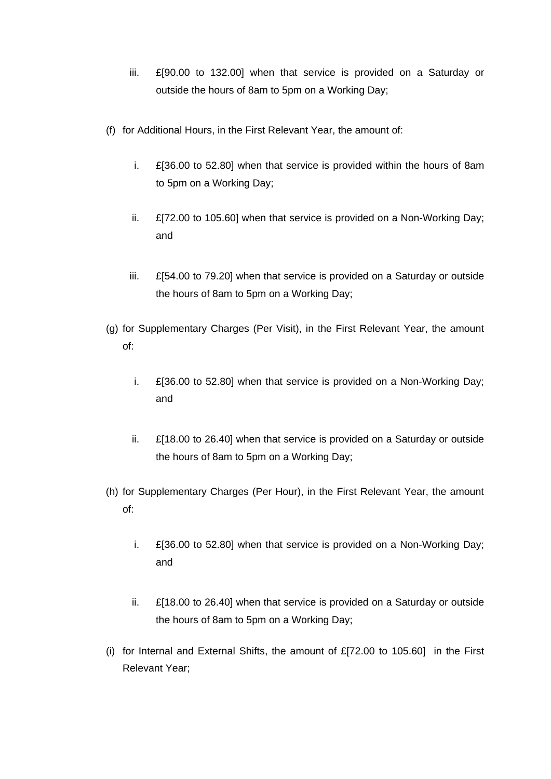- iii. £[90.00 to 132.00] when that service is provided on a Saturday or outside the hours of 8am to 5pm on a Working Day;
- (f) for Additional Hours, in the First Relevant Year, the amount of:
	- i. £[36.00 to 52.80] when that service is provided within the hours of 8am to 5pm on a Working Day;
	- ii. £[72.00 to 105.60] when that service is provided on a Non-Working Day; and
	- iii. £[54.00 to 79.20] when that service is provided on a Saturday or outside the hours of 8am to 5pm on a Working Day;
- (g) for Supplementary Charges (Per Visit), in the First Relevant Year, the amount of:
	- i. £[36.00 to 52.80] when that service is provided on a Non-Working Day; and
	- ii. £[18.00 to 26.40] when that service is provided on a Saturday or outside the hours of 8am to 5pm on a Working Day;
- (h) for Supplementary Charges (Per Hour), in the First Relevant Year, the amount of:
	- i. £[36.00 to 52.80] when that service is provided on a Non-Working Day; and
	- ii. £[18.00 to 26.40] when that service is provided on a Saturday or outside the hours of 8am to 5pm on a Working Day;
- (i) for Internal and External Shifts, the amount of £[72.00 to 105.60] in the First Relevant Year;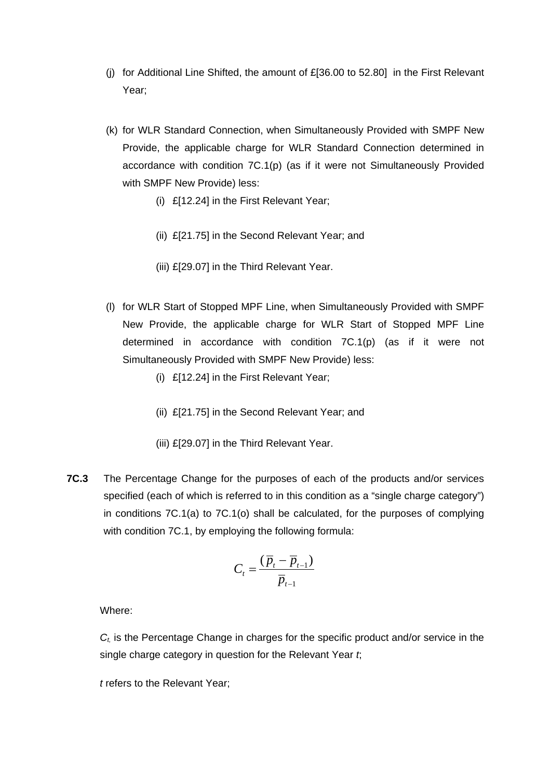- (j) for Additional Line Shifted, the amount of  $E[36.00 \text{ to } 52.80]$  in the First Relevant Year;
- (k) for WLR Standard Connection, when Simultaneously Provided with SMPF New Provide, the applicable charge for WLR Standard Connection determined in accordance with condition 7C.1(p) (as if it were not Simultaneously Provided with SMPF New Provide) less:
	- (i) £[12.24] in the First Relevant Year;
	- (ii) £[21.75] in the Second Relevant Year; and
	- (iii) £[29.07] in the Third Relevant Year.
- (l) for WLR Start of Stopped MPF Line, when Simultaneously Provided with SMPF New Provide, the applicable charge for WLR Start of Stopped MPF Line determined in accordance with condition 7C.1(p) (as if it were not Simultaneously Provided with SMPF New Provide) less:
	- (i) £[12.24] in the First Relevant Year;
	- (ii) £[21.75] in the Second Relevant Year; and
	- (iii) £[29.07] in the Third Relevant Year.
- **7C.3** The Percentage Change for the purposes of each of the products and/or services specified (each of which is referred to in this condition as a "single charge category") in conditions 7C.1(a) to 7C.1(o) shall be calculated, for the purposes of complying with condition 7C.1, by employing the following formula:

$$
C_t = \frac{(\overline{p}_t - \overline{p}_{t-1})}{\overline{p}_{t-1}}
$$

*Ct,* is the Percentage Change in charges for the specific product and/or service in the single charge category in question for the Relevant Year *t*;

*t* refers to the Relevant Year;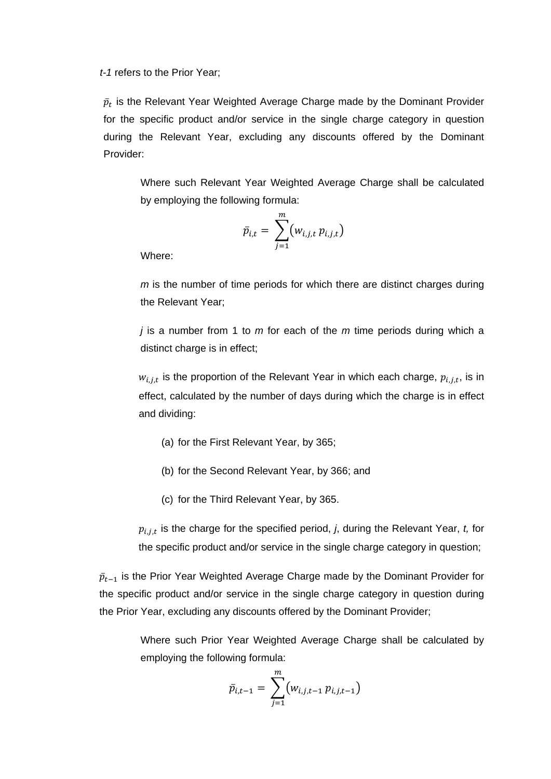*t-1* refers to the Prior Year;

 $\bar p_t$  is the Relevant Year Weighted Average Charge made by the Dominant Provider for the specific product and/or service in the single charge category in question during the Relevant Year, excluding any discounts offered by the Dominant Provider:

Where such Relevant Year Weighted Average Charge shall be calculated by employing the following formula:

$$
\bar{p}_{i,t} = \sum_{j=1}^m (w_{i,j,t} p_{i,j,t})
$$

Where:

*m* is the number of time periods for which there are distinct charges during the Relevant Year;

*j* is a number from 1 to *m* for each of the *m* time periods during which a distinct charge is in effect;

 $w_{i,j,t}$  is the proportion of the Relevant Year in which each charge,  $p_{i,j,t}$ , is in effect, calculated by the number of days during which the charge is in effect and dividing:

- (a) for the First Relevant Year, by 365;
- (b) for the Second Relevant Year, by 366; and
- (c) for the Third Relevant Year, by 365.

 $p_{i,j,t}$  is the charge for the specified period, *j*, during the Relevant Year, *t*, for the specific product and/or service in the single charge category in question;

 $\bar p_{t-1}$  is the Prior Year Weighted Average Charge made by the Dominant Provider for the specific product and/or service in the single charge category in question during the Prior Year, excluding any discounts offered by the Dominant Provider;

> Where such Prior Year Weighted Average Charge shall be calculated by employing the following formula:

$$
\bar{p}_{i,t-1} = \sum_{j=1}^{m} (w_{i,j,t-1} p_{i,j,t-1})
$$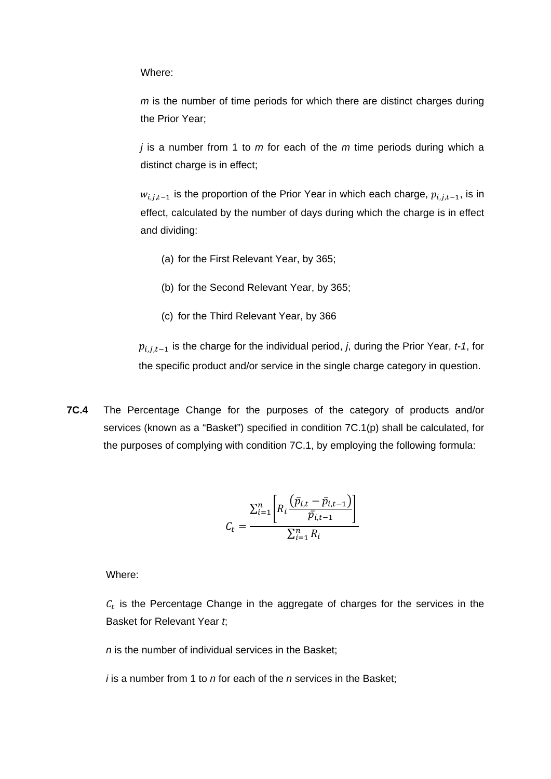*m* is the number of time periods for which there are distinct charges during the Prior Year;

*j* is a number from 1 to *m* for each of the *m* time periods during which a distinct charge is in effect;

 $w_{i,j,t-1}$  is the proportion of the Prior Year in which each charge,  $p_{i,j,t-1}$ , is in effect, calculated by the number of days during which the charge is in effect and dividing:

- (a) for the First Relevant Year, by 365;
- (b) for the Second Relevant Year, by 365;
- (c) for the Third Relevant Year, by 366

 $p_{i,j,t-1}$  is the charge for the individual period, *j*, during the Prior Year, *t-1*, for the specific product and/or service in the single charge category in question.

**7C.4** The Percentage Change for the purposes of the category of products and/or services (known as a "Basket") specified in condition 7C.1(p) shall be calculated, for the purposes of complying with condition 7C.1, by employing the following formula:

$$
C_t = \frac{\sum_{i=1}^{n} \left[ R_i \frac{\left( \bar{p}_{i,t} - \bar{p}_{i,t-1} \right)}{\bar{p}_{i,t-1}} \right]}{\sum_{i=1}^{n} R_i}
$$

Where:

 $c<sub>t</sub>$  is the Percentage Change in the aggregate of charges for the services in the Basket for Relevant Year *t*;

*n* is the number of individual services in the Basket;

*i* is a number from 1 to *n* for each of the *n* services in the Basket;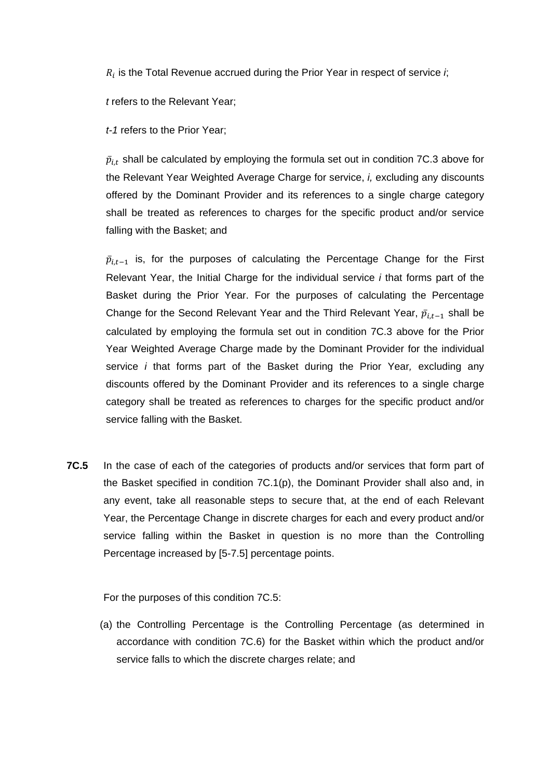$R_i$  is the Total Revenue accrued during the Prior Year in respect of service  $i$ ;

*t* refers to the Relevant Year;

*t-1* refers to the Prior Year;

 $\bar{p}_{i,t}$  shall be calculated by employing the formula set out in condition 7C.3 above for the Relevant Year Weighted Average Charge for service, *i,* excluding any discounts offered by the Dominant Provider and its references to a single charge category shall be treated as references to charges for the specific product and/or service falling with the Basket; and

 $\bar{p}_{i,t-1}$  is, for the purposes of calculating the Percentage Change for the First Relevant Year, the Initial Charge for the individual service *i* that forms part of the Basket during the Prior Year. For the purposes of calculating the Percentage Change for the Second Relevant Year and the Third Relevant Year,  $\bar{p}_{i,t-1}$  shall be calculated by employing the formula set out in condition 7C.3 above for the Prior Year Weighted Average Charge made by the Dominant Provider for the individual service *i* that forms part of the Basket during the Prior Year*,* excluding any discounts offered by the Dominant Provider and its references to a single charge category shall be treated as references to charges for the specific product and/or service falling with the Basket.

**7C.5** In the case of each of the categories of products and/or services that form part of the Basket specified in condition 7C.1(p), the Dominant Provider shall also and, in any event, take all reasonable steps to secure that, at the end of each Relevant Year, the Percentage Change in discrete charges for each and every product and/or service falling within the Basket in question is no more than the Controlling Percentage increased by [5-7.5] percentage points.

For the purposes of this condition 7C.5:

(a) the Controlling Percentage is the Controlling Percentage (as determined in accordance with condition 7C.6) for the Basket within which the product and/or service falls to which the discrete charges relate; and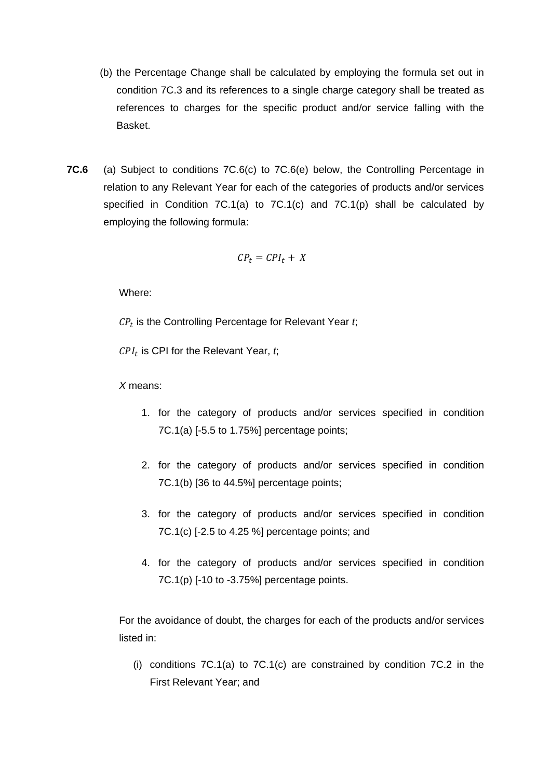- (b) the Percentage Change shall be calculated by employing the formula set out in condition 7C.3 and its references to a single charge category shall be treated as references to charges for the specific product and/or service falling with the Basket.
- **7C.6** (a) Subject to conditions 7C.6(c) to 7C.6(e) below, the Controlling Percentage in relation to any Relevant Year for each of the categories of products and/or services specified in Condition 7C.1(a) to 7C.1(c) and 7C.1(p) shall be calculated by employing the following formula:

$$
CP_t = CPI_t + X
$$

 $CP<sub>t</sub>$  is the Controlling Percentage for Relevant Year  $t$ ;

 $CPI_t$  is CPI for the Relevant Year,  $t$ ;

*X* means:

- 1. for the category of products and/or services specified in condition 7C.1(a) [-5.5 to 1.75%] percentage points;
- 2. for the category of products and/or services specified in condition 7C.1(b) [36 to 44.5%] percentage points;
- 3. for the category of products and/or services specified in condition 7C.1(c) [-2.5 to 4.25 %] percentage points; and
- 4. for the category of products and/or services specified in condition  $7C.1(p)$  [-10 to -3.75%] percentage points.

For the avoidance of doubt, the charges for each of the products and/or services listed in:

(i) conditions 7C.1(a) to 7C.1(c) are constrained by condition 7C.2 in the First Relevant Year; and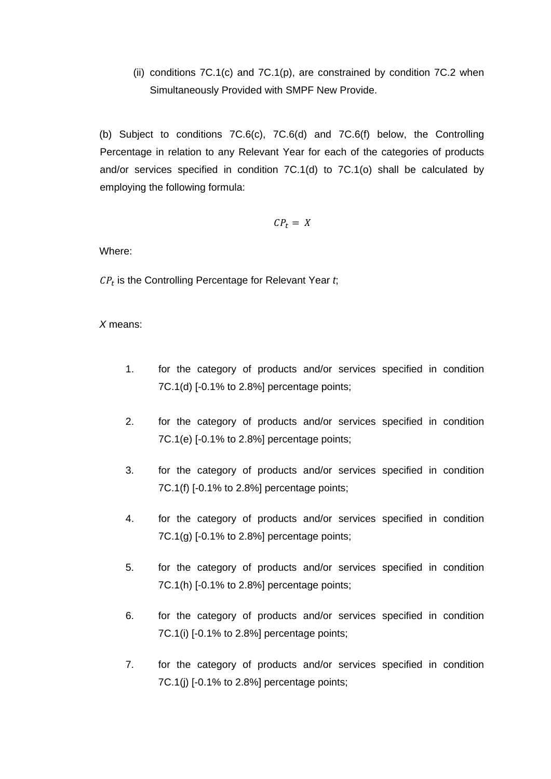(ii) conditions  $7C.1(c)$  and  $7C.1(p)$ , are constrained by condition  $7C.2$  when Simultaneously Provided with SMPF New Provide.

(b) Subject to conditions 7C.6(c), 7C.6(d) and 7C.6(f) below, the Controlling Percentage in relation to any Relevant Year for each of the categories of products and/or services specified in condition 7C.1(d) to 7C.1(o) shall be calculated by employing the following formula:

$$
CP_t = X
$$

Where:

 $CP<sub>t</sub>$  is the Controlling Percentage for Relevant Year  $t$ ;

*X* means:

- 1. for the category of products and/or services specified in condition 7C.1(d) [-0.1% to 2.8%] percentage points;
- 2. for the category of products and/or services specified in condition 7C.1(e) [-0.1% to 2.8%] percentage points;
- 3. for the category of products and/or services specified in condition 7C.1(f) [-0.1% to 2.8%] percentage points;
- 4. for the category of products and/or services specified in condition  $7C.1(g)$  [-0.1% to 2.8%] percentage points;
- 5. for the category of products and/or services specified in condition 7C.1(h) [-0.1% to 2.8%] percentage points;
- 6. for the category of products and/or services specified in condition 7C.1(i) [-0.1% to 2.8%] percentage points;
- 7. for the category of products and/or services specified in condition 7C.1(j) [-0.1% to 2.8%] percentage points;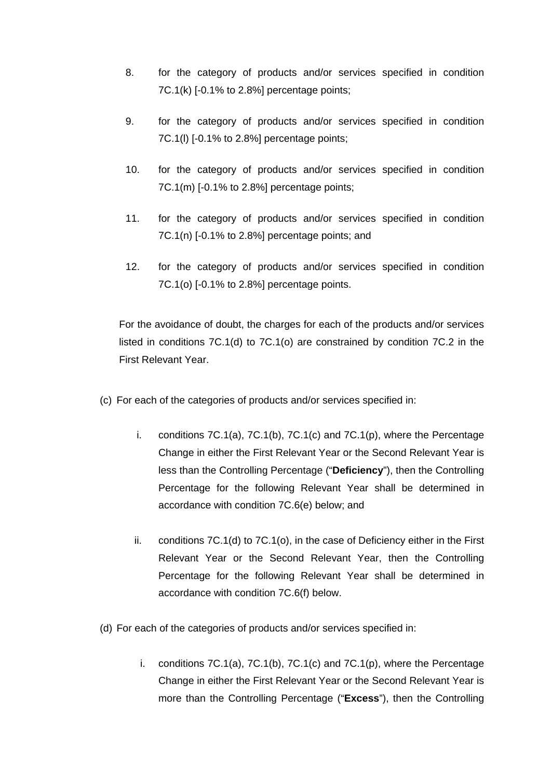- 8. for the category of products and/or services specified in condition 7C.1(k) [-0.1% to 2.8%] percentage points;
- 9. for the category of products and/or services specified in condition 7C.1(l) [-0.1% to 2.8%] percentage points;
- 10. for the category of products and/or services specified in condition 7C.1(m) [-0.1% to 2.8%] percentage points;
- 11. for the category of products and/or services specified in condition 7C.1(n) [-0.1% to 2.8%] percentage points; and
- 12. for the category of products and/or services specified in condition 7C.1(o) [-0.1% to 2.8%] percentage points.

For the avoidance of doubt, the charges for each of the products and/or services listed in conditions 7C.1(d) to 7C.1(o) are constrained by condition 7C.2 in the First Relevant Year.

- (c) For each of the categories of products and/or services specified in:
	- i. conditions 7C.1(a), 7C.1(b), 7C.1(c) and 7C.1(p), where the Percentage Change in either the First Relevant Year or the Second Relevant Year is less than the Controlling Percentage ("**Deficiency**"), then the Controlling Percentage for the following Relevant Year shall be determined in accordance with condition 7C.6(e) below; and
	- ii. conditions 7C.1(d) to 7C.1(o), in the case of Deficiency either in the First Relevant Year or the Second Relevant Year, then the Controlling Percentage for the following Relevant Year shall be determined in accordance with condition 7C.6(f) below.
- (d) For each of the categories of products and/or services specified in:
	- i. conditions 7C.1(a), 7C.1(b), 7C.1(c) and 7C.1(p), where the Percentage Change in either the First Relevant Year or the Second Relevant Year is more than the Controlling Percentage ("**Excess**"), then the Controlling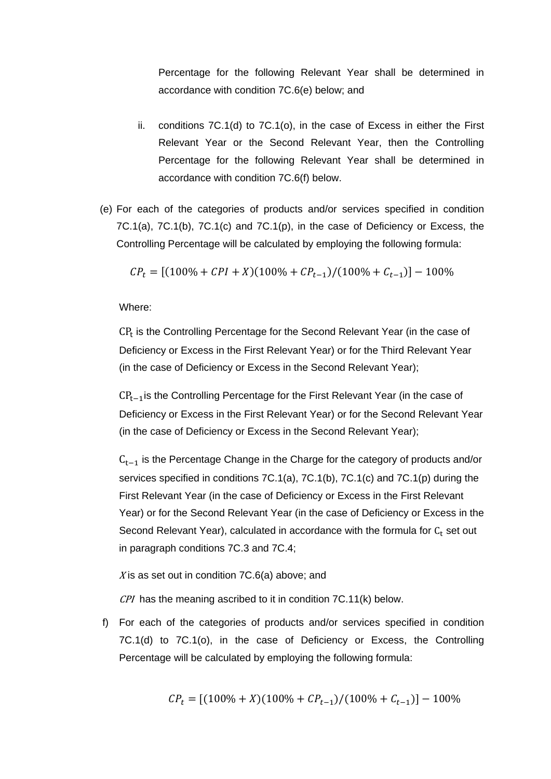Percentage for the following Relevant Year shall be determined in accordance with condition 7C.6(e) below; and

- ii. conditions 7C.1(d) to 7C.1(o), in the case of Excess in either the First Relevant Year or the Second Relevant Year, then the Controlling Percentage for the following Relevant Year shall be determined in accordance with condition 7C.6(f) below.
- (e) For each of the categories of products and/or services specified in condition 7C.1(a), 7C.1(b), 7C.1(c) and 7C.1(p), in the case of Deficiency or Excess, the Controlling Percentage will be calculated by employing the following formula:

$$
CP_t = [(100\% + CPI + X)(100\% + CP_{t-1})/(100\% + C_{t-1})] - 100\%
$$

Where:

 $CP<sub>t</sub>$  is the Controlling Percentage for the Second Relevant Year (in the case of Deficiency or Excess in the First Relevant Year) or for the Third Relevant Year (in the case of Deficiency or Excess in the Second Relevant Year);

CP<sub>t−1</sub> is the Controlling Percentage for the First Relevant Year (in the case of Deficiency or Excess in the First Relevant Year) or for the Second Relevant Year (in the case of Deficiency or Excess in the Second Relevant Year);

 $C_{t-1}$  is the Percentage Change in the Charge for the category of products and/or services specified in conditions 7C.1(a), 7C.1(b), 7C.1(c) and 7C.1(p) during the First Relevant Year (in the case of Deficiency or Excess in the First Relevant Year) or for the Second Relevant Year (in the case of Deficiency or Excess in the Second Relevant Year), calculated in accordance with the formula for  $C_t$  set out in paragraph conditions 7C.3 and 7C.4;

X is as set out in condition  $7C.6(a)$  above; and

CPI has the meaning ascribed to it in condition 7C.11(k) below.

f) For each of the categories of products and/or services specified in condition 7C.1(d) to 7C.1(o), in the case of Deficiency or Excess, the Controlling Percentage will be calculated by employing the following formula:

$$
CP_t = [(100\% + X)(100\% + CP_{t-1})/(100\% + C_{t-1})] - 100\%
$$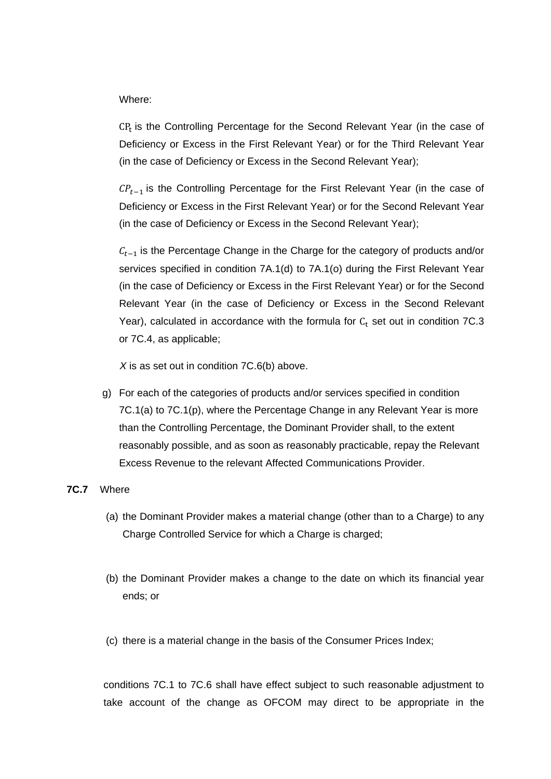$CP<sub>t</sub>$  is the Controlling Percentage for the Second Relevant Year (in the case of Deficiency or Excess in the First Relevant Year) or for the Third Relevant Year (in the case of Deficiency or Excess in the Second Relevant Year);

 $\mathcal{CP}_{t-1}$  is the Controlling Percentage for the First Relevant Year (in the case of Deficiency or Excess in the First Relevant Year) or for the Second Relevant Year (in the case of Deficiency or Excess in the Second Relevant Year);

 $C_{t-1}$  is the Percentage Change in the Charge for the category of products and/or services specified in condition 7A.1(d) to 7A.1(o) during the First Relevant Year (in the case of Deficiency or Excess in the First Relevant Year) or for the Second Relevant Year (in the case of Deficiency or Excess in the Second Relevant Year), calculated in accordance with the formula for  $C_t$  set out in condition 7C.3 or 7C.4, as applicable;

 *X* is as set out in condition 7C.6(b) above.

g) For each of the categories of products and/or services specified in condition 7C.1(a) to 7C.1(p), where the Percentage Change in any Relevant Year is more than the Controlling Percentage, the Dominant Provider shall, to the extent reasonably possible, and as soon as reasonably practicable, repay the Relevant Excess Revenue to the relevant Affected Communications Provider.

#### **7C.7** Where

- (a) the Dominant Provider makes a material change (other than to a Charge) to any Charge Controlled Service for which a Charge is charged;
- (b) the Dominant Provider makes a change to the date on which its financial year ends; or
- (c) there is a material change in the basis of the Consumer Prices Index;

conditions 7C.1 to 7C.6 shall have effect subject to such reasonable adjustment to take account of the change as OFCOM may direct to be appropriate in the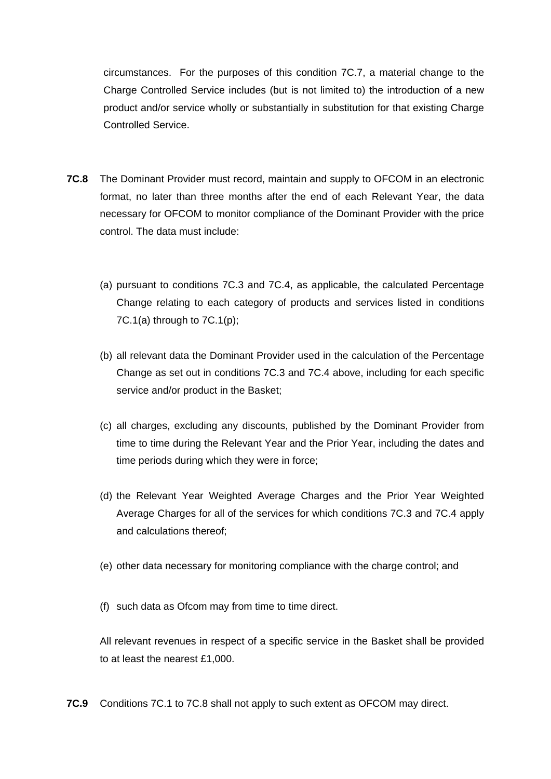circumstances. For the purposes of this condition 7C.7, a material change to the Charge Controlled Service includes (but is not limited to) the introduction of a new product and/or service wholly or substantially in substitution for that existing Charge Controlled Service.

- **7C.8** The Dominant Provider must record, maintain and supply to OFCOM in an electronic format, no later than three months after the end of each Relevant Year, the data necessary for OFCOM to monitor compliance of the Dominant Provider with the price control. The data must include:
	- (a) pursuant to conditions 7C.3 and 7C.4, as applicable, the calculated Percentage Change relating to each category of products and services listed in conditions 7C.1(a) through to  $7C.1(p)$ ;
	- (b) all relevant data the Dominant Provider used in the calculation of the Percentage Change as set out in conditions 7C.3 and 7C.4 above, including for each specific service and/or product in the Basket;
	- (c) all charges, excluding any discounts, published by the Dominant Provider from time to time during the Relevant Year and the Prior Year, including the dates and time periods during which they were in force;
	- (d) the Relevant Year Weighted Average Charges and the Prior Year Weighted Average Charges for all of the services for which conditions 7C.3 and 7C.4 apply and calculations thereof;
	- (e) other data necessary for monitoring compliance with the charge control; and
	- (f) such data as Ofcom may from time to time direct.

All relevant revenues in respect of a specific service in the Basket shall be provided to at least the nearest £1,000.

**7C.9** Conditions 7C.1 to 7C.8 shall not apply to such extent as OFCOM may direct.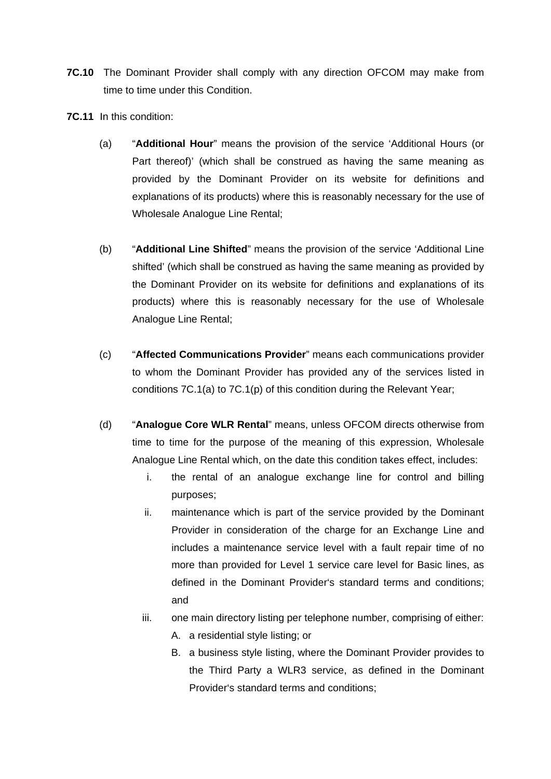- **7C.10** The Dominant Provider shall comply with any direction OFCOM may make from time to time under this Condition.
- **7C.11** In this condition:
	- (a) "**Additional Hour**" means the provision of the service 'Additional Hours (or Part thereof)' (which shall be construed as having the same meaning as provided by the Dominant Provider on its website for definitions and explanations of its products) where this is reasonably necessary for the use of Wholesale Analogue Line Rental;
	- (b) "**Additional Line Shifted**" means the provision of the service 'Additional Line shifted' (which shall be construed as having the same meaning as provided by the Dominant Provider on its website for definitions and explanations of its products) where this is reasonably necessary for the use of Wholesale Analogue Line Rental;
	- (c) "**Affected Communications Provider**" means each communications provider to whom the Dominant Provider has provided any of the services listed in conditions 7C.1(a) to 7C.1(p) of this condition during the Relevant Year;
	- (d) "**Analogue Core WLR Rental**" means, unless OFCOM directs otherwise from time to time for the purpose of the meaning of this expression, Wholesale Analogue Line Rental which, on the date this condition takes effect, includes:
		- i. the rental of an analogue exchange line for control and billing purposes;
		- ii. maintenance which is part of the service provided by the Dominant Provider in consideration of the charge for an Exchange Line and includes a maintenance service level with a fault repair time of no more than provided for Level 1 service care level for Basic lines, as defined in the Dominant Provider's standard terms and conditions; and
		- iii. one main directory listing per telephone number, comprising of either:
			- A. a residential style listing; or
			- B. a business style listing, where the Dominant Provider provides to the Third Party a WLR3 service, as defined in the Dominant Provider's standard terms and conditions;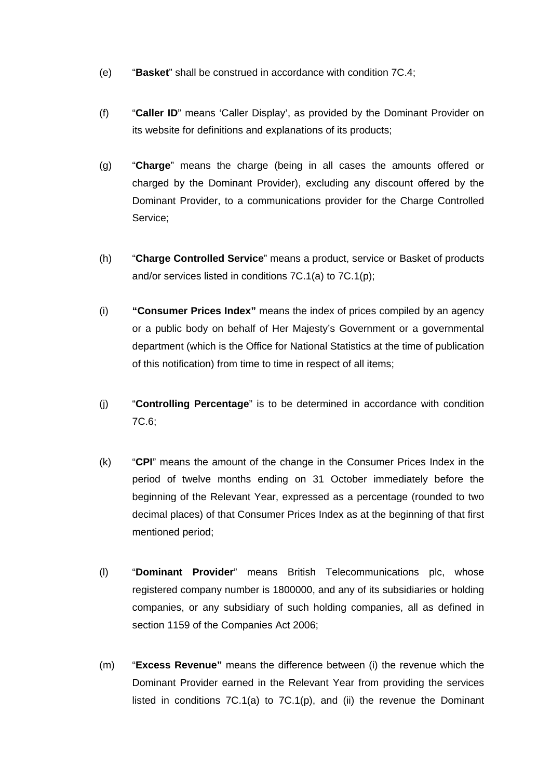- (e) "**Basket**" shall be construed in accordance with condition 7C.4;
- (f) "**Caller ID**" means 'Caller Display', as provided by the Dominant Provider on its website for definitions and explanations of its products;
- (g) "**Charge**" means the charge (being in all cases the amounts offered or charged by the Dominant Provider), excluding any discount offered by the Dominant Provider, to a communications provider for the Charge Controlled Service;
- (h) "**Charge Controlled Service**" means a product, service or Basket of products and/or services listed in conditions 7C.1(a) to 7C.1(p);
- (i) **"Consumer Prices Index"** means the index of prices compiled by an agency or a public body on behalf of Her Majesty's Government or a governmental department (which is the Office for National Statistics at the time of publication of this notification) from time to time in respect of all items;
- (j) "**Controlling Percentage**" is to be determined in accordance with condition 7C.6;
- (k) "**CPI**" means the amount of the change in the Consumer Prices Index in the period of twelve months ending on 31 October immediately before the beginning of the Relevant Year, expressed as a percentage (rounded to two decimal places) of that Consumer Prices Index as at the beginning of that first mentioned period;
- (l) "**Dominant Provider**" means British Telecommunications plc, whose registered company number is 1800000, and any of its subsidiaries or holding companies, or any subsidiary of such holding companies, all as defined in section 1159 of the Companies Act 2006;
- (m) "**Excess Revenue"** means the difference between (i) the revenue which the Dominant Provider earned in the Relevant Year from providing the services listed in conditions  $7C.1(a)$  to  $7C.1(p)$ , and (ii) the revenue the Dominant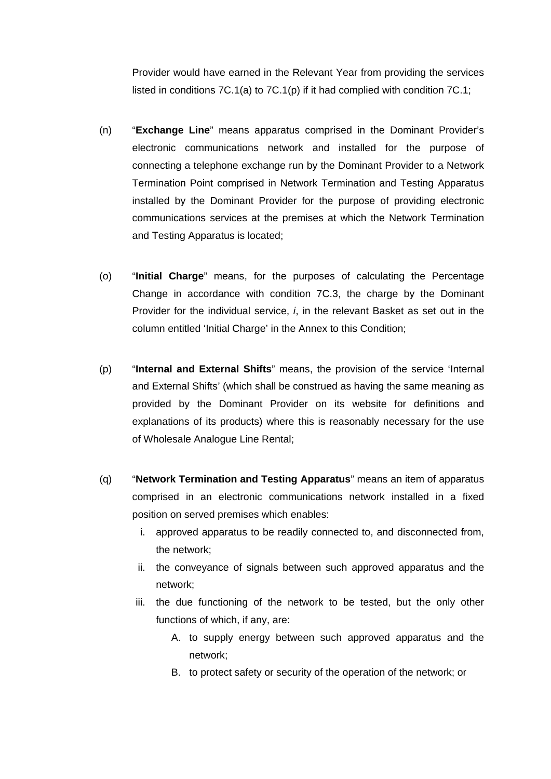Provider would have earned in the Relevant Year from providing the services listed in conditions  $7C.1(a)$  to  $7C.1(p)$  if it had complied with condition  $7C.1$ ;

- (n) "**Exchange Line**" means apparatus comprised in the Dominant Provider's electronic communications network and installed for the purpose of connecting a telephone exchange run by the Dominant Provider to a Network Termination Point comprised in Network Termination and Testing Apparatus installed by the Dominant Provider for the purpose of providing electronic communications services at the premises at which the Network Termination and Testing Apparatus is located;
- (o) "**Initial Charge**" means, for the purposes of calculating the Percentage Change in accordance with condition 7C.3, the charge by the Dominant Provider for the individual service, *i*, in the relevant Basket as set out in the column entitled 'Initial Charge' in the Annex to this Condition;
- (p) "**Internal and External Shifts**" means, the provision of the service 'Internal and External Shifts' (which shall be construed as having the same meaning as provided by the Dominant Provider on its website for definitions and explanations of its products) where this is reasonably necessary for the use of Wholesale Analogue Line Rental;
- (q) "**Network Termination and Testing Apparatus**" means an item of apparatus comprised in an electronic communications network installed in a fixed position on served premises which enables:
	- i. approved apparatus to be readily connected to, and disconnected from, the network;
	- ii. the conveyance of signals between such approved apparatus and the network;
	- iii. the due functioning of the network to be tested, but the only other functions of which, if any, are:
		- A. to supply energy between such approved apparatus and the network;
		- B. to protect safety or security of the operation of the network; or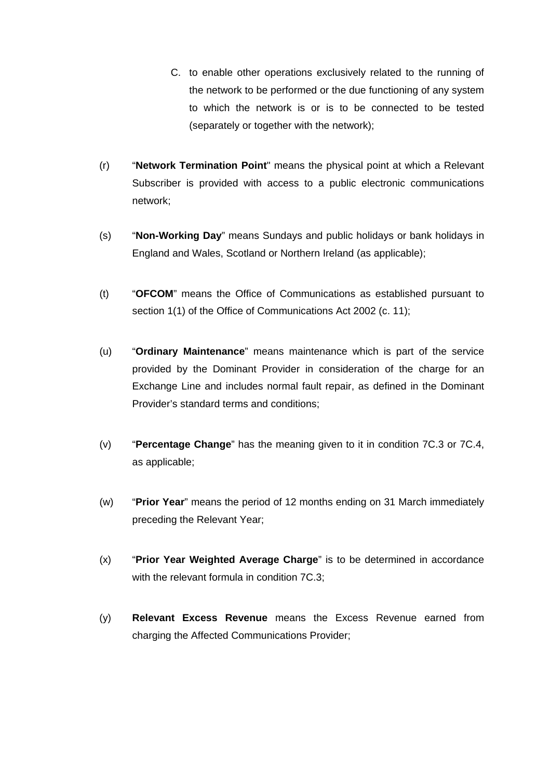- C. to enable other operations exclusively related to the running of the network to be performed or the due functioning of any system to which the network is or is to be connected to be tested (separately or together with the network);
- (r) "**Network Termination Point**" means the physical point at which a Relevant Subscriber is provided with access to a public electronic communications network;
- (s) "**Non-Working Day**" means Sundays and public holidays or bank holidays in England and Wales, Scotland or Northern Ireland (as applicable);
- (t) "**OFCOM**" means the Office of Communications as established pursuant to section 1(1) of the Office of Communications Act 2002 (c. 11);
- (u) "**Ordinary Maintenance**" means maintenance which is part of the service provided by the Dominant Provider in consideration of the charge for an Exchange Line and includes normal fault repair, as defined in the Dominant Provider's standard terms and conditions;
- (v) "**Percentage Change**" has the meaning given to it in condition 7C.3 or 7C.4, as applicable;
- (w) "**Prior Year**" means the period of 12 months ending on 31 March immediately preceding the Relevant Year;
- (x) "**Prior Year Weighted Average Charge**" is to be determined in accordance with the relevant formula in condition 7C.3;
- (y) **Relevant Excess Revenue** means the Excess Revenue earned from charging the Affected Communications Provider;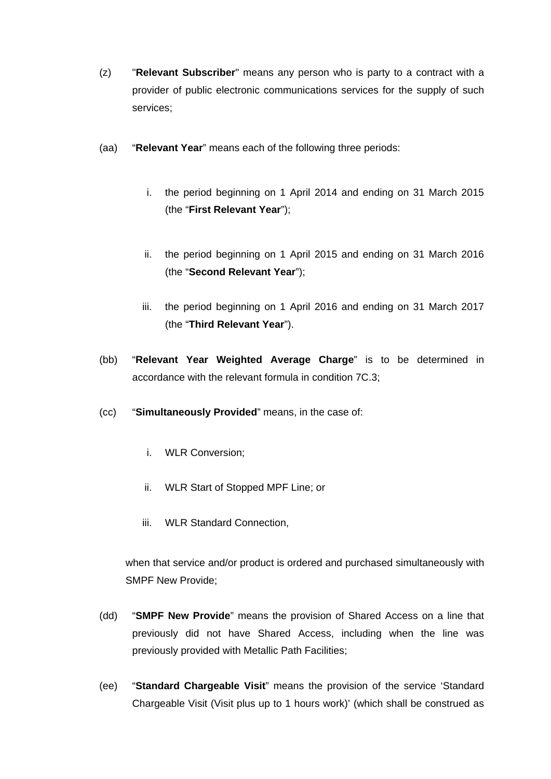- (z) "**Relevant Subscriber**" means any person who is party to a contract with a provider of public electronic communications services for the supply of such services;
- (aa) "**Relevant Year**" means each of the following three periods:
	- i. the period beginning on 1 April 2014 and ending on 31 March 2015 (the "**First Relevant Year**");
	- ii. the period beginning on 1 April 2015 and ending on 31 March 2016 (the "**Second Relevant Year**");
	- iii. the period beginning on 1 April 2016 and ending on 31 March 2017 (the "**Third Relevant Year**").
- (bb) "**Relevant Year Weighted Average Charge**" is to be determined in accordance with the relevant formula in condition 7C.3;
- (cc) "**Simultaneously Provided**" means, in the case of:
	- i. WLR Conversion;
	- ii. WLR Start of Stopped MPF Line; or
	- iii. WLR Standard Connection,

when that service and/or product is ordered and purchased simultaneously with SMPF New Provide;

- (dd) "**SMPF New Provide**" means the provision of Shared Access on a line that previously did not have Shared Access, including when the line was previously provided with Metallic Path Facilities;
- (ee) "**Standard Chargeable Visit**" means the provision of the service 'Standard Chargeable Visit (Visit plus up to 1 hours work)' (which shall be construed as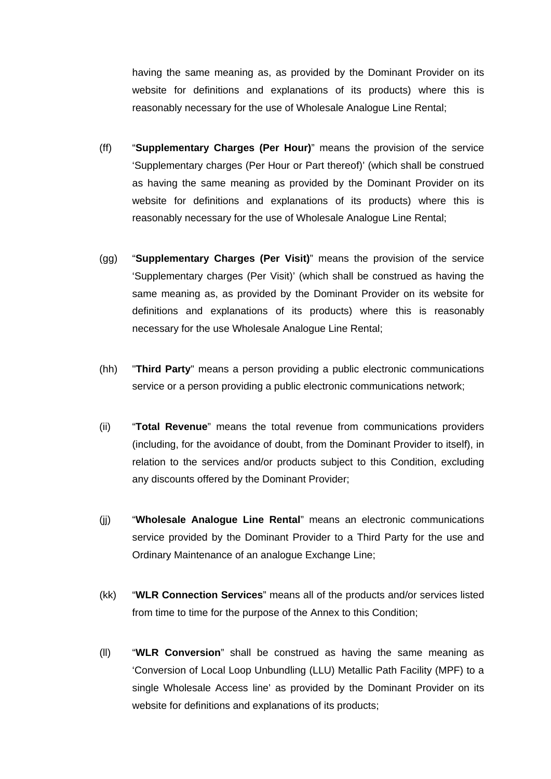having the same meaning as, as provided by the Dominant Provider on its website for definitions and explanations of its products) where this is reasonably necessary for the use of Wholesale Analogue Line Rental;

- (ff) "**Supplementary Charges (Per Hour)**" means the provision of the service 'Supplementary charges (Per Hour or Part thereof)' (which shall be construed as having the same meaning as provided by the Dominant Provider on its website for definitions and explanations of its products) where this is reasonably necessary for the use of Wholesale Analogue Line Rental;
- (gg) "**Supplementary Charges (Per Visit)**" means the provision of the service 'Supplementary charges (Per Visit)' (which shall be construed as having the same meaning as, as provided by the Dominant Provider on its website for definitions and explanations of its products) where this is reasonably necessary for the use Wholesale Analogue Line Rental;
- (hh) "**Third Party**" means a person providing a public electronic communications service or a person providing a public electronic communications network;
- (ii) "**Total Revenue**" means the total revenue from communications providers (including, for the avoidance of doubt, from the Dominant Provider to itself), in relation to the services and/or products subject to this Condition, excluding any discounts offered by the Dominant Provider;
- (jj) "**Wholesale Analogue Line Rental**" means an electronic communications service provided by the Dominant Provider to a Third Party for the use and Ordinary Maintenance of an analogue Exchange Line;
- (kk) "**WLR Connection Services**" means all of the products and/or services listed from time to time for the purpose of the Annex to this Condition;
- (ll) "**WLR Conversion**" shall be construed as having the same meaning as 'Conversion of Local Loop Unbundling (LLU) Metallic Path Facility (MPF) to a single Wholesale Access line' as provided by the Dominant Provider on its website for definitions and explanations of its products;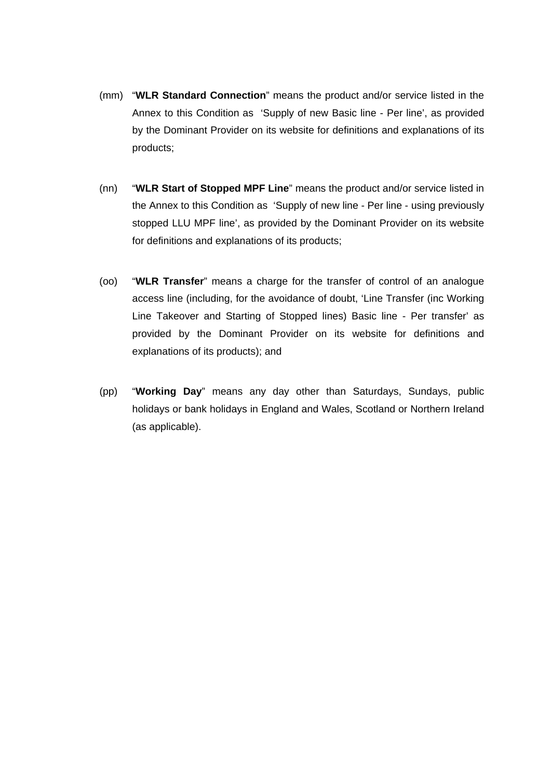- (mm) "**WLR Standard Connection**" means the product and/or service listed in the Annex to this Condition as 'Supply of new Basic line - Per line', as provided by the Dominant Provider on its website for definitions and explanations of its products;
- (nn) "**WLR Start of Stopped MPF Line**" means the product and/or service listed in the Annex to this Condition as 'Supply of new line - Per line - using previously stopped LLU MPF line', as provided by the Dominant Provider on its website for definitions and explanations of its products;
- (oo) "**WLR Transfer**" means a charge for the transfer of control of an analogue access line (including, for the avoidance of doubt, 'Line Transfer (inc Working Line Takeover and Starting of Stopped lines) Basic line - Per transfer' as provided by the Dominant Provider on its website for definitions and explanations of its products); and
- (pp) "**Working Day**" means any day other than Saturdays, Sundays, public holidays or bank holidays in England and Wales, Scotland or Northern Ireland (as applicable).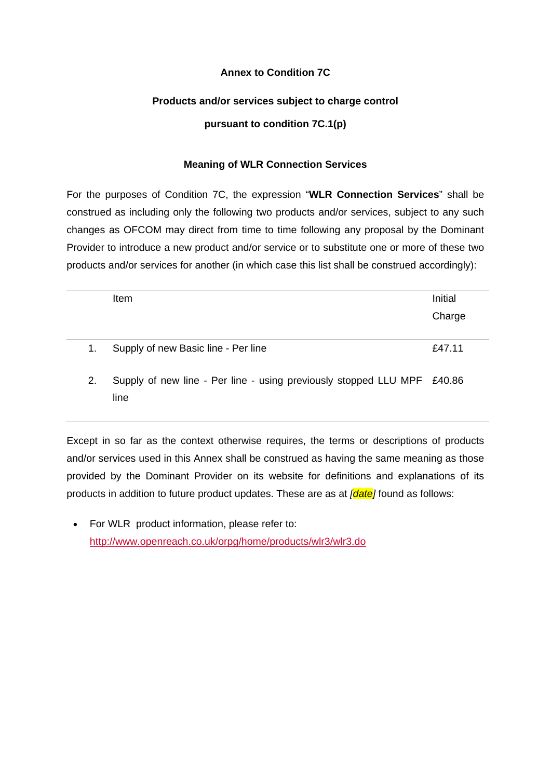# **Annex to Condition 7C**

# **Products and/or services subject to charge control**

# **pursuant to condition 7C.1(p)**

# **Meaning of WLR Connection Services**

For the purposes of Condition 7C, the expression "**WLR Connection Services**" shall be construed as including only the following two products and/or services, subject to any such changes as OFCOM may direct from time to time following any proposal by the Dominant Provider to introduce a new product and/or service or to substitute one or more of these two products and/or services for another (in which case this list shall be construed accordingly):

| Initial                                                                 |
|-------------------------------------------------------------------------|
|                                                                         |
| Charge                                                                  |
|                                                                         |
| £47.11                                                                  |
| Supply of new line - Per line - using previously stopped LLU MPF £40.86 |
|                                                                         |

Except in so far as the context otherwise requires, the terms or descriptions of products and/or services used in this Annex shall be construed as having the same meaning as those provided by the Dominant Provider on its website for definitions and explanations of its products in addition to future product updates. These are as at *[date]* found as follows:

• For WLR product information, please refer to: <http://www.openreach.co.uk/orpg/home/products/wlr3/wlr3.do>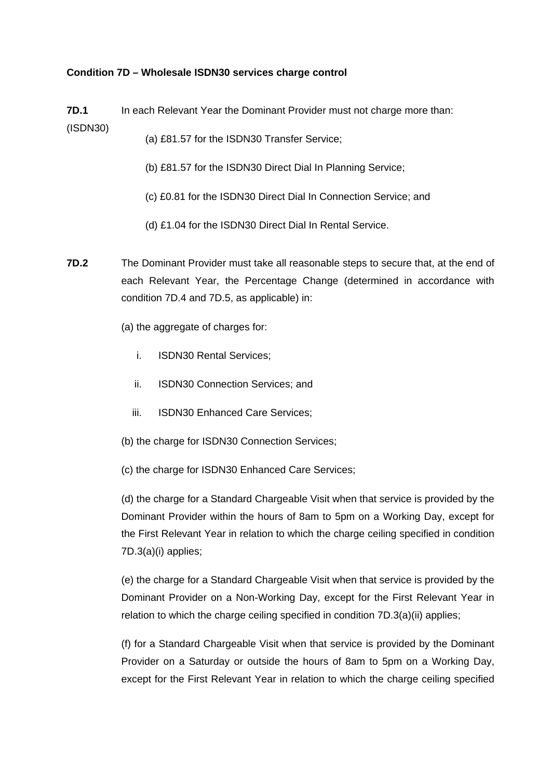## **Condition 7D – Wholesale ISDN30 services charge control**

**7D.1** (ISDN30) In each Relevant Year the Dominant Provider must not charge more than:

- (a) £81.57 for the ISDN30 Transfer Service;
- (b) £81.57 for the ISDN30 Direct Dial In Planning Service;
- (c) £0.81 for the ISDN30 Direct Dial In Connection Service; and
- (d) £1.04 for the ISDN30 Direct Dial In Rental Service.
- **7D.2** The Dominant Provider must take all reasonable steps to secure that, at the end of each Relevant Year, the Percentage Change (determined in accordance with condition 7D.4 and 7D.5, as applicable) in:
	- (a) the aggregate of charges for:
		- i. ISDN30 Rental Services;
		- ii. ISDN30 Connection Services; and
		- iii. ISDN30 Enhanced Care Services;
	- (b) the charge for ISDN30 Connection Services;
	- (c) the charge for ISDN30 Enhanced Care Services;

(d) the charge for a Standard Chargeable Visit when that service is provided by the Dominant Provider within the hours of 8am to 5pm on a Working Day, except for the First Relevant Year in relation to which the charge ceiling specified in condition 7D.3(a)(i) applies;

(e) the charge for a Standard Chargeable Visit when that service is provided by the Dominant Provider on a Non-Working Day, except for the First Relevant Year in relation to which the charge ceiling specified in condition 7D.3(a)(ii) applies;

(f) for a Standard Chargeable Visit when that service is provided by the Dominant Provider on a Saturday or outside the hours of 8am to 5pm on a Working Day, except for the First Relevant Year in relation to which the charge ceiling specified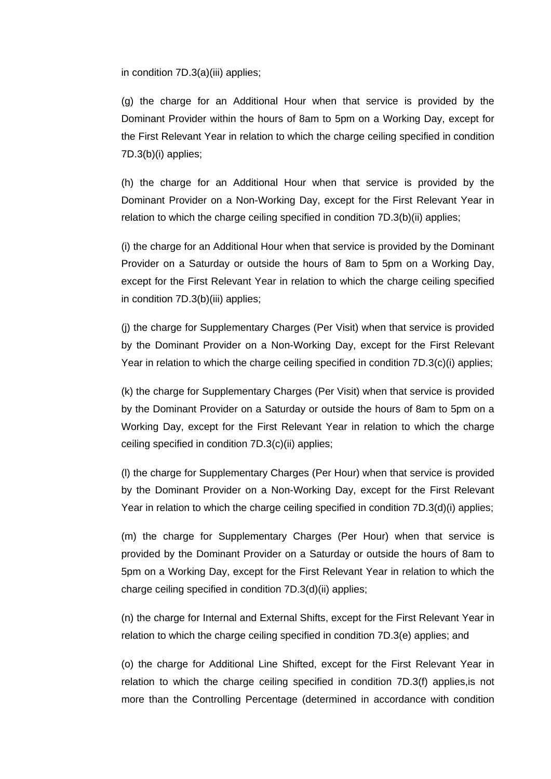in condition 7D.3(a)(iii) applies;

(g) the charge for an Additional Hour when that service is provided by the Dominant Provider within the hours of 8am to 5pm on a Working Day, except for the First Relevant Year in relation to which the charge ceiling specified in condition 7D.3(b)(i) applies;

(h) the charge for an Additional Hour when that service is provided by the Dominant Provider on a Non-Working Day, except for the First Relevant Year in relation to which the charge ceiling specified in condition 7D.3(b)(ii) applies;

(i) the charge for an Additional Hour when that service is provided by the Dominant Provider on a Saturday or outside the hours of 8am to 5pm on a Working Day, except for the First Relevant Year in relation to which the charge ceiling specified in condition 7D.3(b)(iii) applies;

(j) the charge for Supplementary Charges (Per Visit) when that service is provided by the Dominant Provider on a Non-Working Day, except for the First Relevant Year in relation to which the charge ceiling specified in condition 7D.3(c)(i) applies;

(k) the charge for Supplementary Charges (Per Visit) when that service is provided by the Dominant Provider on a Saturday or outside the hours of 8am to 5pm on a Working Day, except for the First Relevant Year in relation to which the charge ceiling specified in condition 7D.3(c)(ii) applies;

(l) the charge for Supplementary Charges (Per Hour) when that service is provided by the Dominant Provider on a Non-Working Day, except for the First Relevant Year in relation to which the charge ceiling specified in condition 7D.3(d)(i) applies;

(m) the charge for Supplementary Charges (Per Hour) when that service is provided by the Dominant Provider on a Saturday or outside the hours of 8am to 5pm on a Working Day, except for the First Relevant Year in relation to which the charge ceiling specified in condition 7D.3(d)(ii) applies;

(n) the charge for Internal and External Shifts, except for the First Relevant Year in relation to which the charge ceiling specified in condition 7D.3(e) applies; and

(o) the charge for Additional Line Shifted, except for the First Relevant Year in relation to which the charge ceiling specified in condition 7D.3(f) applies,is not more than the Controlling Percentage (determined in accordance with condition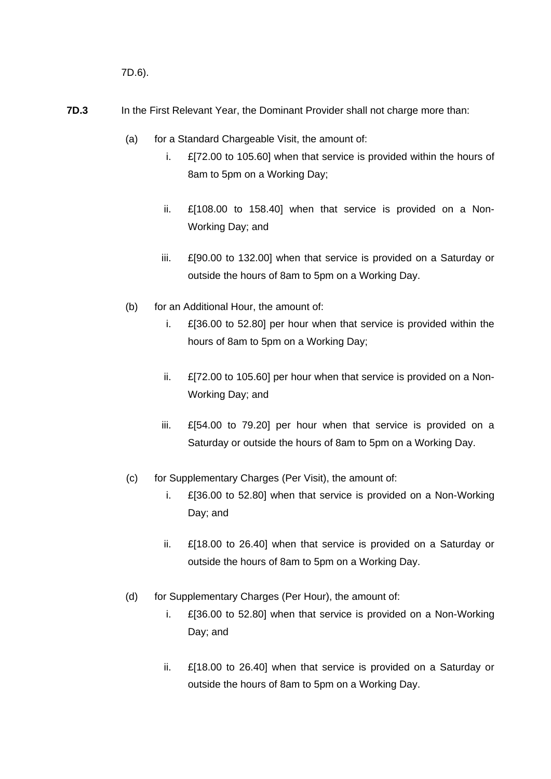7D.6).

- **7D.3** In the First Relevant Year, the Dominant Provider shall not charge more than:
	- (a) for a Standard Chargeable Visit, the amount of:
		- i. £[72.00 to 105.60] when that service is provided within the hours of 8am to 5pm on a Working Day;
		- ii. £[108.00 to 158.40] when that service is provided on a Non-Working Day; and
		- iii. £[90.00 to 132.00] when that service is provided on a Saturday or outside the hours of 8am to 5pm on a Working Day.
	- (b) for an Additional Hour, the amount of:
		- i. £[36.00 to 52.80] per hour when that service is provided within the hours of 8am to 5pm on a Working Day;
		- ii. £[72.00 to 105.60] per hour when that service is provided on a Non-Working Day; and
		- iii. £[54.00 to 79.20] per hour when that service is provided on a Saturday or outside the hours of 8am to 5pm on a Working Day.
	- (c) for Supplementary Charges (Per Visit), the amount of:
		- i. £[36.00 to 52.80] when that service is provided on a Non-Working Day; and
		- ii. £[18.00 to 26.40] when that service is provided on a Saturday or outside the hours of 8am to 5pm on a Working Day.
	- (d) for Supplementary Charges (Per Hour), the amount of:
		- i. £[36.00 to 52.80] when that service is provided on a Non-Working Day; and
		- ii. £[18.00 to 26.40] when that service is provided on a Saturday or outside the hours of 8am to 5pm on a Working Day.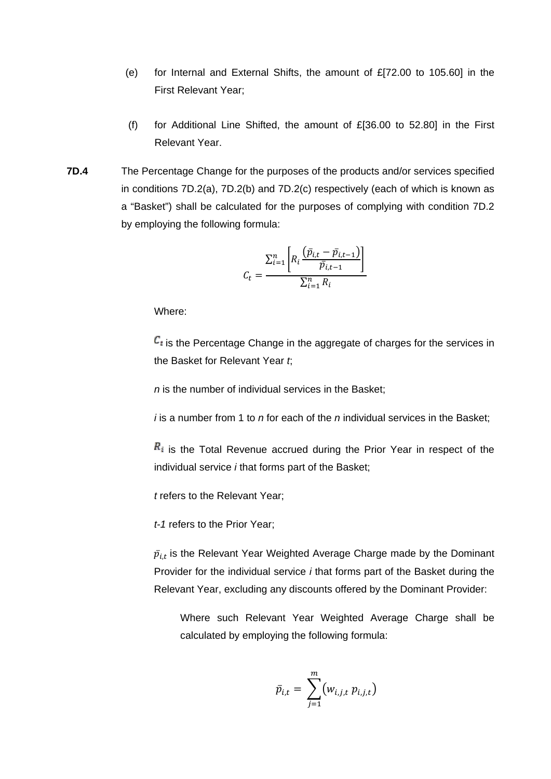- (e) for Internal and External Shifts, the amount of  $E[72.00$  to 105.60] in the First Relevant Year;
- (f) for Additional Line Shifted, the amount of  $E[36.00$  to 52.80] in the First Relevant Year.
- **7D.4** The Percentage Change for the purposes of the products and/or services specified in conditions 7D.2(a), 7D.2(b) and 7D.2(c) respectively (each of which is known as a "Basket") shall be calculated for the purposes of complying with condition 7D.2 by employing the following formula:

$$
C_t = \frac{\sum_{i=1}^{n} \left[ R_i \frac{(\bar{p}_{i,t} - \bar{p}_{i,t-1})}{\bar{p}_{i,t-1}} \right]}{\sum_{i=1}^{n} R_i}
$$

 $\mathcal{C}_t$  is the Percentage Change in the aggregate of charges for the services in the Basket for Relevant Year *t*;

*n* is the number of individual services in the Basket;

*i* is a number from 1 to *n* for each of the *n* individual services in the Basket;

 $R_i$  is the Total Revenue accrued during the Prior Year in respect of the individual service *i* that forms part of the Basket;

*t* refers to the Relevant Year;

*t-1* refers to the Prior Year;

 $\bar{p}_{i,t}$  is the Relevant Year Weighted Average Charge made by the Dominant Provider for the individual service *i* that forms part of the Basket during the Relevant Year, excluding any discounts offered by the Dominant Provider:

Where such Relevant Year Weighted Average Charge shall be calculated by employing the following formula:

$$
\bar{p}_{i,t} = \sum_{j=1}^m (w_{i,j,t} p_{i,j,t})
$$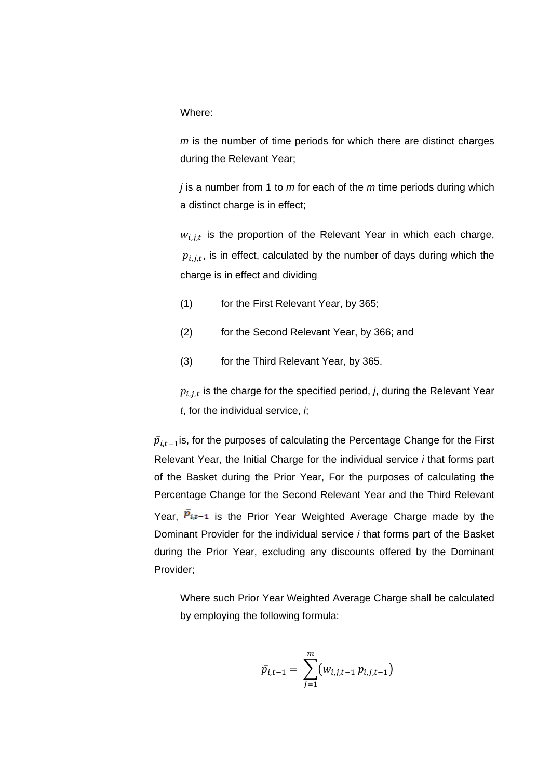*m* is the number of time periods for which there are distinct charges during the Relevant Year;

*j* is a number from 1 to *m* for each of the *m* time periods during which a distinct charge is in effect;

 $w_{i,j,t}$  is the proportion of the Relevant Year in which each charge,  $p_{i,i,t}$ , is in effect, calculated by the number of days during which the charge is in effect and dividing

- (1) for the First Relevant Year, by 365;
- (2) for the Second Relevant Year, by 366; and
- (3) for the Third Relevant Year, by 365.

 $p_{i,j,t}$  is the charge for the specified period, *j*, during the Relevant Year *t*, for the individual service, *i*;

 $\bar{p}_{i,t-1}$ is, for the purposes of calculating the Percentage Change for the First Relevant Year, the Initial Charge for the individual service *i* that forms part of the Basket during the Prior Year, For the purposes of calculating the Percentage Change for the Second Relevant Year and the Third Relevant Year.  $\overline{p}_{i,t-1}$  is the Prior Year Weighted Average Charge made by the Dominant Provider for the individual service *i* that forms part of the Basket during the Prior Year, excluding any discounts offered by the Dominant Provider;

Where such Prior Year Weighted Average Charge shall be calculated by employing the following formula:

$$
\bar{p}_{i,t-1} = \sum_{j=1}^{m} (w_{i,j,t-1} p_{i,j,t-1})
$$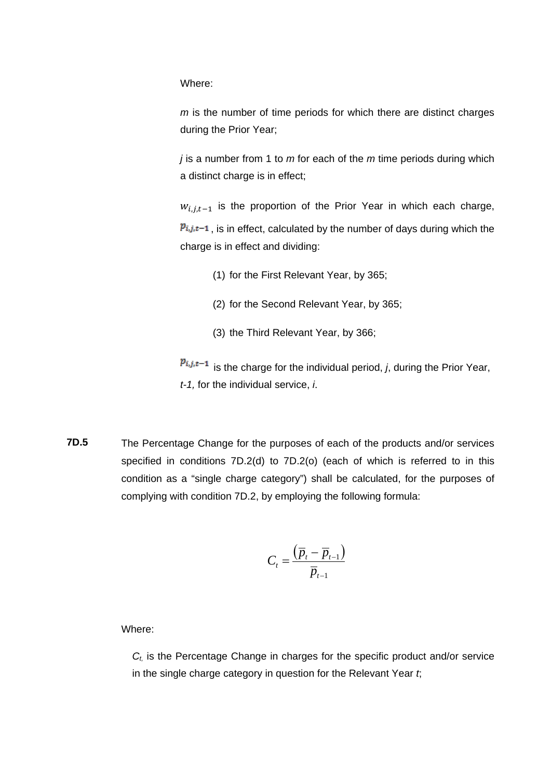*m* is the number of time periods for which there are distinct charges during the Prior Year;

*j* is a number from 1 to *m* for each of the *m* time periods during which a distinct charge is in effect;

 $w_{i,j,t-1}$  is the proportion of the Prior Year in which each charge,  $p_{i,j,t-1}$ , is in effect, calculated by the number of days during which the charge is in effect and dividing:

- (1) for the First Relevant Year, by 365;
- (2) for the Second Relevant Year, by 365;
- (3) the Third Relevant Year, by 366;

 $p_{i,j,t-1}$  is the charge for the individual period, *j*, during the Prior Year, *t-1,* for the individual service, *i*.

**7D.5** The Percentage Change for the purposes of each of the products and/or services specified in conditions 7D.2(d) to 7D.2(o) (each of which is referred to in this condition as a "single charge category") shall be calculated, for the purposes of complying with condition 7D.2, by employing the following formula:

$$
C_t = \frac{\left(\overline{p}_t - \overline{p}_{t-1}\right)}{\overline{p}_{t-1}}
$$

Where:

*Ct,* is the Percentage Change in charges for the specific product and/or service in the single charge category in question for the Relevant Year *t*;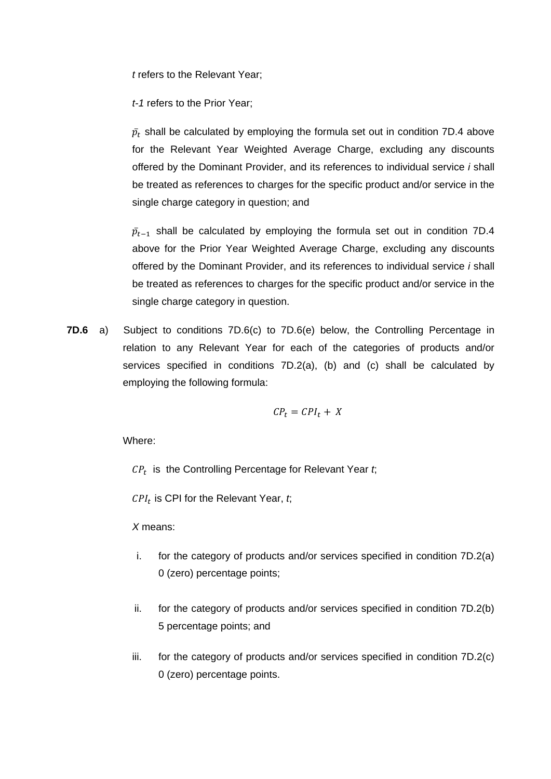*t* refers to the Relevant Year;

*t-1* refers to the Prior Year;

 $\bar p_t$  shall be calculated by employing the formula set out in condition 7D.4 above for the Relevant Year Weighted Average Charge, excluding any discounts offered by the Dominant Provider, and its references to individual service *i* shall be treated as references to charges for the specific product and/or service in the single charge category in question; and

 $\bar p_{t-1}$  shall be calculated by employing the formula set out in condition 7D.4 above for the Prior Year Weighted Average Charge, excluding any discounts offered by the Dominant Provider, and its references to individual service *i* shall be treated as references to charges for the specific product and/or service in the single charge category in question.

**7D.6** a) Subject to conditions 7D.6(c) to 7D.6(e) below, the Controlling Percentage in relation to any Relevant Year for each of the categories of products and/or services specified in conditions 7D.2(a), (b) and (c) shall be calculated by employing the following formula:

$$
CP_t = CPI_t + X
$$

Where:

 $\mathit{CP}_t$  is the Controlling Percentage for Relevant Year  $t$ ;

 $CPI_t$  is CPI for the Relevant Year,  $t$ ;

*X* means:

- i. for the category of products and/or services specified in condition 7D.2(a) 0 (zero) percentage points;
- ii. for the category of products and/or services specified in condition 7D.2(b) 5 percentage points; and
- iii. for the category of products and/or services specified in condition 7D.2(c) 0 (zero) percentage points.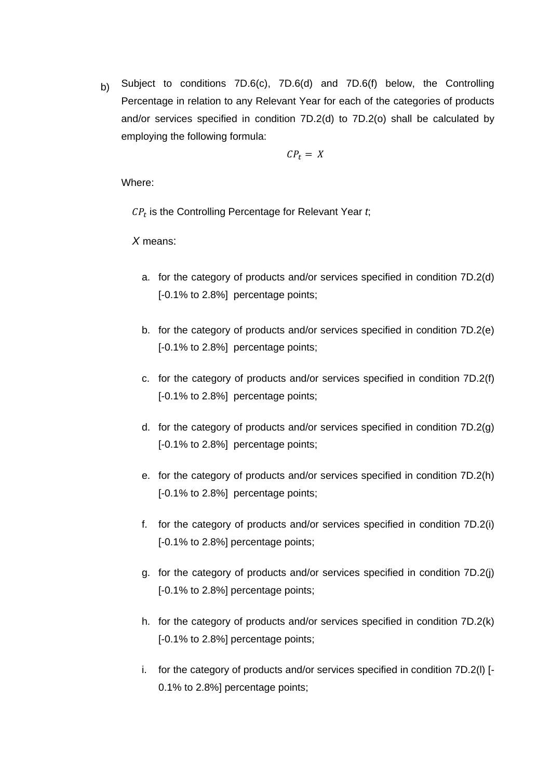b) Subject to conditions 7D.6(c), 7D.6(d) and 7D.6(f) below, the Controlling Percentage in relation to any Relevant Year for each of the categories of products and/or services specified in condition 7D.2(d) to 7D.2(o) shall be calculated by employing the following formula:

$$
CP_t = X
$$

Where:

 $CP<sub>t</sub>$  is the Controlling Percentage for Relevant Year  $t$ ;

*X* means:

- a. for the category of products and/or services specified in condition 7D.2(d) [-0.1% to 2.8%] percentage points;
- b. for the category of products and/or services specified in condition 7D.2(e) [-0.1% to 2.8%] percentage points;
- c. for the category of products and/or services specified in condition 7D.2(f) [-0.1% to 2.8%] percentage points;
- d. for the category of products and/or services specified in condition 7D.2(g) [-0.1% to 2.8%] percentage points;
- e. for the category of products and/or services specified in condition 7D.2(h) [-0.1% to 2.8%] percentage points;
- f. for the category of products and/or services specified in condition 7D.2(i) [-0.1% to 2.8%] percentage points;
- g. for the category of products and/or services specified in condition 7D.2(j) [-0.1% to 2.8%] percentage points;
- h. for the category of products and/or services specified in condition 7D.2(k) [-0.1% to 2.8%] percentage points;
- i. for the category of products and/or services specified in condition 7D.2(l) [- 0.1% to 2.8%] percentage points;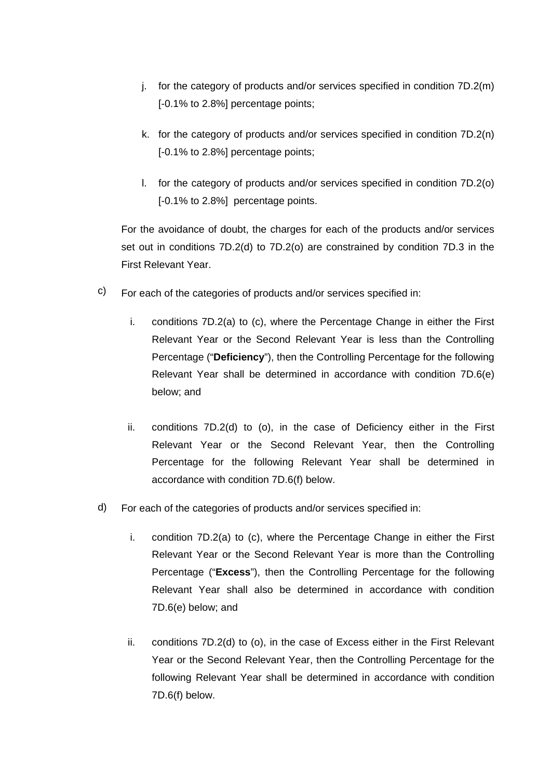- j. for the category of products and/or services specified in condition 7D.2(m) [-0.1% to 2.8%] percentage points;
- k. for the category of products and/or services specified in condition 7D.2(n) [-0.1% to 2.8%] percentage points;
- l. for the category of products and/or services specified in condition 7D.2(o) [-0.1% to 2.8%] percentage points.

For the avoidance of doubt, the charges for each of the products and/or services set out in conditions 7D.2(d) to 7D.2(o) are constrained by condition 7D.3 in the First Relevant Year.

- c) For each of the categories of products and/or services specified in:
	- i. conditions 7D.2(a) to (c), where the Percentage Change in either the First Relevant Year or the Second Relevant Year is less than the Controlling Percentage ("**Deficiency**"), then the Controlling Percentage for the following Relevant Year shall be determined in accordance with condition 7D.6(e) below; and
	- ii. conditions 7D.2(d) to (o), in the case of Deficiency either in the First Relevant Year or the Second Relevant Year, then the Controlling Percentage for the following Relevant Year shall be determined in accordance with condition 7D.6(f) below.
- d) For each of the categories of products and/or services specified in:
	- i. condition 7D.2(a) to (c), where the Percentage Change in either the First Relevant Year or the Second Relevant Year is more than the Controlling Percentage ("**Excess**"), then the Controlling Percentage for the following Relevant Year shall also be determined in accordance with condition 7D.6(e) below; and
	- ii. conditions 7D.2(d) to (o), in the case of Excess either in the First Relevant Year or the Second Relevant Year, then the Controlling Percentage for the following Relevant Year shall be determined in accordance with condition 7D.6(f) below.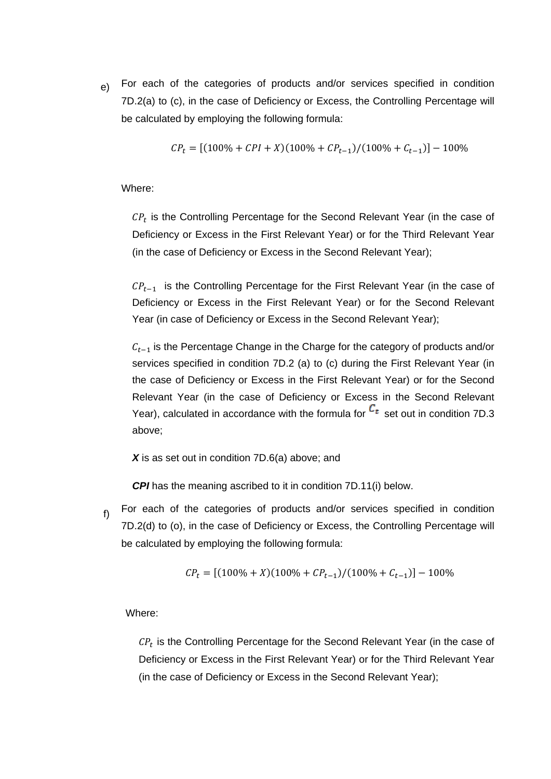e) For each of the categories of products and/or services specified in condition 7D.2(a) to (c), in the case of Deficiency or Excess, the Controlling Percentage will be calculated by employing the following formula:

$$
CP_t = [(100\% + CPI + X)(100\% + CP_{t-1})/(100\% + C_{t-1})] - 100\%
$$

Where:

 $\mathit{CP}_t$  is the Controlling Percentage for the Second Relevant Year (in the case of Deficiency or Excess in the First Relevant Year) or for the Third Relevant Year (in the case of Deficiency or Excess in the Second Relevant Year);

 $\mathcal{CP}_{t-1}$  is the Controlling Percentage for the First Relevant Year (in the case of Deficiency or Excess in the First Relevant Year) or for the Second Relevant Year (in case of Deficiency or Excess in the Second Relevant Year);

 $C_{t-1}$  is the Percentage Change in the Charge for the category of products and/or services specified in condition 7D.2 (a) to (c) during the First Relevant Year (in the case of Deficiency or Excess in the First Relevant Year) or for the Second Relevant Year (in the case of Deficiency or Excess in the Second Relevant Year), calculated in accordance with the formula for  $\mathcal{C}_t$  set out in condition 7D.3 above;

X is as set out in condition 7D.6(a) above; and

*CPI* has the meaning ascribed to it in condition 7D.11(i) below.

 f) For each of the categories of products and/or services specified in condition 7D.2(d) to (o), in the case of Deficiency or Excess, the Controlling Percentage will be calculated by employing the following formula:

$$
\mathit{CP}_t = [(100\% + X)(100\% + \mathit{CP}_{t-1})/(100\% + \mathit{C}_{t-1})] - 100\%
$$

Where:

 $\mathit{CP}_t$  is the Controlling Percentage for the Second Relevant Year (in the case of Deficiency or Excess in the First Relevant Year) or for the Third Relevant Year (in the case of Deficiency or Excess in the Second Relevant Year);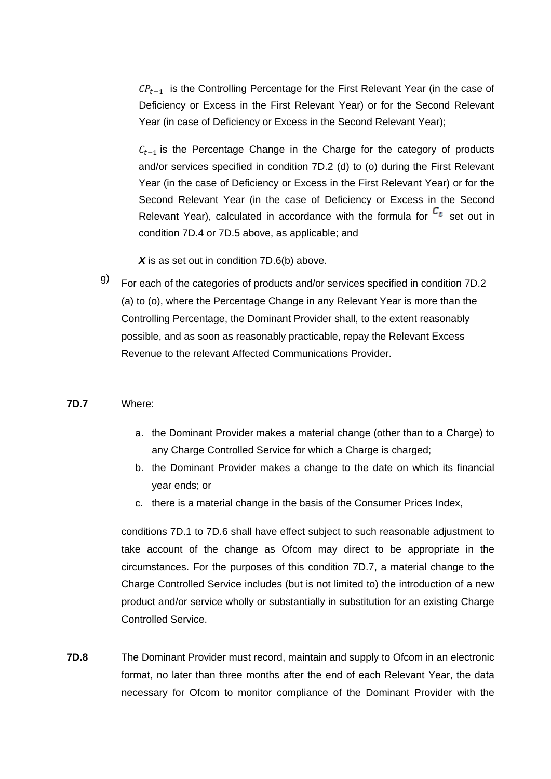$\mathcal{CP}_{t-1}$  is the Controlling Percentage for the First Relevant Year (in the case of Deficiency or Excess in the First Relevant Year) or for the Second Relevant Year (in case of Deficiency or Excess in the Second Relevant Year);

 $C_{t-1}$  is the Percentage Change in the Charge for the category of products and/or services specified in condition 7D.2 (d) to (o) during the First Relevant Year (in the case of Deficiency or Excess in the First Relevant Year) or for the Second Relevant Year (in the case of Deficiency or Excess in the Second Relevant Year), calculated in accordance with the formula for  $c<sub>t</sub>$  set out in condition 7D.4 or 7D.5 above, as applicable; and

X is as set out in condition 7D.6(b) above.

 g) For each of the categories of products and/or services specified in condition 7D.2 (a) to (o), where the Percentage Change in any Relevant Year is more than the Controlling Percentage, the Dominant Provider shall, to the extent reasonably possible, and as soon as reasonably practicable, repay the Relevant Excess Revenue to the relevant Affected Communications Provider.

### **7D.7** Where:

- a. the Dominant Provider makes a material change (other than to a Charge) to any Charge Controlled Service for which a Charge is charged;
- b. the Dominant Provider makes a change to the date on which its financial year ends; or
- c. there is a material change in the basis of the Consumer Prices Index,

conditions 7D.1 to 7D.6 shall have effect subject to such reasonable adjustment to take account of the change as Ofcom may direct to be appropriate in the circumstances. For the purposes of this condition 7D.7, a material change to the Charge Controlled Service includes (but is not limited to) the introduction of a new product and/or service wholly or substantially in substitution for an existing Charge Controlled Service.

**7D.8** The Dominant Provider must record, maintain and supply to Ofcom in an electronic format, no later than three months after the end of each Relevant Year, the data necessary for Ofcom to monitor compliance of the Dominant Provider with the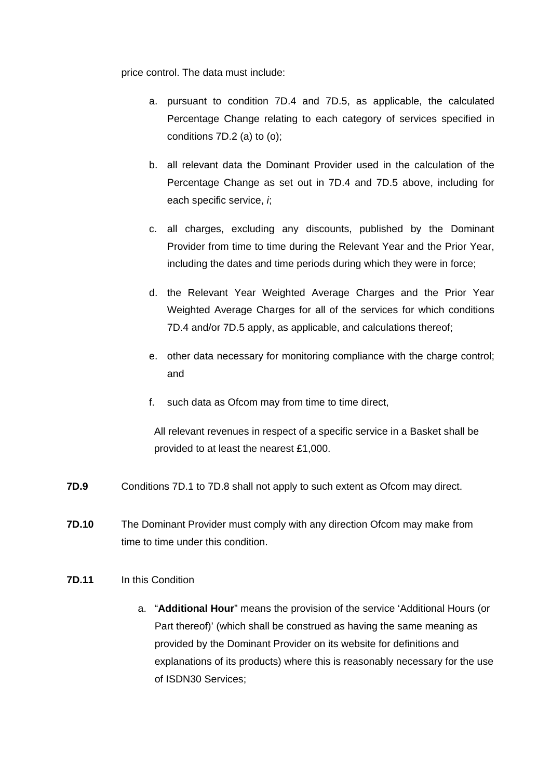price control. The data must include:

- a. pursuant to condition 7D.4 and 7D.5, as applicable, the calculated Percentage Change relating to each category of services specified in conditions 7D.2 (a) to (o);
- b. all relevant data the Dominant Provider used in the calculation of the Percentage Change as set out in 7D.4 and 7D.5 above, including for each specific service, *i*;
- c. all charges, excluding any discounts, published by the Dominant Provider from time to time during the Relevant Year and the Prior Year, including the dates and time periods during which they were in force;
- d. the Relevant Year Weighted Average Charges and the Prior Year Weighted Average Charges for all of the services for which conditions 7D.4 and/or 7D.5 apply, as applicable, and calculations thereof;
- e. other data necessary for monitoring compliance with the charge control; and
- f. such data as Ofcom may from time to time direct,

All relevant revenues in respect of a specific service in a Basket shall be provided to at least the nearest £1,000.

- **7D.9** Conditions 7D.1 to 7D.8 shall not apply to such extent as Ofcom may direct.
- **7D.10** The Dominant Provider must comply with any direction Ofcom may make from time to time under this condition.

# **7D.11** In this Condition

a. "**Additional Hour**" means the provision of the service 'Additional Hours (or Part thereof)' (which shall be construed as having the same meaning as provided by the Dominant Provider on its website for definitions and explanations of its products) where this is reasonably necessary for the use of ISDN30 Services;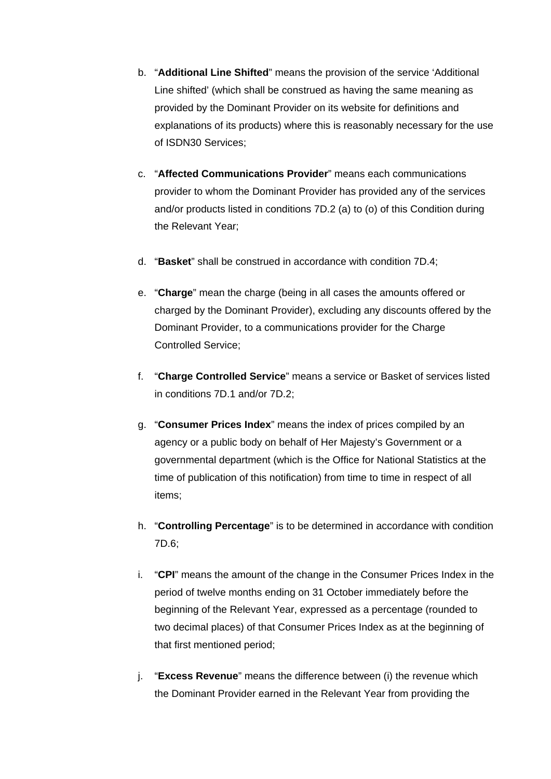- b. "**Additional Line Shifted**" means the provision of the service 'Additional Line shifted' (which shall be construed as having the same meaning as provided by the Dominant Provider on its website for definitions and explanations of its products) where this is reasonably necessary for the use of ISDN30 Services;
- c. "**Affected Communications Provider**" means each communications provider to whom the Dominant Provider has provided any of the services and/or products listed in conditions 7D.2 (a) to (o) of this Condition during the Relevant Year;
- d. "**Basket**" shall be construed in accordance with condition 7D.4;
- e. "**Charge**" mean the charge (being in all cases the amounts offered or charged by the Dominant Provider), excluding any discounts offered by the Dominant Provider, to a communications provider for the Charge Controlled Service;
- f. "**Charge Controlled Service**" means a service or Basket of services listed in conditions 7D.1 and/or 7D.2;
- g. "**Consumer Prices Index**" means the index of prices compiled by an agency or a public body on behalf of Her Majesty's Government or a governmental department (which is the Office for National Statistics at the time of publication of this notification) from time to time in respect of all items;
- h. "**Controlling Percentage**" is to be determined in accordance with condition 7D.6;
- i. "**CPI**" means the amount of the change in the Consumer Prices Index in the period of twelve months ending on 31 October immediately before the beginning of the Relevant Year, expressed as a percentage (rounded to two decimal places) of that Consumer Prices Index as at the beginning of that first mentioned period;
- j. "**Excess Revenue**" means the difference between (i) the revenue which the Dominant Provider earned in the Relevant Year from providing the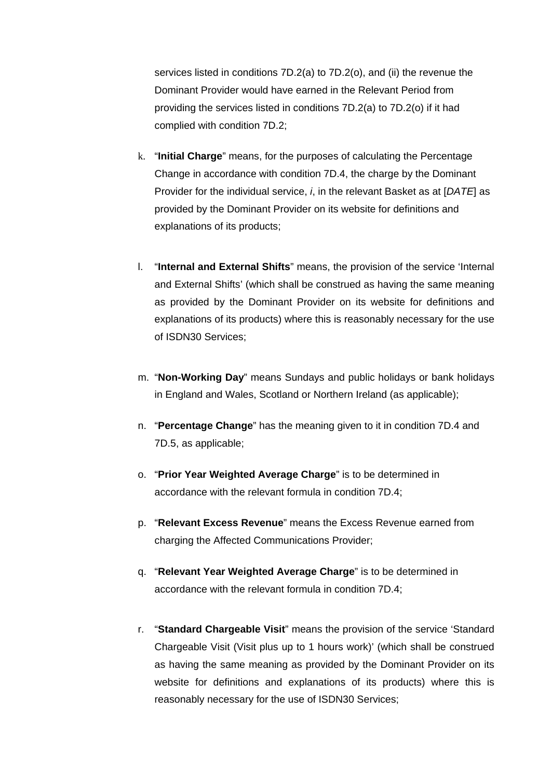services listed in conditions 7D.2(a) to 7D.2(o), and (ii) the revenue the Dominant Provider would have earned in the Relevant Period from providing the services listed in conditions 7D.2(a) to 7D.2(o) if it had complied with condition 7D.2;

- k. "**Initial Charge**" means, for the purposes of calculating the Percentage Change in accordance with condition 7D.4, the charge by the Dominant Provider for the individual service, *i*, in the relevant Basket as at [*DATE*] as provided by the Dominant Provider on its website for definitions and explanations of its products;
- l. "**Internal and External Shifts**" means, the provision of the service 'Internal and External Shifts' (which shall be construed as having the same meaning as provided by the Dominant Provider on its website for definitions and explanations of its products) where this is reasonably necessary for the use of ISDN30 Services;
- m. "**Non-Working Day**" means Sundays and public holidays or bank holidays in England and Wales, Scotland or Northern Ireland (as applicable);
- n. "**Percentage Change**" has the meaning given to it in condition 7D.4 and 7D.5, as applicable;
- o. "**Prior Year Weighted Average Charge**" is to be determined in accordance with the relevant formula in condition 7D.4;
- p. "**Relevant Excess Revenue**" means the Excess Revenue earned from charging the Affected Communications Provider;
- q. "**Relevant Year Weighted Average Charge**" is to be determined in accordance with the relevant formula in condition 7D.4;
- r. "**Standard Chargeable Visit**" means the provision of the service 'Standard Chargeable Visit (Visit plus up to 1 hours work)' (which shall be construed as having the same meaning as provided by the Dominant Provider on its website for definitions and explanations of its products) where this is reasonably necessary for the use of ISDN30 Services;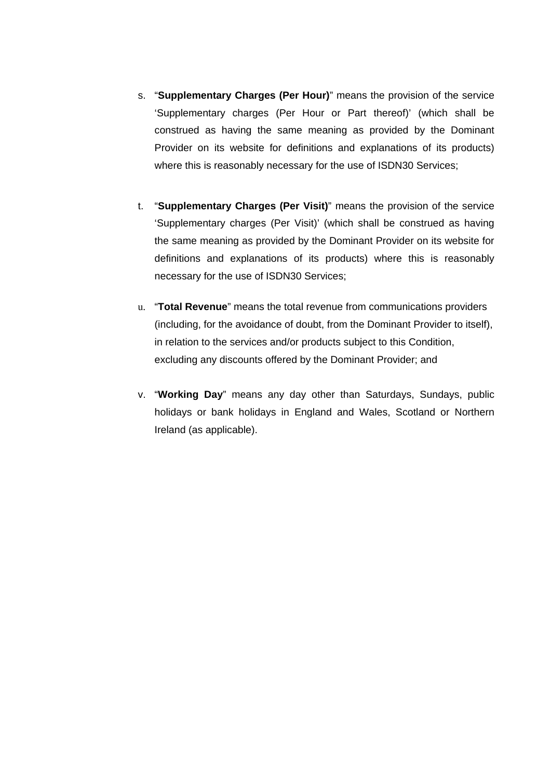- s. "**Supplementary Charges (Per Hour)**" means the provision of the service 'Supplementary charges (Per Hour or Part thereof)' (which shall be construed as having the same meaning as provided by the Dominant Provider on its website for definitions and explanations of its products) where this is reasonably necessary for the use of ISDN30 Services;
- t. "**Supplementary Charges (Per Visit)**" means the provision of the service 'Supplementary charges (Per Visit)' (which shall be construed as having the same meaning as provided by the Dominant Provider on its website for definitions and explanations of its products) where this is reasonably necessary for the use of ISDN30 Services;
- u. "**Total Revenue**" means the total revenue from communications providers (including, for the avoidance of doubt, from the Dominant Provider to itself), in relation to the services and/or products subject to this Condition, excluding any discounts offered by the Dominant Provider; and
- v. "**Working Day**" means any day other than Saturdays, Sundays, public holidays or bank holidays in England and Wales, Scotland or Northern Ireland (as applicable).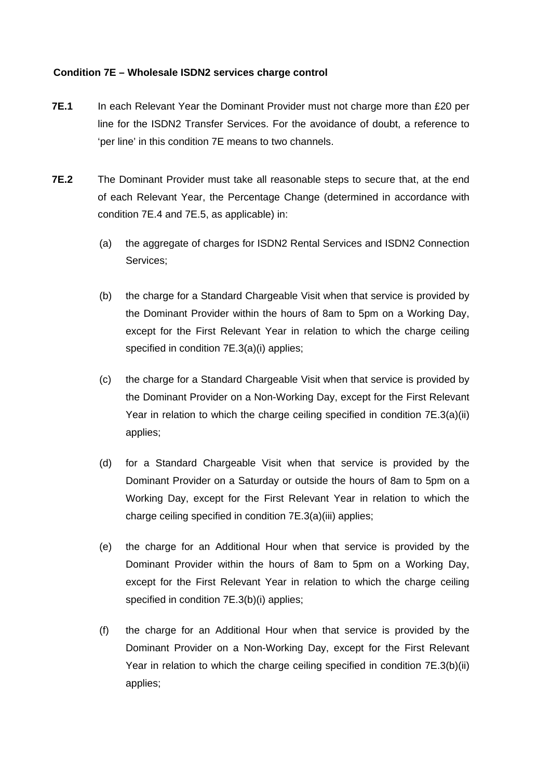# **Condition 7E – Wholesale ISDN2 services charge control**

- **7E.1** In each Relevant Year the Dominant Provider must not charge more than £20 per line for the ISDN2 Transfer Services. For the avoidance of doubt, a reference to 'per line' in this condition 7E means to two channels.
- **7E.2** The Dominant Provider must take all reasonable steps to secure that, at the end of each Relevant Year, the Percentage Change (determined in accordance with condition 7E.4 and 7E.5, as applicable) in:
	- (a) the aggregate of charges for ISDN2 Rental Services and ISDN2 Connection Services;
	- (b) the charge for a Standard Chargeable Visit when that service is provided by the Dominant Provider within the hours of 8am to 5pm on a Working Day, except for the First Relevant Year in relation to which the charge ceiling specified in condition 7E.3(a)(i) applies;
	- (c) the charge for a Standard Chargeable Visit when that service is provided by the Dominant Provider on a Non-Working Day, except for the First Relevant Year in relation to which the charge ceiling specified in condition 7E.3(a)(ii) applies;
	- (d) for a Standard Chargeable Visit when that service is provided by the Dominant Provider on a Saturday or outside the hours of 8am to 5pm on a Working Day, except for the First Relevant Year in relation to which the charge ceiling specified in condition 7E.3(a)(iii) applies;
	- (e) the charge for an Additional Hour when that service is provided by the Dominant Provider within the hours of 8am to 5pm on a Working Day, except for the First Relevant Year in relation to which the charge ceiling specified in condition 7E.3(b)(i) applies;
	- (f) the charge for an Additional Hour when that service is provided by the Dominant Provider on a Non-Working Day, except for the First Relevant Year in relation to which the charge ceiling specified in condition 7E.3(b)(ii) applies;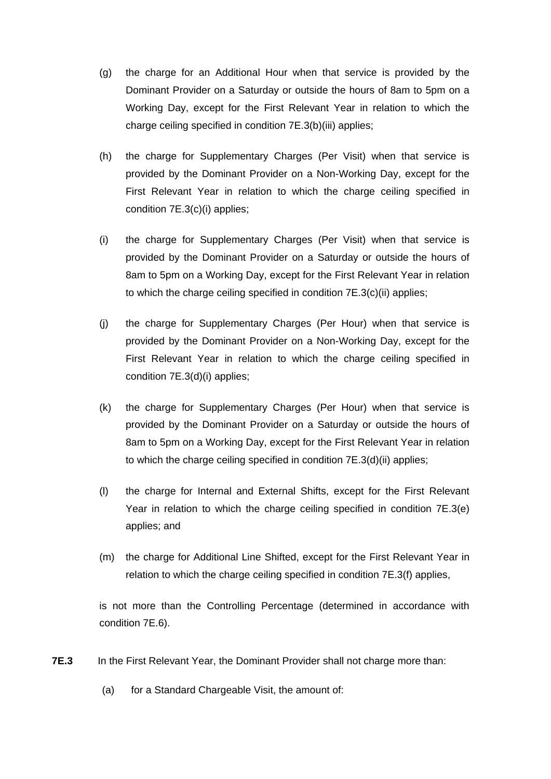- (g) the charge for an Additional Hour when that service is provided by the Dominant Provider on a Saturday or outside the hours of 8am to 5pm on a Working Day, except for the First Relevant Year in relation to which the charge ceiling specified in condition 7E.3(b)(iii) applies;
- (h) the charge for Supplementary Charges (Per Visit) when that service is provided by the Dominant Provider on a Non-Working Day, except for the First Relevant Year in relation to which the charge ceiling specified in condition 7E.3(c)(i) applies;
- (i) the charge for Supplementary Charges (Per Visit) when that service is provided by the Dominant Provider on a Saturday or outside the hours of 8am to 5pm on a Working Day, except for the First Relevant Year in relation to which the charge ceiling specified in condition 7E.3(c)(ii) applies;
- (j) the charge for Supplementary Charges (Per Hour) when that service is provided by the Dominant Provider on a Non-Working Day, except for the First Relevant Year in relation to which the charge ceiling specified in condition 7E.3(d)(i) applies;
- (k) the charge for Supplementary Charges (Per Hour) when that service is provided by the Dominant Provider on a Saturday or outside the hours of 8am to 5pm on a Working Day, except for the First Relevant Year in relation to which the charge ceiling specified in condition 7E.3(d)(ii) applies;
- (l) the charge for Internal and External Shifts, except for the First Relevant Year in relation to which the charge ceiling specified in condition 7E.3(e) applies; and
- (m) the charge for Additional Line Shifted, except for the First Relevant Year in relation to which the charge ceiling specified in condition 7E.3(f) applies,

is not more than the Controlling Percentage (determined in accordance with condition 7E.6).

- **7E.3** In the First Relevant Year, the Dominant Provider shall not charge more than:
	- (a) for a Standard Chargeable Visit, the amount of: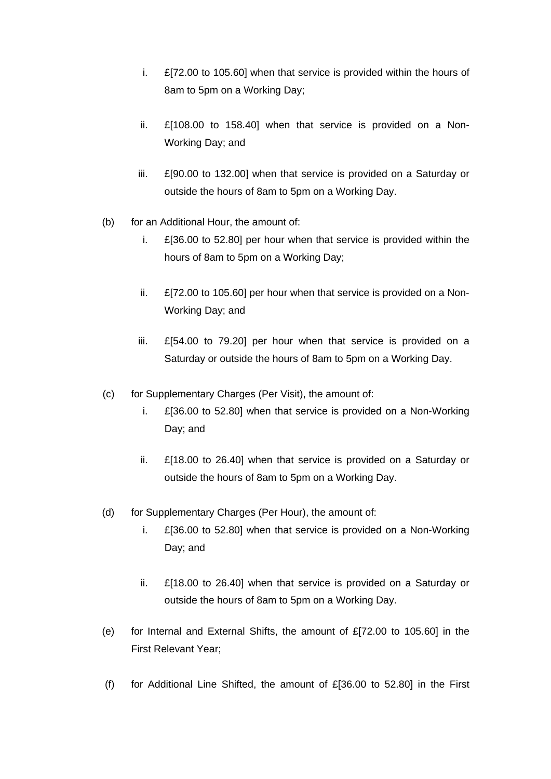- i. £[72.00 to 105.60] when that service is provided within the hours of 8am to 5pm on a Working Day;
- ii. £[108.00 to 158.40] when that service is provided on a Non-Working Day; and
- iii. £[90.00 to 132.00] when that service is provided on a Saturday or outside the hours of 8am to 5pm on a Working Day.
- (b) for an Additional Hour, the amount of:
	- i. £[36.00 to 52.80] per hour when that service is provided within the hours of 8am to 5pm on a Working Day;
	- ii. £[72.00 to 105.60] per hour when that service is provided on a Non-Working Day; and
	- iii. £[54.00 to 79.20] per hour when that service is provided on a Saturday or outside the hours of 8am to 5pm on a Working Day.
- (c) for Supplementary Charges (Per Visit), the amount of:
	- i. £[36.00 to 52.80] when that service is provided on a Non-Working Day; and
	- ii. £[18.00 to 26.40] when that service is provided on a Saturday or outside the hours of 8am to 5pm on a Working Day.
- (d) for Supplementary Charges (Per Hour), the amount of:
	- i. £[36.00 to 52.80] when that service is provided on a Non-Working Day; and
	- ii. £[18.00 to 26.40] when that service is provided on a Saturday or outside the hours of 8am to 5pm on a Working Day.
- (e) for Internal and External Shifts, the amount of £[72.00 to 105.60] in the First Relevant Year;
- (f) for Additional Line Shifted, the amount of £[36.00 to 52.80] in the First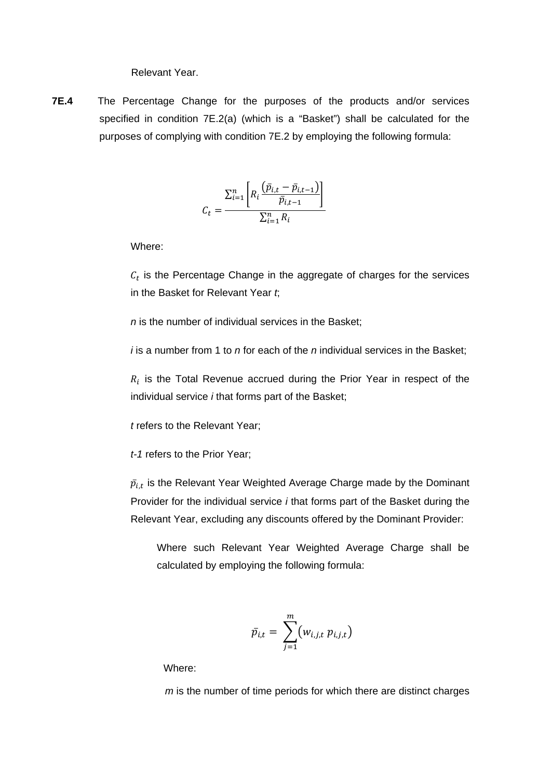Relevant Year.

**7E.4** The Percentage Change for the purposes of the products and/or services specified in condition 7E.2(a) (which is a "Basket") shall be calculated for the purposes of complying with condition 7E.2 by employing the following formula:

$$
C_t = \frac{\sum_{i=1}^{n} \left[ R_i \frac{(\bar{p}_{i,t} - \bar{p}_{i,t-1})}{\bar{p}_{i,t-1}} \right]}{\sum_{i=1}^{n} R_i}
$$

Where:

 $c<sub>t</sub>$  is the Percentage Change in the aggregate of charges for the services in the Basket for Relevant Year *t*;

*n* is the number of individual services in the Basket;

*i* is a number from 1 to *n* for each of the *n* individual services in the Basket;

 $R_i$  is the Total Revenue accrued during the Prior Year in respect of the individual service *i* that forms part of the Basket;

*t* refers to the Relevant Year;

*t-1* refers to the Prior Year;

 $\bar{p}_{i,t}$  is the Relevant Year Weighted Average Charge made by the Dominant Provider for the individual service *i* that forms part of the Basket during the Relevant Year, excluding any discounts offered by the Dominant Provider:

Where such Relevant Year Weighted Average Charge shall be calculated by employing the following formula:

$$
\bar{p}_{i,t} = \sum_{j=1}^m (w_{i,j,t} p_{i,j,t})
$$

Where:

*m* is the number of time periods for which there are distinct charges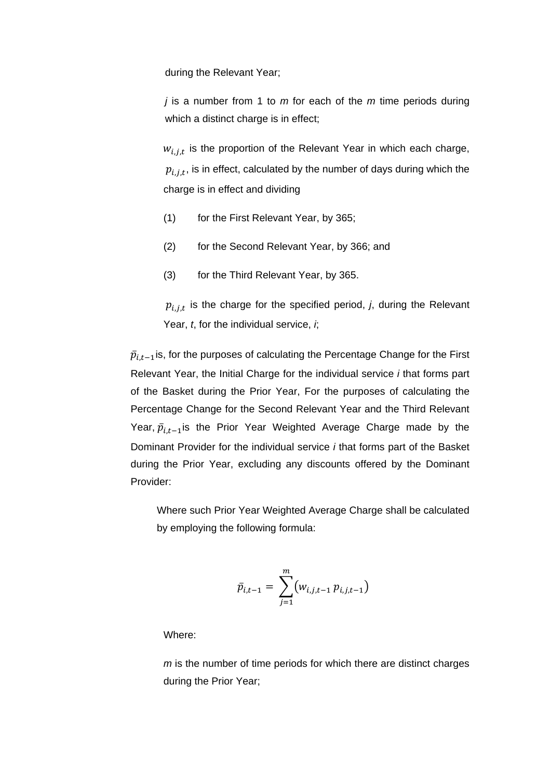during the Relevant Year;

*j* is a number from 1 to *m* for each of the *m* time periods during which a distinct charge is in effect;

 $w_{i,i,t}$  is the proportion of the Relevant Year in which each charge,  $p_{i,i,t}$ , is in effect, calculated by the number of days during which the charge is in effect and dividing

- (1) for the First Relevant Year, by 365;
- (2) for the Second Relevant Year, by 366; and
- (3) for the Third Relevant Year, by 365.

 $p_{i,j,t}$  is the charge for the specified period, *j*, during the Relevant Year, *t*, for the individual service, *i*;

 $\bar{p}_{i,t-1}$  is, for the purposes of calculating the Percentage Change for the First Relevant Year, the Initial Charge for the individual service *i* that forms part of the Basket during the Prior Year, For the purposes of calculating the Percentage Change for the Second Relevant Year and the Third Relevant Year,  $\bar{p}_{i,t-1}$  is the Prior Year Weighted Average Charge made by the Dominant Provider for the individual service *i* that forms part of the Basket during the Prior Year, excluding any discounts offered by the Dominant Provider:

Where such Prior Year Weighted Average Charge shall be calculated by employing the following formula:

$$
\bar{p}_{i,t-1} = \sum_{j=1}^{m} (w_{i,j,t-1} p_{i,j,t-1})
$$

Where:

*m* is the number of time periods for which there are distinct charges during the Prior Year;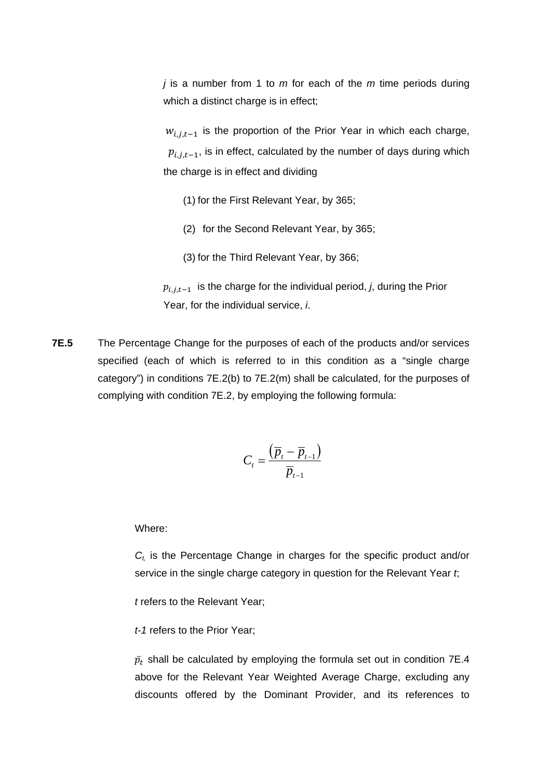*j* is a number from 1 to *m* for each of the *m* time periods during which a distinct charge is in effect;

 $w_{i,j,t-1}$  is the proportion of the Prior Year in which each charge,  $p_{i,j,t-1}$ , is in effect, calculated by the number of days during which the charge is in effect and dividing

- (1) for the First Relevant Year, by 365;
- (2) for the Second Relevant Year, by 365;
- (3) for the Third Relevant Year, by 366;

 $p_{i,j,t-1}$  is the charge for the individual period, *j*, during the Prior Year, for the individual service, *i*.

**7E.5** The Percentage Change for the purposes of each of the products and/or services specified (each of which is referred to in this condition as a "single charge category") in conditions 7E.2(b) to 7E.2(m) shall be calculated, for the purposes of complying with condition 7E.2, by employing the following formula:

$$
C_t = \frac{(\overline{p}_t - \overline{p}_{t-1})}{\overline{p}_{t-1}}
$$

### Where:

*Ct,* is the Percentage Change in charges for the specific product and/or service in the single charge category in question for the Relevant Year *t*;

*t* refers to the Relevant Year;

*t-1* refers to the Prior Year;

 $\bar p_t$  shall be calculated by employing the formula set out in condition 7E.4 above for the Relevant Year Weighted Average Charge, excluding any discounts offered by the Dominant Provider, and its references to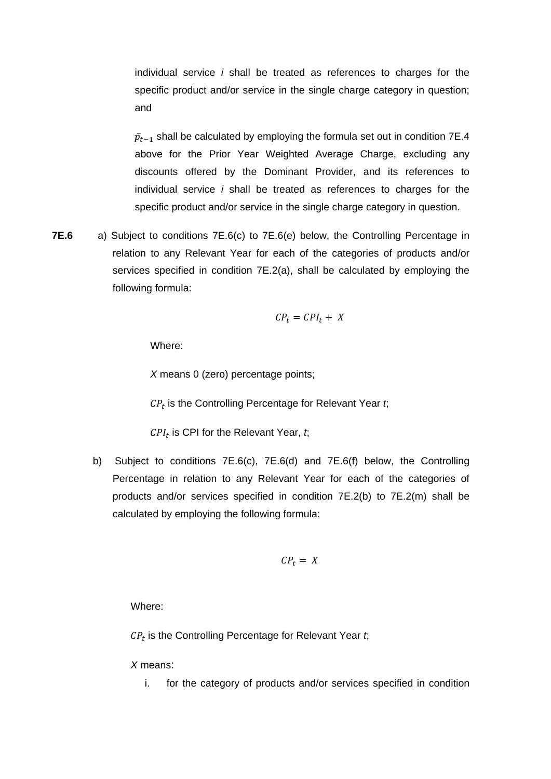individual service *i* shall be treated as references to charges for the specific product and/or service in the single charge category in question; and

 $\bar p_{t-1}$  shall be calculated by employing the formula set out in condition 7E.4 above for the Prior Year Weighted Average Charge, excluding any discounts offered by the Dominant Provider, and its references to individual service *i* shall be treated as references to charges for the specific product and/or service in the single charge category in question.

**7E.6** a) Subject to conditions 7E.6(c) to 7E.6(e) below, the Controlling Percentage in relation to any Relevant Year for each of the categories of products and/or services specified in condition 7E.2(a), shall be calculated by employing the following formula:

$$
CP_t = CPI_t + X
$$

Where:

*X* means 0 (zero) percentage points;

 $CP<sub>t</sub>$  is the Controlling Percentage for Relevant Year  $t$ ;

 $CPI<sub>t</sub>$  is CPI for the Relevant Year,  $t$ ;

b) Subject to conditions 7E.6(c), 7E.6(d) and 7E.6(f) below, the Controlling Percentage in relation to any Relevant Year for each of the categories of products and/or services specified in condition 7E.2(b) to 7E.2(m) shall be calculated by employing the following formula:

$$
CP_t = X
$$

Where:

 $CP<sub>t</sub>$  is the Controlling Percentage for Relevant Year  $t$ ;

*X* means:

i. for the category of products and/or services specified in condition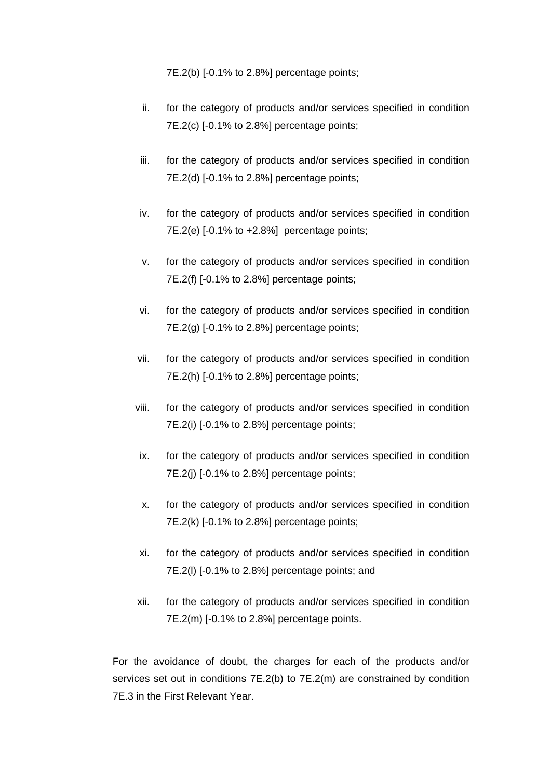7E.2(b) [-0.1% to 2.8%] percentage points;

- ii. for the category of products and/or services specified in condition 7E.2(c) [-0.1% to 2.8%] percentage points;
- iii. for the category of products and/or services specified in condition 7E.2(d) [-0.1% to 2.8%] percentage points;
- iv. for the category of products and/or services specified in condition 7E.2(e) [-0.1% to +2.8%] percentage points;
- v. for the category of products and/or services specified in condition 7E.2(f) [-0.1% to 2.8%] percentage points;
- vi. for the category of products and/or services specified in condition 7E.2(g) [-0.1% to 2.8%] percentage points;
- vii. for the category of products and/or services specified in condition 7E.2(h) [-0.1% to 2.8%] percentage points;
- viii. for the category of products and/or services specified in condition 7E.2(i) [-0.1% to 2.8%] percentage points;
- ix. for the category of products and/or services specified in condition 7E.2(j) [-0.1% to 2.8%] percentage points;
- x. for the category of products and/or services specified in condition 7E.2(k) [-0.1% to 2.8%] percentage points;
- xi. for the category of products and/or services specified in condition 7E.2(l) [-0.1% to 2.8%] percentage points; and
- xii. for the category of products and/or services specified in condition 7E.2(m) [-0.1% to 2.8%] percentage points.

For the avoidance of doubt, the charges for each of the products and/or services set out in conditions 7E.2(b) to 7E.2(m) are constrained by condition 7E.3 in the First Relevant Year.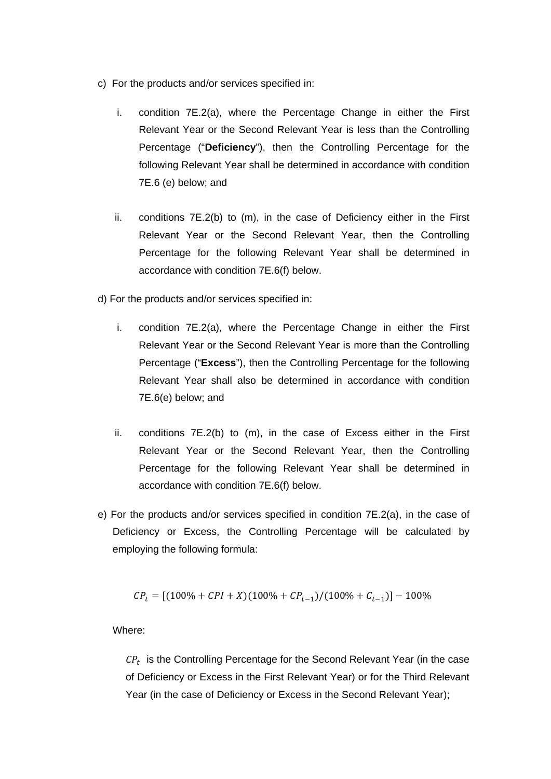- c) For the products and/or services specified in:
	- i. condition 7E.2(a), where the Percentage Change in either the First Relevant Year or the Second Relevant Year is less than the Controlling Percentage ("**Deficiency**"), then the Controlling Percentage for the following Relevant Year shall be determined in accordance with condition 7E.6 (e) below; and
	- ii. conditions 7E.2(b) to (m), in the case of Deficiency either in the First Relevant Year or the Second Relevant Year, then the Controlling Percentage for the following Relevant Year shall be determined in accordance with condition 7E.6(f) below.
- d) For the products and/or services specified in:
	- i. condition 7E.2(a), where the Percentage Change in either the First Relevant Year or the Second Relevant Year is more than the Controlling Percentage ("**Excess**"), then the Controlling Percentage for the following Relevant Year shall also be determined in accordance with condition 7E.6(e) below; and
	- ii. conditions 7E.2(b) to (m), in the case of Excess either in the First Relevant Year or the Second Relevant Year, then the Controlling Percentage for the following Relevant Year shall be determined in accordance with condition 7E.6(f) below.
- e) For the products and/or services specified in condition 7E.2(a), in the case of Deficiency or Excess, the Controlling Percentage will be calculated by employing the following formula:

$$
CP_t = [(100\% + CPI + X)(100\% + CP_{t-1})/(100\% + C_{t-1})] - 100\%
$$

Where:

 $\mathcal{CP}_t$  is the Controlling Percentage for the Second Relevant Year (in the case of Deficiency or Excess in the First Relevant Year) or for the Third Relevant Year (in the case of Deficiency or Excess in the Second Relevant Year);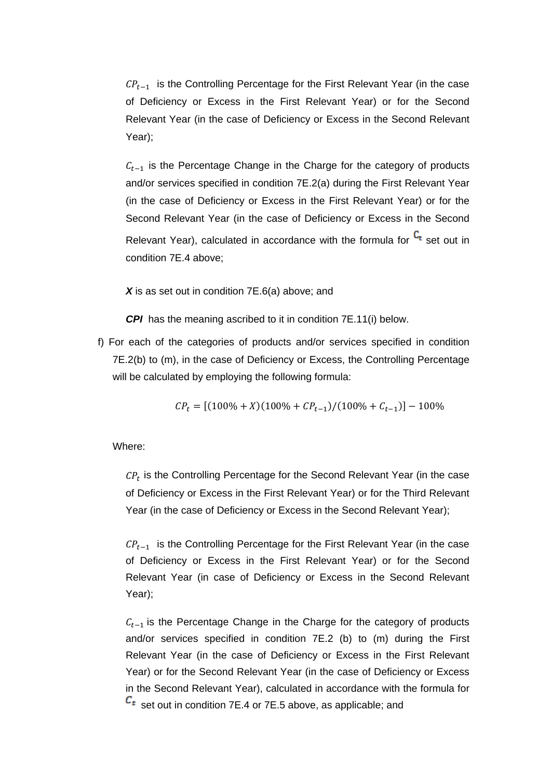$\mathcal{CP}_{t-1}$  is the Controlling Percentage for the First Relevant Year (in the case of Deficiency or Excess in the First Relevant Year) or for the Second Relevant Year (in the case of Deficiency or Excess in the Second Relevant Year);

 $C_{t-1}$  is the Percentage Change in the Charge for the category of products and/or services specified in condition 7E.2(a) during the First Relevant Year (in the case of Deficiency or Excess in the First Relevant Year) or for the Second Relevant Year (in the case of Deficiency or Excess in the Second Relevant Year), calculated in accordance with the formula for  $C_t$  set out in condition 7E.4 above;

X is as set out in condition 7E.6(a) above; and

*CPI* has the meaning ascribed to it in condition 7E.11(i) below.

f) For each of the categories of products and/or services specified in condition 7E.2(b) to (m), in the case of Deficiency or Excess, the Controlling Percentage will be calculated by employing the following formula:

 $CP<sub>t</sub> = [(100\% + X)(100\% + CP<sub>t-1</sub>)/(100\% + C<sub>t-1</sub>)] - 100\%$ 

Where:

 $\mathit{CP}_t$  is the Controlling Percentage for the Second Relevant Year (in the case of Deficiency or Excess in the First Relevant Year) or for the Third Relevant Year (in the case of Deficiency or Excess in the Second Relevant Year);

 $\mathit{CP}_{t-1}$  is the Controlling Percentage for the First Relevant Year (in the case of Deficiency or Excess in the First Relevant Year) or for the Second Relevant Year (in case of Deficiency or Excess in the Second Relevant Year);

 $C_{t-1}$  is the Percentage Change in the Charge for the category of products and/or services specified in condition 7E.2 (b) to (m) during the First Relevant Year (in the case of Deficiency or Excess in the First Relevant Year) or for the Second Relevant Year (in the case of Deficiency or Excess in the Second Relevant Year), calculated in accordance with the formula for  $c_t$  set out in condition 7E.4 or 7E.5 above, as applicable; and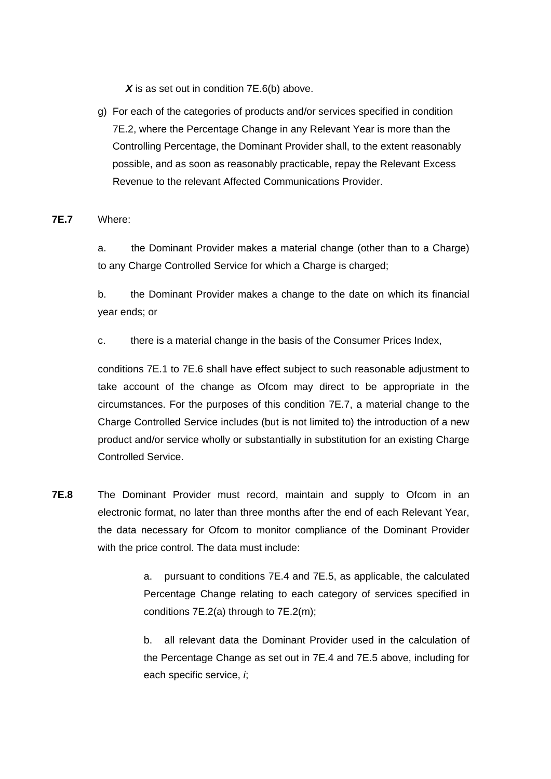X is as set out in condition 7E.6(b) above.

g) For each of the categories of products and/or services specified in condition 7E.2, where the Percentage Change in any Relevant Year is more than the Controlling Percentage, the Dominant Provider shall, to the extent reasonably possible, and as soon as reasonably practicable, repay the Relevant Excess Revenue to the relevant Affected Communications Provider.

# **7E.7** Where:

a. the Dominant Provider makes a material change (other than to a Charge) to any Charge Controlled Service for which a Charge is charged;

b. the Dominant Provider makes a change to the date on which its financial year ends; or

c. there is a material change in the basis of the Consumer Prices Index,

conditions 7E.1 to 7E.6 shall have effect subject to such reasonable adjustment to take account of the change as Ofcom may direct to be appropriate in the circumstances. For the purposes of this condition 7E.7, a material change to the Charge Controlled Service includes (but is not limited to) the introduction of a new product and/or service wholly or substantially in substitution for an existing Charge Controlled Service.

**7E.8** The Dominant Provider must record, maintain and supply to Ofcom in an electronic format, no later than three months after the end of each Relevant Year, the data necessary for Ofcom to monitor compliance of the Dominant Provider with the price control. The data must include:

> a. pursuant to conditions 7E.4 and 7E.5, as applicable, the calculated Percentage Change relating to each category of services specified in conditions 7E.2(a) through to 7E.2(m);

> b. all relevant data the Dominant Provider used in the calculation of the Percentage Change as set out in 7E.4 and 7E.5 above, including for each specific service, *i*;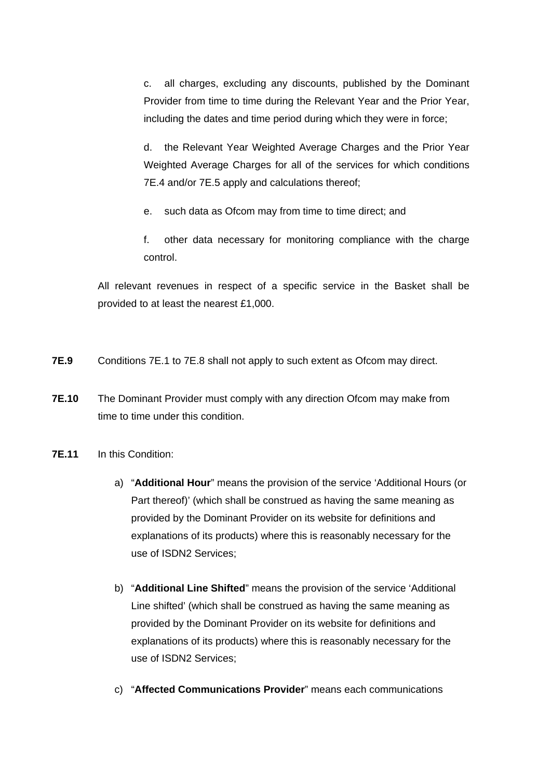c. all charges, excluding any discounts, published by the Dominant Provider from time to time during the Relevant Year and the Prior Year, including the dates and time period during which they were in force;

d. the Relevant Year Weighted Average Charges and the Prior Year Weighted Average Charges for all of the services for which conditions 7E.4 and/or 7E.5 apply and calculations thereof;

e. such data as Ofcom may from time to time direct; and

f. other data necessary for monitoring compliance with the charge control.

All relevant revenues in respect of a specific service in the Basket shall be provided to at least the nearest £1,000.

- **7E.9** Conditions 7E.1 to 7E.8 shall not apply to such extent as Ofcom may direct.
- **7E.10** The Dominant Provider must comply with any direction Ofcom may make from time to time under this condition.
- **7E.11** In this Condition:
	- a) "**Additional Hour**" means the provision of the service 'Additional Hours (or Part thereof)' (which shall be construed as having the same meaning as provided by the Dominant Provider on its website for definitions and explanations of its products) where this is reasonably necessary for the use of ISDN2 Services;
	- b) "**Additional Line Shifted**" means the provision of the service 'Additional Line shifted' (which shall be construed as having the same meaning as provided by the Dominant Provider on its website for definitions and explanations of its products) where this is reasonably necessary for the use of ISDN2 Services;
	- c) "**Affected Communications Provider**" means each communications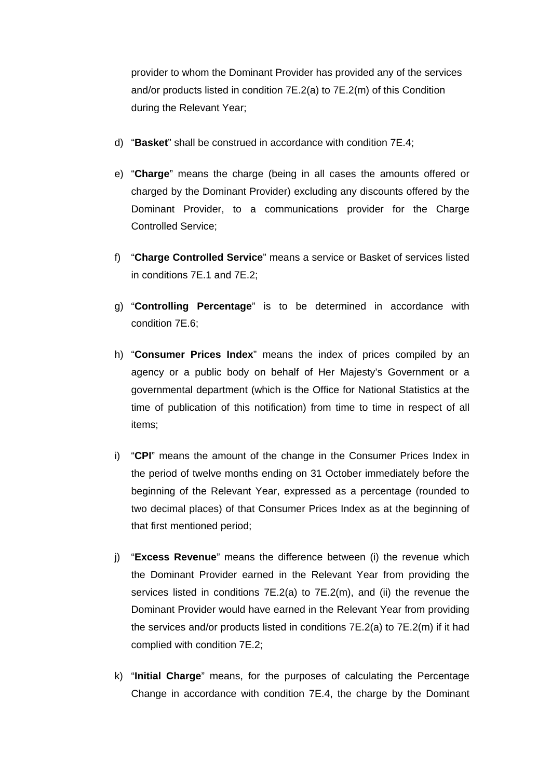provider to whom the Dominant Provider has provided any of the services and/or products listed in condition 7E.2(a) to 7E.2(m) of this Condition during the Relevant Year;

- d) "**Basket**" shall be construed in accordance with condition 7E.4;
- e) "**Charge**" means the charge (being in all cases the amounts offered or charged by the Dominant Provider) excluding any discounts offered by the Dominant Provider, to a communications provider for the Charge Controlled Service;
- f) "**Charge Controlled Service**" means a service or Basket of services listed in conditions 7E.1 and 7E.2;
- g) "**Controlling Percentage**" is to be determined in accordance with condition 7E.6;
- h) "**Consumer Prices Index**" means the index of prices compiled by an agency or a public body on behalf of Her Majesty's Government or a governmental department (which is the Office for National Statistics at the time of publication of this notification) from time to time in respect of all items;
- i) "**CPI**" means the amount of the change in the Consumer Prices Index in the period of twelve months ending on 31 October immediately before the beginning of the Relevant Year, expressed as a percentage (rounded to two decimal places) of that Consumer Prices Index as at the beginning of that first mentioned period;
- j) "**Excess Revenue**" means the difference between (i) the revenue which the Dominant Provider earned in the Relevant Year from providing the services listed in conditions 7E.2(a) to 7E.2(m), and (ii) the revenue the Dominant Provider would have earned in the Relevant Year from providing the services and/or products listed in conditions 7E.2(a) to 7E.2(m) if it had complied with condition 7E.2;
- k) "**Initial Charge**" means, for the purposes of calculating the Percentage Change in accordance with condition 7E.4, the charge by the Dominant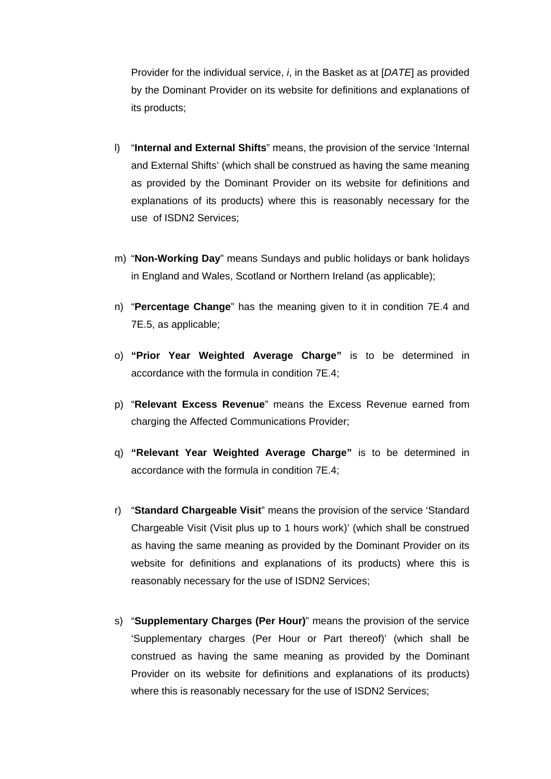Provider for the individual service, *i*, in the Basket as at [*DATE*] as provided by the Dominant Provider on its website for definitions and explanations of its products;

- l) "**Internal and External Shifts**" means, the provision of the service 'Internal and External Shifts' (which shall be construed as having the same meaning as provided by the Dominant Provider on its website for definitions and explanations of its products) where this is reasonably necessary for the use of ISDN2 Services;
- m) "**Non-Working Day**" means Sundays and public holidays or bank holidays in England and Wales, Scotland or Northern Ireland (as applicable);
- n) "**Percentage Change**" has the meaning given to it in condition 7E.4 and 7E.5, as applicable;
- o) **"Prior Year Weighted Average Charge"** is to be determined in accordance with the formula in condition 7E.4;
- p) "**Relevant Excess Revenue**" means the Excess Revenue earned from charging the Affected Communications Provider;
- q) **"Relevant Year Weighted Average Charge"** is to be determined in accordance with the formula in condition 7E.4;
- r) "**Standard Chargeable Visit**" means the provision of the service 'Standard Chargeable Visit (Visit plus up to 1 hours work)' (which shall be construed as having the same meaning as provided by the Dominant Provider on its website for definitions and explanations of its products) where this is reasonably necessary for the use of ISDN2 Services;
- s) "**Supplementary Charges (Per Hour)**" means the provision of the service 'Supplementary charges (Per Hour or Part thereof)' (which shall be construed as having the same meaning as provided by the Dominant Provider on its website for definitions and explanations of its products) where this is reasonably necessary for the use of ISDN2 Services;